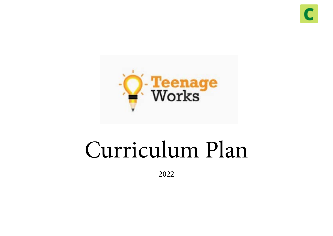



# Curriculum Plan

2022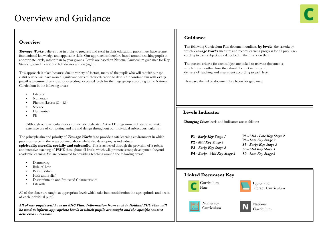### Overview and Guidance



#### **Overview**

**Teenage Works** believes that in order to progress and excel in their education, pupils must have secure, foundational knowledge and applicable skills. Our approach is therefore based around teaching pupils at appropriate levels, rather than by year groups. Levels are based on National Curriculum guidance for Key Stages 1, 2 and 3 - see Levels Indicator section (right).

This approach is taken because, due to variety of factors, many of the pupils who will require our specialist service will have missed significant parts of their education to date. Our constant aim with **every pupil** is to ensure they are at (or exceeding) expected levels for their age group according to the National Curriculum in the following areas:

- **Literacy**
- Numeracy
- Phonics (Levels P.1 P.3)
- Science
- Humanities
- PE

(Although our curriculum does not include dedicated Art or IT programmes of study, we make extensive use of computing and art and design throughout our individual subject curriculums).

The principle aim and priority of *Teenage Works* is to provide a safe learning environment in which pupils can excel in the areas outlined above whilst also developing as individuals

**spiritually, morally, socially and culturally**. This is achieved through the provision of a robust and intensive teaching of PSHE throughout all levels, which will promote strong development beyond academic learning. We are commited to providing teaching around the following areas:

- Democracy
- Rule of Law
- British Values
- Faith and Belief
- Discrimintaion and Protected Characteristics
- Lifeskills

All of the above are taught at appropriate levels which take into consideration the age, aptitude and needs of each individual pupil.

*All of our pupils will have an EHC Plan. Information from each individual EHC Plan will be used to inform appropriate levels at which pupils are taught and the specific content delivered in lessons.* 

#### **Guidance**

The following Curriculum Plan document outlines, **by levels**, the criteria by which *Teenage Works* measure and record learning progress for all pupils according to each subject area described in the Overview (left).

The success criteria for each subject are linked to relevant documents, which in turn outline how they should be met in terms of delivery of teaching and assessment according to each level.

Please see the linked document key below for guidance.

#### **Levels Indicator**

*Changing Lives* levels and indicators are as follows:

| $P1$ - Early Key Stage 1       | P5 - Mid - Late Key Stage 2   |
|--------------------------------|-------------------------------|
|                                | P6 - Late Key Stage 2         |
| $P2$ - Mid Key Stage 1         | $S7$ - Early Key Stage 3      |
| $P3$ - Early Key Stage 2       | <b>S8</b> - Mid Key Stage $3$ |
| $P4$ - Early - Mid Key Stage 2 | $S9$ - Late Key Stage 3       |

#### **Linked Document Key**



Topics and Literacy Curriculum



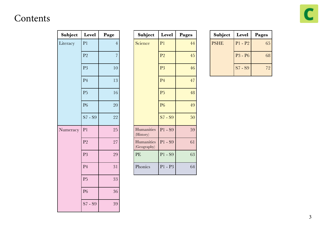

### **Contents**

| Subject  | Level          | Page           |
|----------|----------------|----------------|
| Literacy | P <sub>1</sub> | $\overline{4}$ |
|          | P <sub>2</sub> | $\overline{7}$ |
|          | P <sub>3</sub> | 10             |
|          | P <sub>4</sub> | 13             |
|          | P <sub>5</sub> | 16             |
|          | P <sub>6</sub> | 20             |
|          | $S7 - S9$      | 22             |
| Numeracy | P <sub>1</sub> | 25             |
|          | P <sub>2</sub> | 27             |
|          | P <sub>3</sub> | 29             |
|          | P <sub>4</sub> | 31             |
|          | P <sub>5</sub> | 33             |
|          | P <sub>6</sub> | 36             |
|          | $S7 - S9$      | 39             |

| Subject                          | <b>Level</b>   | Pages |
|----------------------------------|----------------|-------|
| Science                          | P <sub>1</sub> | 44    |
|                                  | P <sub>2</sub> | 45    |
|                                  | P <sub>3</sub> | 46    |
|                                  | P <sub>4</sub> | 47    |
|                                  | <b>P5</b>      | 48    |
|                                  | P <sub>6</sub> | 49    |
|                                  | $S7 - S9$      | 50    |
| Humanities<br>(History)          | $P1 - S9$      | 59    |
| <b>Humanities</b><br>(Geography) | $P1 - S9$      | 61    |
| <b>PE</b>                        | P1 - S9        | 63    |
| Phonics                          | $P1 - P3$      | 64    |

| Subject     | <b>Level</b>                    | Pages |
|-------------|---------------------------------|-------|
| <b>PSHE</b> | $P1 - P2$                       | 65    |
|             | P <sub>3</sub> - P <sub>6</sub> | 68    |
|             | S7 - S9                         | 72    |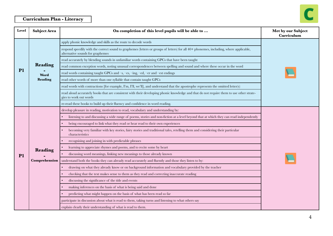### $\mathbf C$

| Level          | <b>Subject Area</b> | On completion of this level pupils will be able to                                                                                                                         | Met by our Subject<br>Curriculum |
|----------------|---------------------|----------------------------------------------------------------------------------------------------------------------------------------------------------------------------|----------------------------------|
|                |                     | apply phonic knowledge and skills as the route to decode words                                                                                                             |                                  |
|                |                     | respond speedily with the correct sound to graphemes (letters or groups of letters) for all 40+ phonemes, including, where applicable,<br>alternative sounds for graphemes |                                  |
|                |                     | read accurately by blending sounds in unfamiliar words containing GPCs that have been taught                                                                               |                                  |
|                | Reading             | read common exception words, noting unusual correspondences between spelling and sound and where these occur in the word                                                   |                                  |
| P1             | Word                | read words containing taught GPCs and -s, -es, -ing, -ed, -er and -est endings                                                                                             |                                  |
|                | Reading             | read other words of more than one syllable that contain taught GPCs                                                                                                        |                                  |
|                |                     | read words with contractions [for example, I'm, I'll, we'll], and understand that the apostrophe represents the omitted letter(s)                                          |                                  |
|                |                     | read aloud accurately books that are consistent with their developing phonic knowledge and that do not require them to use other strate-<br>gies to work out words         |                                  |
|                |                     | re-read these books to build up their fluency and confidence in word reading.                                                                                              |                                  |
|                |                     | develop pleasure in reading, motivation to read, vocabulary and understanding by:                                                                                          |                                  |
|                |                     | listening to and discussing a wide range of poems, stories and non-fiction at a level beyond that at which they can read independently                                     |                                  |
|                |                     | being encouraged to link what they read or hear read to their own experiences                                                                                              |                                  |
|                |                     | becoming very familiar with key stories, fairy stories and traditional tales, retelling them and considering their particular<br>characteristics                           |                                  |
|                |                     | recognising and joining in with predictable phrases                                                                                                                        |                                  |
|                | Reading             | learning to appreciate rhymes and poems, and to recite some by heart                                                                                                       |                                  |
| P <sub>1</sub> |                     | discussing word meanings, linking new meanings to those already known                                                                                                      |                                  |
|                | Comprehension       | understand both the books they can already read accurately and fluently and those they listen to by:                                                                       |                                  |
|                |                     | drawing on what they already know or on background information and vocabulary provided by the teacher                                                                      |                                  |
|                |                     | checking that the text makes sense to them as they read and correcting inaccurate reading                                                                                  |                                  |
|                |                     | discussing the significance of the title and events                                                                                                                        |                                  |
|                |                     | making inferences on the basis of what is being said and done                                                                                                              |                                  |
|                |                     | predicting what might happen on the basis of what has been read so far                                                                                                     |                                  |
|                |                     | participate in discussion about what is read to them, taking turns and listening to what others say                                                                        |                                  |
|                |                     | explain clearly their understanding of what is read to them.                                                                                                               |                                  |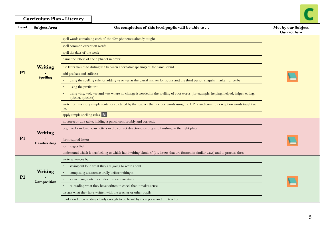

| <b>Curriculum Plan - Literacy</b> |                     |                                                                                                                                                            |                                  |
|-----------------------------------|---------------------|------------------------------------------------------------------------------------------------------------------------------------------------------------|----------------------------------|
| Level                             | <b>Subject Area</b> | On completion of this level pupils will be able to                                                                                                         | Met by our Subject<br>Curriculum |
|                                   |                     | spell words containing each of the 40+ phonemes already taught                                                                                             |                                  |
|                                   |                     | spell common exception words                                                                                                                               |                                  |
|                                   |                     | spell the days of the week                                                                                                                                 |                                  |
|                                   |                     | name the letters of the alphabet in order                                                                                                                  |                                  |
|                                   | <b>Writing</b>      | use letter names to distinguish between alternative spellings of the same sound                                                                            |                                  |
| P1                                | <b>Spelling</b>     | add prefixes and suffixes:                                                                                                                                 |                                  |
|                                   |                     | using the spelling rule for adding -s or -es as the plural marker for nouns and the third person singular marker for verbs                                 |                                  |
|                                   |                     | using the prefix un-                                                                                                                                       |                                  |
|                                   |                     | using -ing, -ed, -er and -est where no change is needed in the spelling of root words [for example, helping, helped, helper, eating,<br>quicker, quickest] |                                  |
|                                   |                     | write from memory simple sentences dictated by the teacher that include words using the GPCs and common exception words taught so<br>far.                  |                                  |
|                                   |                     | apply simple spelling rules N                                                                                                                              |                                  |
|                                   |                     | sit correctly at a table, holding a pencil comfortably and correctly                                                                                       |                                  |
|                                   | <b>Writing</b>      | begin to form lower-case letters in the correct direction, starting and finishing in the right place                                                       |                                  |
| <b>P1</b>                         |                     | form capital letters                                                                                                                                       |                                  |
|                                   | <b>Handwriting</b>  | form digits 0-9                                                                                                                                            |                                  |
|                                   |                     | understand which letters belong to which handwriting 'families' (i.e. letters that are formed in similar ways) and to practise these                       |                                  |
|                                   |                     | write sentences by:                                                                                                                                        |                                  |
|                                   |                     | saying out loud what they are going to write about                                                                                                         |                                  |
| <b>P1</b>                         | <b>Writing</b>      | composing a sentence orally before writing it                                                                                                              |                                  |
|                                   | Composition         | sequencing sentences to form short narratives                                                                                                              |                                  |
|                                   |                     | re-reading what they have written to check that it makes sense                                                                                             |                                  |
|                                   |                     | discuss what they have written with the teacher or other pupils                                                                                            |                                  |
|                                   |                     | read aloud their writing clearly enough to be heard by their peers and the teacher                                                                         |                                  |

 $\Gamma$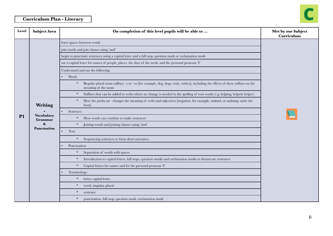### $\mathbf C$

| Level     | <b>Subject Area</b>          | On completion of this level pupils will be able to                                                                                                                   | Met by our Subject<br>Curriculum |
|-----------|------------------------------|----------------------------------------------------------------------------------------------------------------------------------------------------------------------|----------------------------------|
|           |                              | leave spaces between words                                                                                                                                           |                                  |
|           |                              | join words and join clauses using 'and'                                                                                                                              |                                  |
|           |                              | begin to punctuate sentences using a capital letter and a full stop, question mark or exclamation mark                                                               |                                  |
|           |                              | use a capital letter for names of people, places, the days of the week, and the personal pronoun 'I'                                                                 |                                  |
|           |                              | Understand and use the following:                                                                                                                                    |                                  |
|           |                              | Word:                                                                                                                                                                |                                  |
|           |                              | Regular plural noun suffixes $-$ s or $-e$ s [for example, dog, dogs; wish, wishes], including the effects of these suffixes on the<br>$\ast$<br>meaning of the noun |                                  |
|           |                              | Suffixes that can be added to verbs where no change is needed in the spelling of root words (e.g. helping, helped, helper)<br>$\ast$                                 |                                  |
|           | Writing                      | How the prefix un-changes the meaning of verbs and adjectives [negation, for example, unkind, or undoing: untie the<br>$\ast$<br>boat]                               |                                  |
|           |                              | Sentence:<br>$\bullet$                                                                                                                                               |                                  |
| <b>P1</b> | <b>Vocabulary</b><br>Grammar | How words can combine to make sentences<br>$\ast$                                                                                                                    |                                  |
|           | $\&$<br>Punctuation          | Joining words and joining clauses using 'and'<br>$\ast$                                                                                                              |                                  |
|           |                              | Text:                                                                                                                                                                |                                  |
|           |                              | Sequencing sentences to form short narratives<br>$\ast$                                                                                                              |                                  |
|           |                              | Punctuation:                                                                                                                                                         |                                  |
|           |                              | Separation of words with spaces<br>$\ast$                                                                                                                            |                                  |
|           |                              | Introduction to capital letters, full stops, question marks and exclamation marks to demarcate sentences<br>$\ast$                                                   |                                  |
|           |                              | Capital letters for names and for the personal pronoun 'I'<br>$\ast$                                                                                                 |                                  |
|           |                              | Terminology:                                                                                                                                                         |                                  |
|           |                              | letter, capital letter<br>$\ast$                                                                                                                                     |                                  |
|           |                              | word, singular, plural<br>$\ast$                                                                                                                                     |                                  |
|           |                              | $\ast$<br>sentence                                                                                                                                                   |                                  |
|           |                              | punctuation, full stop, question mark, exclamation mark<br>$\ast$                                                                                                    |                                  |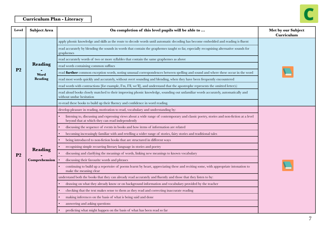

| Level          | <b>Subject Area</b> | On completion of this level pupils will be able to                                                                                                                                          | Met by our Subject<br>Curriculum |
|----------------|---------------------|---------------------------------------------------------------------------------------------------------------------------------------------------------------------------------------------|----------------------------------|
|                |                     | apply phonic knowledge and skills as the route to decode words until automatic decoding has become embedded and reading is fluent                                                           |                                  |
|                |                     | read accurately by blending the sounds in words that contain the graphemes taught so far, especially recognising alternative sounds for<br>graphemes                                        |                                  |
|                |                     | read accurately words of two or more syllables that contain the same graphemes as above                                                                                                     |                                  |
|                | Reading             | read words containing common suffixes                                                                                                                                                       |                                  |
| P <sub>2</sub> | Word                | read further common exception words, noting unusual correspondences between spelling and sound and where these occur in the word                                                            |                                  |
|                | <b>Reading</b>      | read most words quickly and accurately, without overt sounding and blending, when they have been frequently encountered                                                                     |                                  |
|                |                     | read words with contractions [for example, I'm, I'll, we'll], and understand that the apostrophe represents the omitted letter(s)                                                           |                                  |
|                |                     | read aloud books closely matched to their improving phonic knowledge, sounding out unfamiliar words accurately, automatically and<br>without undue hesitation                               |                                  |
|                |                     | re-read these books to build up their fluency and confidence in word reading.                                                                                                               |                                  |
|                |                     | develop pleasure in reading, motivation to read, vocabulary and understanding by:                                                                                                           |                                  |
|                |                     | listening to, discussing and expressing views about a wide range of contemporary and classic poetry, stories and non-fiction at a level<br>beyond that at which they can read independently |                                  |
|                |                     | discussing the sequence of events in books and how items of information are related                                                                                                         |                                  |
|                |                     | becoming increasingly familiar with and retelling a wider range of stories, fairy stories and traditional tales                                                                             |                                  |
|                |                     | being introduced to non-fiction books that are structured in different ways                                                                                                                 |                                  |
|                | <b>Reading</b>      | recognising simple recurring literary language in stories and poetry                                                                                                                        |                                  |
| P <sub>2</sub> |                     | discussing and clarifying the meanings of words, linking new meanings to known vocabulary                                                                                                   |                                  |
|                | Comprehension       | discussing their favourite words and phrases                                                                                                                                                |                                  |
|                |                     | continuing to build up a repertoire of poems learnt by heart, appreciating these and reciting some, with appropriate intonation to<br>make the meaning clear                                |                                  |
|                |                     | understand both the books that they can already read accurately and fluently and those that they listen to by:                                                                              |                                  |
|                |                     | drawing on what they already know or on background information and vocabulary provided by the teacher                                                                                       |                                  |
|                |                     | checking that the text makes sense to them as they read and correcting inaccurate reading                                                                                                   |                                  |
|                |                     | making inferences on the basis of what is being said and done                                                                                                                               |                                  |
|                |                     | answering and asking questions                                                                                                                                                              |                                  |
|                |                     | predicting what might happen on the basis of what has been read so far                                                                                                                      |                                  |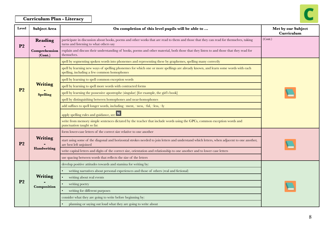

| <b>Level</b>   | <b>Subject Area</b>      | On completion of this level pupils will be able to                                                                                                                               | Met by our Subject<br>Curriculum |
|----------------|--------------------------|----------------------------------------------------------------------------------------------------------------------------------------------------------------------------------|----------------------------------|
| P <sub>2</sub> | Reading                  | participate in discussion about books, poems and other works that are read to them and those that they can read for themselves, taking<br>turns and listening to what others say | (Cont.)                          |
|                | Comprehension<br>(Cont.) | explain and discuss their understanding of books, poems and other material, both those that they listen to and those that they read for<br>themselves.                           |                                  |
|                |                          | spell by segmenting spoken words into phonemes and representing these by graphemes, spelling many correctly                                                                      |                                  |
|                |                          | spell by learning new ways of spelling phonemes for which one or more spellings are already known, and learn some words with each<br>spelling, including a few common homophones |                                  |
|                |                          | spell by learning to spell common exception words                                                                                                                                |                                  |
|                | <b>Writing</b>           | spell by learning to spell more words with contracted forms                                                                                                                      |                                  |
| P <sub>2</sub> | <b>Spelling</b>          | spell by learning the possessive apostrophe (singular) [for example, the girl's book]                                                                                            |                                  |
|                |                          | spell by distinguishing between homophones and near-homophones                                                                                                                   |                                  |
|                |                          | add suffixes to spell longer words, including -ment, -ness, -ful, -less, -ly                                                                                                     |                                  |
|                |                          | apply spelling rules and guidance, see N                                                                                                                                         |                                  |
|                |                          | write from memory simple sentences dictated by the teacher that include words using the GPCs, common exception words and<br>punctuation taught so far.                           |                                  |
|                |                          | form lower-case letters of the correct size relative to one another                                                                                                              |                                  |
| P <sub>2</sub> | Writing                  | start using some of the diagonal and horizontal strokes needed to join letters and understand which letters, when adjacent to one another,<br>are best left unjoined             |                                  |
|                | <b>Handwriting</b>       | write capital letters and digits of the correct size, orientation and relationship to one another and to lower case letters                                                      |                                  |
|                |                          | use spacing between words that reflects the size of the letters                                                                                                                  |                                  |
|                |                          | develop positive attitudes towards and stamina for writing by:                                                                                                                   |                                  |
|                |                          | writing narratives about personal experiences and those of others (real and fictional)                                                                                           |                                  |
|                | Writing                  | writing about real events                                                                                                                                                        |                                  |
| P <sub>2</sub> | Composition              | writing poetry                                                                                                                                                                   |                                  |
|                |                          | writing for different purposes                                                                                                                                                   |                                  |
|                |                          | consider what they are going to write before beginning by:                                                                                                                       |                                  |
|                |                          | planning or saying out loud what they are going to write about                                                                                                                   |                                  |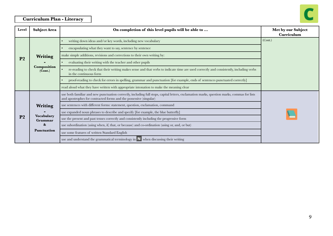

| <b>Level</b>   | <b>Subject Area</b>          | On completion of this level pupils will be able to                                                                                                                                                                | Met by our Subject<br>Curriculum |
|----------------|------------------------------|-------------------------------------------------------------------------------------------------------------------------------------------------------------------------------------------------------------------|----------------------------------|
|                |                              | writing down ideas and/or key words, including new vocabulary                                                                                                                                                     | (Cont.)                          |
|                |                              | encapsulating what they want to say, sentence by sentence                                                                                                                                                         |                                  |
| P <sub>2</sub> | <b>Writing</b>               | make simple additions, revisions and corrections to their own writing by:                                                                                                                                         |                                  |
|                |                              | evaluating their writing with the teacher and other pupils                                                                                                                                                        |                                  |
|                | Composition<br>(Cont.)       | re-reading to check that their writing makes sense and that verbs to indicate time are used correctly and consistently, including verbs<br>in the continuous form                                                 |                                  |
|                |                              | proof-reading to check for errors in spelling, grammar and punctuation [for example, ends of sentences punctuated correctly]                                                                                      |                                  |
|                |                              | read aloud what they have written with appropriate intonation to make the meaning clear                                                                                                                           |                                  |
|                |                              | use both familiar and new punctuation correctly, including full stops, capital letters, exclamation marks, question marks, commas for lists<br>and apostrophes for contracted forms and the possessive (singular) |                                  |
|                | Writing                      | use sentences with different forms: statement, question, exclamation, command                                                                                                                                     |                                  |
|                |                              | use expanded noun phrases to describe and specify [for example, the blue butterfly]                                                                                                                               |                                  |
| P <sub>2</sub> | <b>Vocabulary</b><br>Grammar | use the present and past tenses correctly and consistently including the progressive form                                                                                                                         |                                  |
|                | $\boldsymbol{\&}$            | use subordination (using when, if, that, or because) and co-ordination (using or, and, or but)                                                                                                                    |                                  |
|                | <b>Punctuation</b>           | use some features of written Standard English                                                                                                                                                                     |                                  |
|                |                              | use and understand the grammatical terminology in $\blacksquare$ when discussing their writing                                                                                                                    |                                  |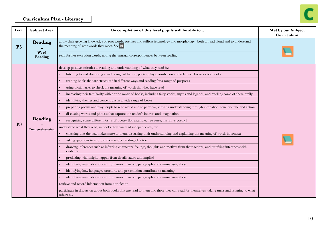

| Level          | <b>Subject Area</b> | On completion of this level pupils will be able to                                                                                                                             | Met by our Subject<br>Curriculum |
|----------------|---------------------|--------------------------------------------------------------------------------------------------------------------------------------------------------------------------------|----------------------------------|
| P <sub>3</sub> | Reading<br>Word     | apply their growing knowledge of root words, prefixes and suffixes (etymology and morphology), both to read aloud and to understand<br>the meaning of new words they meet. See |                                  |
|                | Reading             | read further exception words, noting the unusual correspondences between spelling                                                                                              |                                  |
|                |                     | develop positive attitudes to reading and understanding of what they read by:                                                                                                  |                                  |
|                |                     | listening to and discussing a wide range of fiction, poetry, plays, non-fiction and reference books or textbooks                                                               |                                  |
|                |                     | reading books that are structured in different ways and reading for a range of purposes                                                                                        |                                  |
|                |                     | using dictionaries to check the meaning of words that they have read                                                                                                           |                                  |
|                |                     | increasing their familiarity with a wide range of books, including fairy stories, myths and legends, and retelling some of these orally                                        |                                  |
|                |                     | identifying themes and conventions in a wide range of books                                                                                                                    |                                  |
|                |                     | preparing poems and play scripts to read aloud and to perform, showing understanding through intonation, tone, volume and action                                               |                                  |
|                |                     | discussing words and phrases that capture the reader's interest and imagination                                                                                                |                                  |
|                | Reading             | recognising some different forms of poetry [for example, free verse, narrative poetry]                                                                                         |                                  |
| P <sub>3</sub> | Comprehension       | understand what they read, in books they can read independently, by:                                                                                                           |                                  |
|                |                     | checking that the text makes sense to them, discussing their understanding and explaining the meaning of words in context                                                      |                                  |
|                |                     | asking questions to improve their understanding of a text                                                                                                                      |                                  |
|                |                     | drawing inferences such as inferring characters' feelings, thoughts and motives from their actions, and justifying inferences with<br>evidence                                 |                                  |
|                |                     | predicting what might happen from details stated and implied                                                                                                                   |                                  |
|                |                     | identifying main ideas drawn from more than one paragraph and summarising these                                                                                                |                                  |
|                |                     | identifying how language, structure, and presentation contribute to meaning                                                                                                    |                                  |
|                |                     | identifying main ideas drawn from more than one paragraph and summarising these                                                                                                |                                  |
|                |                     | retrieve and record information from non-fiction                                                                                                                               |                                  |
|                |                     | participate in discussion about both books that are read to them and those they can read for themselves, taking turns and listening to what<br>others say                      |                                  |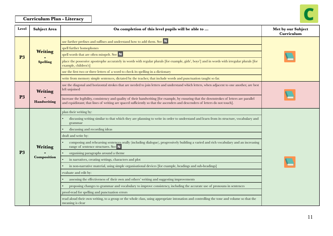

| Level          | <b>Subject Area</b> | On completion of this level pupils will be able to                                                                                                                         | Met by our Subject<br>Curriculum                                                                                                                                                                                                                                              |  |
|----------------|---------------------|----------------------------------------------------------------------------------------------------------------------------------------------------------------------------|-------------------------------------------------------------------------------------------------------------------------------------------------------------------------------------------------------------------------------------------------------------------------------|--|
|                |                     | use further prefixes and suffixes and understand how to add them. See $\,$ N $\,$                                                                                          |                                                                                                                                                                                                                                                                               |  |
|                |                     | spell further homophones                                                                                                                                                   |                                                                                                                                                                                                                                                                               |  |
| P <sub>3</sub> | <b>Writing</b>      | spell words that are often misspelt. See                                                                                                                                   |                                                                                                                                                                                                                                                                               |  |
|                | <b>Spelling</b>     | place the possessive apostrophe accurately in words with regular plurals [for example, girls', boys'] and in words with irregular plurals [for<br>example, children's]     |                                                                                                                                                                                                                                                                               |  |
|                |                     | use the first two or three letters of a word to check its spelling in a dictionary                                                                                         |                                                                                                                                                                                                                                                                               |  |
|                |                     | write from memory simple sentences, dictated by the teacher, that include words and punctuation taught so far.                                                             |                                                                                                                                                                                                                                                                               |  |
|                | Writing             | use the diagonal and horizontal strokes that are needed to join letters and understand which letters, when adjacent to one another, are best<br>left unjoined              |                                                                                                                                                                                                                                                                               |  |
| P <sub>3</sub> |                     | <b>Handwriting</b>                                                                                                                                                         | increase the legibility, consistency and quality of their handwriting [for example, by ensuring that the downstrokes of letters are parallel<br>and equidistant; that lines of writing are spaced sufficiently so that the ascenders and descenders of letters do not touch]. |  |
|                |                     | plan their writing by:                                                                                                                                                     |                                                                                                                                                                                                                                                                               |  |
|                |                     | discussing writing similar to that which they are planning to write in order to understand and learn from its structure, vocabulary and<br>grammar                         |                                                                                                                                                                                                                                                                               |  |
|                |                     | discussing and recording ideas                                                                                                                                             |                                                                                                                                                                                                                                                                               |  |
|                |                     | draft and write by:                                                                                                                                                        |                                                                                                                                                                                                                                                                               |  |
|                | <b>Writing</b>      | composing and rehearsing sentences orally (including dialogue), progressively building a varied and rich vocabulary and an increasing<br>range of sentence structures. See |                                                                                                                                                                                                                                                                               |  |
| P <sub>3</sub> |                     | organising paragraphs around a theme                                                                                                                                       |                                                                                                                                                                                                                                                                               |  |
|                | Composition         | in narratives, creating settings, characters and plot                                                                                                                      |                                                                                                                                                                                                                                                                               |  |
|                |                     | in non-narrative material, using simple organisational devices [for example, headings and sub-headings]                                                                    |                                                                                                                                                                                                                                                                               |  |
|                |                     | evaluate and edit by:                                                                                                                                                      |                                                                                                                                                                                                                                                                               |  |
|                |                     | assessing the effectiveness of their own and others' writing and suggesting improvements                                                                                   |                                                                                                                                                                                                                                                                               |  |
|                |                     | proposing changes to grammar and vocabulary to improve consistency, including the accurate use of pronouns in sentences                                                    |                                                                                                                                                                                                                                                                               |  |
|                |                     | proof-read for spelling and punctuation errors                                                                                                                             |                                                                                                                                                                                                                                                                               |  |
|                |                     | read aloud their own writing, to a group or the whole class, using appropriate intonation and controlling the tone and volume so that the<br>meaning is clear              |                                                                                                                                                                                                                                                                               |  |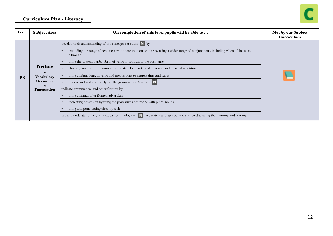## $\mathbf{C}$

| Level          | <b>Subject Area</b>                                         | On completion of this level pupils will be able to                                                                                                                                                                                                                                                                                                                                                                                                                                                                                                                                                                                                                                                                                                                                                                                                                                                              | Met by our Subject<br>Curriculum |
|----------------|-------------------------------------------------------------|-----------------------------------------------------------------------------------------------------------------------------------------------------------------------------------------------------------------------------------------------------------------------------------------------------------------------------------------------------------------------------------------------------------------------------------------------------------------------------------------------------------------------------------------------------------------------------------------------------------------------------------------------------------------------------------------------------------------------------------------------------------------------------------------------------------------------------------------------------------------------------------------------------------------|----------------------------------|
| P <sub>3</sub> | Writing<br>Vocabulary<br>Grammar<br>&<br><b>Punctuation</b> | develop their understanding of the concepts set out in $\  \mathbf{N} \ $ by:<br>extending the range of sentences with more than one clause by using a wider range of conjunctions, including when, if, because,<br>although<br>using the present perfect form of verbs in contrast to the past tense<br>choosing nouns or pronouns appropriately for clarity and cohesion and to avoid repetition<br>using conjunctions, adverbs and prepositions to express time and cause<br>understand and accurately use the grammar for Year 3 in $\mathbb N$<br>indicate grammatical and other features by:<br>using commas after fronted adverbials<br>indicating possession by using the possessive apostrophe with plural nouns<br>using and punctuating direct speech<br>accurately and appropriately when discussing their writing and reading.<br>use and understand the grammatical terminology in $\blacksquare$ |                                  |
|                |                                                             |                                                                                                                                                                                                                                                                                                                                                                                                                                                                                                                                                                                                                                                                                                                                                                                                                                                                                                                 |                                  |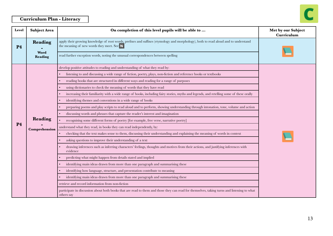

| Level     | <b>Subject Area</b> | On completion of this level pupils will be able to                                                                                                                             | Met by our Subject<br>Curriculum |
|-----------|---------------------|--------------------------------------------------------------------------------------------------------------------------------------------------------------------------------|----------------------------------|
| <b>P4</b> | Reading             | apply their growing knowledge of root words, prefixes and suffixes (etymology and morphology), both to read aloud and to understand<br>the meaning of new words they meet. See |                                  |
|           | Word<br>Reading     | read further exception words, noting the unusual correspondences between spelling                                                                                              |                                  |
|           |                     | develop positive attitudes to reading and understanding of what they read by:                                                                                                  |                                  |
|           |                     | listening to and discussing a wide range of fiction, poetry, plays, non-fiction and reference books or textbooks                                                               |                                  |
|           |                     | reading books that are structured in different ways and reading for a range of purposes                                                                                        |                                  |
|           |                     | using dictionaries to check the meaning of words that they have read                                                                                                           |                                  |
|           |                     | increasing their familiarity with a wide range of books, including fairy stories, myths and legends, and retelling some of these orally                                        |                                  |
|           |                     | identifying themes and conventions in a wide range of books                                                                                                                    |                                  |
|           |                     | preparing poems and play scripts to read aloud and to perform, showing understanding through intonation, tone, volume and action                                               |                                  |
|           |                     | discussing words and phrases that capture the reader's interest and imagination                                                                                                |                                  |
|           | Reading             | recognising some different forms of poetry [for example, free verse, narrative poetry]                                                                                         |                                  |
| <b>P4</b> | Comprehension       | understand what they read, in books they can read independently, by:                                                                                                           |                                  |
|           |                     | checking that the text makes sense to them, discussing their understanding and explaining the meaning of words in context                                                      |                                  |
|           |                     | asking questions to improve their understanding of a text                                                                                                                      |                                  |
|           |                     | drawing inferences such as inferring characters' feelings, thoughts and motives from their actions, and justifying inferences with<br>evidence                                 |                                  |
|           |                     | predicting what might happen from details stated and implied                                                                                                                   |                                  |
|           |                     | identifying main ideas drawn from more than one paragraph and summarising these                                                                                                |                                  |
|           |                     | identifying how language, structure, and presentation contribute to meaning                                                                                                    |                                  |
|           |                     | identifying main ideas drawn from more than one paragraph and summarising these                                                                                                |                                  |
|           |                     | retrieve and record information from non-fiction                                                                                                                               |                                  |
|           |                     | participate in discussion about both books that are read to them and those they can read for themselves, taking turns and listening to what<br>others say                      |                                  |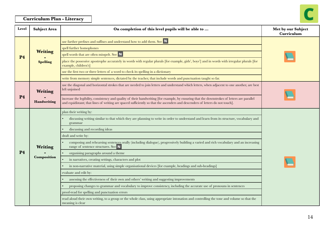

| Level     | <b>Subject Area</b> | On completion of this level pupils will be able to                                                                                                                         | Met by our Subject<br>Curriculum                                                                                                                                                                                                                                              |  |
|-----------|---------------------|----------------------------------------------------------------------------------------------------------------------------------------------------------------------------|-------------------------------------------------------------------------------------------------------------------------------------------------------------------------------------------------------------------------------------------------------------------------------|--|
|           |                     | use further prefixes and suffixes and understand how to add them. See                                                                                                      |                                                                                                                                                                                                                                                                               |  |
|           | <b>Writing</b>      | spell further homophones                                                                                                                                                   |                                                                                                                                                                                                                                                                               |  |
| <b>P4</b> |                     | spell words that are often misspelt. See                                                                                                                                   |                                                                                                                                                                                                                                                                               |  |
|           | <b>Spelling</b>     | place the possessive apostrophe accurately in words with regular plurals [for example, girls', boys'] and in words with irregular plurals [for<br>example, children's]     |                                                                                                                                                                                                                                                                               |  |
|           |                     | use the first two or three letters of a word to check its spelling in a dictionary                                                                                         |                                                                                                                                                                                                                                                                               |  |
|           |                     | write from memory simple sentences, dictated by the teacher, that include words and punctuation taught so far.                                                             |                                                                                                                                                                                                                                                                               |  |
|           | <b>Writing</b>      | use the diagonal and horizontal strokes that are needed to join letters and understand which letters, when adjacent to one another, are best<br>left unjoined              |                                                                                                                                                                                                                                                                               |  |
| <b>P4</b> |                     | Handwriting                                                                                                                                                                | increase the legibility, consistency and quality of their handwriting [for example, by ensuring that the downstrokes of letters are parallel<br>and equidistant; that lines of writing are spaced sufficiently so that the ascenders and descenders of letters do not touch]. |  |
|           |                     | plan their writing by:                                                                                                                                                     |                                                                                                                                                                                                                                                                               |  |
|           |                     | discussing writing similar to that which they are planning to write in order to understand and learn from its structure, vocabulary and<br>grammar                         |                                                                                                                                                                                                                                                                               |  |
|           |                     | discussing and recording ideas                                                                                                                                             |                                                                                                                                                                                                                                                                               |  |
|           |                     | draft and write by:                                                                                                                                                        |                                                                                                                                                                                                                                                                               |  |
|           | <b>Writing</b>      | composing and rehearsing sentences orally (including dialogue), progressively building a varied and rich vocabulary and an increasing<br>range of sentence structures. See |                                                                                                                                                                                                                                                                               |  |
| <b>P4</b> |                     | organising paragraphs around a theme                                                                                                                                       |                                                                                                                                                                                                                                                                               |  |
|           | Composition         | in narratives, creating settings, characters and plot                                                                                                                      |                                                                                                                                                                                                                                                                               |  |
|           |                     | in non-narrative material, using simple organisational devices [for example, headings and sub-headings]                                                                    |                                                                                                                                                                                                                                                                               |  |
|           |                     | evaluate and edit by:                                                                                                                                                      |                                                                                                                                                                                                                                                                               |  |
|           |                     | assessing the effectiveness of their own and others' writing and suggesting improvements                                                                                   |                                                                                                                                                                                                                                                                               |  |
|           |                     | proposing changes to grammar and vocabulary to improve consistency, including the accurate use of pronouns in sentences                                                    |                                                                                                                                                                                                                                                                               |  |
|           |                     | proof-read for spelling and punctuation errors                                                                                                                             |                                                                                                                                                                                                                                                                               |  |
|           |                     | read aloud their own writing, to a group or the whole class, using appropriate intonation and controlling the tone and volume so that the<br>meaning is clear              |                                                                                                                                                                                                                                                                               |  |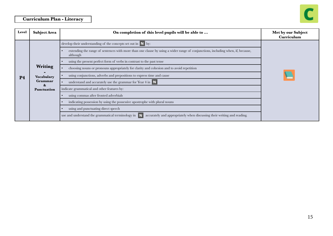## $\mathbf{C}$

| Level     | <b>Subject Area</b>                                         | On completion of this level pupils will be able to                                                                                                                                                                                                                                                                                                                                                                                                                                                                                                                                                                                                                                                                                                     | Met by our Subject<br>Curriculum |
|-----------|-------------------------------------------------------------|--------------------------------------------------------------------------------------------------------------------------------------------------------------------------------------------------------------------------------------------------------------------------------------------------------------------------------------------------------------------------------------------------------------------------------------------------------------------------------------------------------------------------------------------------------------------------------------------------------------------------------------------------------------------------------------------------------------------------------------------------------|----------------------------------|
| <b>P4</b> | Writing<br>Vocabulary<br>Grammar<br>&<br><b>Punctuation</b> | develop their understanding of the concepts set out in $\  \mathbf{N} \ $ by:<br>extending the range of sentences with more than one clause by using a wider range of conjunctions, including when, if, because,<br>although<br>using the present perfect form of verbs in contrast to the past tense<br>choosing nouns or pronouns appropriately for clarity and cohesion and to avoid repetition<br>using conjunctions, adverbs and prepositions to express time and cause<br>understand and accurately use the grammar for Year $4$ in<br>indicate grammatical and other features by:<br>using commas after fronted adverbials<br>indicating possession by using the possessive apostrophe with plural nouns<br>using and punctuating direct speech |                                  |
|           |                                                             | use and understand the grammatical terminology in $\mathbb{N}$<br>accurately and appropriately when discussing their writing and reading.                                                                                                                                                                                                                                                                                                                                                                                                                                                                                                                                                                                                              |                                  |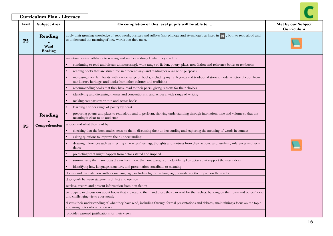

| <b>Curriculum Plan - Literacy</b> |                            |                                                                                                                          |                                                                                                                                              |                                  |
|-----------------------------------|----------------------------|--------------------------------------------------------------------------------------------------------------------------|----------------------------------------------------------------------------------------------------------------------------------------------|----------------------------------|
| Level                             | <b>Subject Area</b>        |                                                                                                                          | On completion of this level pupils will be able to                                                                                           | Met by our Subject<br>Curriculum |
| <b>P5</b>                         | Reading<br>Word<br>Reading | to understand the meaning of new words that they meet.                                                                   | apply their growing knowledge of root words, prefixes and suffixes (morphology and etymology), as listed in N, both to read aloud and        |                                  |
|                                   |                            | maintain positive attitudes to reading and understanding of what they read by:                                           |                                                                                                                                              |                                  |
|                                   |                            |                                                                                                                          | continuing to read and discuss an increasingly wide range of fiction, poetry, plays, non-fiction and reference books or textbooks            |                                  |
|                                   |                            | reading books that are structured in different ways and reading for a range of purposes                                  |                                                                                                                                              |                                  |
|                                   |                            | our literary heritage, and books from other cultures and traditions                                                      | increasing their familiarity with a wide range of books, including myths, legends and traditional stories, modern fiction, fiction from      |                                  |
|                                   |                            | recommending books that they have read to their peers, giving reasons for their choices                                  |                                                                                                                                              |                                  |
|                                   |                            | identifying and discussing themes and conventions in and across a wide range of writing                                  |                                                                                                                                              |                                  |
|                                   |                            | making comparisons within and across books                                                                               |                                                                                                                                              |                                  |
|                                   |                            | learning a wider range of poetry by heart                                                                                |                                                                                                                                              |                                  |
|                                   | Reading                    | meaning is clear to an audience                                                                                          | preparing poems and plays to read aloud and to perform, showing understanding through intonation, tone and volume so that the                |                                  |
| <b>P5</b>                         | Comprehension              | understand what they read by:                                                                                            |                                                                                                                                              |                                  |
|                                   |                            | checking that the book makes sense to them, discussing their understanding and exploring the meaning of words in context |                                                                                                                                              |                                  |
|                                   |                            | asking questions to improve their understanding                                                                          |                                                                                                                                              |                                  |
|                                   |                            | dence                                                                                                                    | drawing inferences such as inferring characters' feelings, thoughts and motives from their actions, and justifying inferences with evi-      |                                  |
|                                   |                            | predicting what might happen from details stated and implied                                                             |                                                                                                                                              |                                  |
|                                   |                            | summarising the main ideas drawn from more than one paragraph, identifying key details that support the main ideas       |                                                                                                                                              |                                  |
|                                   |                            | identifying how language, structure, and presentation contribute to meaning                                              |                                                                                                                                              |                                  |
|                                   |                            | discuss and evaluate how authors use language, including figurative language, considering the impact on the reader       |                                                                                                                                              |                                  |
|                                   |                            | distinguish between statements of fact and opinion                                                                       |                                                                                                                                              |                                  |
|                                   |                            | retrieve, record and present information from non-fiction                                                                |                                                                                                                                              |                                  |
|                                   |                            | and challenging views courteously                                                                                        | participate in discussions about books that are read to them and those they can read for themselves, building on their own and others' ideas |                                  |
|                                   |                            | and using notes where necessary                                                                                          | discuss their understanding of what they have read, including through formal presentations and debates, maintaining a focus on the topic     |                                  |
|                                   |                            | provide reasoned justifications for their views                                                                          |                                                                                                                                              |                                  |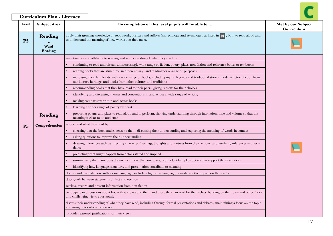

| <b>Curriculum Plan - Literacy</b> |                            |                                                           |                                                                                                                                                                                                                |                                  |
|-----------------------------------|----------------------------|-----------------------------------------------------------|----------------------------------------------------------------------------------------------------------------------------------------------------------------------------------------------------------------|----------------------------------|
| Level                             | <b>Subject Area</b>        |                                                           | On completion of this level pupils will be able to                                                                                                                                                             | Met by our Subject<br>Curriculum |
| <b>P5</b>                         | Reading<br>Word<br>Reading | to understand the meaning of new words that they meet.    | apply their growing knowledge of root words, prefixes and suffixes (morphology and etymology), as listed in N, both to read aloud and                                                                          |                                  |
|                                   |                            |                                                           | maintain positive attitudes to reading and understanding of what they read by:                                                                                                                                 |                                  |
|                                   |                            |                                                           | continuing to read and discuss an increasingly wide range of fiction, poetry, plays, non-fiction and reference books or textbooks                                                                              |                                  |
|                                   |                            |                                                           | reading books that are structured in different ways and reading for a range of purposes                                                                                                                        |                                  |
|                                   |                            |                                                           | increasing their familiarity with a wide range of books, including myths, legends and traditional stories, modern fiction, fiction from<br>our literary heritage, and books from other cultures and traditions |                                  |
|                                   |                            |                                                           | recommending books that they have read to their peers, giving reasons for their choices                                                                                                                        |                                  |
|                                   |                            |                                                           | identifying and discussing themes and conventions in and across a wide range of writing                                                                                                                        |                                  |
|                                   |                            | making comparisons within and across books                |                                                                                                                                                                                                                |                                  |
|                                   |                            | learning a wider range of poetry by heart                 |                                                                                                                                                                                                                |                                  |
|                                   | Reading                    | meaning is clear to an audience                           | preparing poems and plays to read aloud and to perform, showing understanding through intonation, tone and volume so that the                                                                                  |                                  |
| <b>P5</b>                         | Comprehension              | understand what they read by:                             |                                                                                                                                                                                                                |                                  |
|                                   |                            |                                                           | checking that the book makes sense to them, discussing their understanding and exploring the meaning of words in context                                                                                       |                                  |
|                                   |                            | asking questions to improve their understanding           |                                                                                                                                                                                                                |                                  |
|                                   |                            | dence                                                     | drawing inferences such as inferring characters' feelings, thoughts and motives from their actions, and justifying inferences with evi-                                                                        |                                  |
|                                   |                            |                                                           | predicting what might happen from details stated and implied                                                                                                                                                   |                                  |
|                                   |                            |                                                           | summarising the main ideas drawn from more than one paragraph, identifying key details that support the main ideas                                                                                             |                                  |
|                                   |                            |                                                           | identifying how language, structure, and presentation contribute to meaning                                                                                                                                    |                                  |
|                                   |                            |                                                           | discuss and evaluate how authors use language, including figurative language, considering the impact on the reader                                                                                             |                                  |
|                                   |                            | distinguish between statements of fact and opinion        |                                                                                                                                                                                                                |                                  |
|                                   |                            | retrieve, record and present information from non-fiction |                                                                                                                                                                                                                |                                  |
|                                   |                            | and challenging views courteously                         | participate in discussions about books that are read to them and those they can read for themselves, building on their own and others' ideas                                                                   |                                  |
|                                   |                            | and using notes where necessary                           | discuss their understanding of what they have read, including through formal presentations and debates, maintaining a focus on the topic                                                                       |                                  |
|                                   |                            | provide reasoned justifications for their views           |                                                                                                                                                                                                                |                                  |
|                                   |                            |                                                           |                                                                                                                                                                                                                |                                  |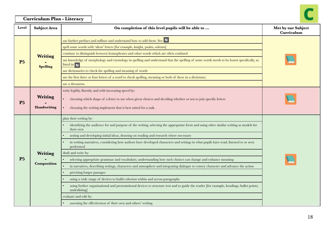

|                | <b>Curriculum Plan - Literacy</b> |                                                                                                                                                                                                                                                                                                                                                                                                                                                                                                                                                                                                                                                                                                                                                                                                                                                                                                                                                                                                                                                                      |                                  |
|----------------|-----------------------------------|----------------------------------------------------------------------------------------------------------------------------------------------------------------------------------------------------------------------------------------------------------------------------------------------------------------------------------------------------------------------------------------------------------------------------------------------------------------------------------------------------------------------------------------------------------------------------------------------------------------------------------------------------------------------------------------------------------------------------------------------------------------------------------------------------------------------------------------------------------------------------------------------------------------------------------------------------------------------------------------------------------------------------------------------------------------------|----------------------------------|
| Level          | <b>Subject Area</b>               | On completion of this level pupils will be able to                                                                                                                                                                                                                                                                                                                                                                                                                                                                                                                                                                                                                                                                                                                                                                                                                                                                                                                                                                                                                   | Met by our Subject<br>Curriculum |
| P <sub>5</sub> | <b>Writing</b><br><b>Spelling</b> | use further prefixes and suffixes and understand how to add them. See<br>spell some words with 'silent' letters [for example, knight, psalm, solemn]<br>continue to distinguish between homophones and other words which are often confused<br>use knowledge of morphology and etymology in spelling and understand that the spelling of some words needs to be learnt specifically, as<br>listed in<br>use dictionaries to check the spelling and meaning of words<br>use the first three or four letters of a word to check spelling, meaning or both of these in a dictionary<br>use a thesaurus.                                                                                                                                                                                                                                                                                                                                                                                                                                                                 |                                  |
| <b>P5</b>      | Writing<br>Handwriting            | write legibly, fluently and with increasing speed by:<br>choosing which shape of a letter to use when given choices and deciding whether or not to join specific letters<br>choosing the writing implement that is best suited for a task.                                                                                                                                                                                                                                                                                                                                                                                                                                                                                                                                                                                                                                                                                                                                                                                                                           |                                  |
| <b>P5</b>      | <b>Writing</b><br>Composition     | plan their writing by:<br>identifying the audience for and purpose of the writing, selecting the appropriate form and using other similar writing as models for<br>their own<br>noting and developing initial ideas, drawing on reading and research where necessary<br>in writing narratives, considering how authors have developed characters and settings in what pupils have read, listened to or seen<br>performed<br>draft and write by:<br>selecting appropriate grammar and vocabulary, understanding how such choices can change and enhance meaning<br>in narratives, describing settings, characters and atmosphere and integrating dialogue to convey character and advance the action<br>précising longer passages<br>using a wide range of devices to build cohesion within and across paragraphs<br>using further organisational and presentational devices to structure text and to guide the reader [for example, headings, bullet points,<br>underlining<br>evaluate and edit by:<br>assessing the effectiveness of their own and others' writing |                                  |

 $\mathbf{I}$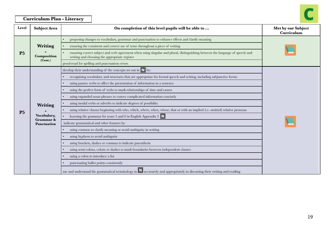

| Level     | <b>Subject Area</b>                                | On completion of this level pupils will be able to                                                                                                                                                                                                                                                                                                                                                                                                                                                                                                                                                                                                                                                                                                                                                                                                                                                                                                                                                                                                                                                                                                                                                                                                                                        | Met by our Subject<br>Curriculum |
|-----------|----------------------------------------------------|-------------------------------------------------------------------------------------------------------------------------------------------------------------------------------------------------------------------------------------------------------------------------------------------------------------------------------------------------------------------------------------------------------------------------------------------------------------------------------------------------------------------------------------------------------------------------------------------------------------------------------------------------------------------------------------------------------------------------------------------------------------------------------------------------------------------------------------------------------------------------------------------------------------------------------------------------------------------------------------------------------------------------------------------------------------------------------------------------------------------------------------------------------------------------------------------------------------------------------------------------------------------------------------------|----------------------------------|
| <b>P5</b> | <b>Writing</b><br>Composition<br>(Cont.)           | proposing changes to vocabulary, grammar and punctuation to enhance effects and clarify meaning<br>ensuring the consistent and correct use of tense throughout a piece of writing<br>ensuring correct subject and verb agreement when using singular and plural, distinguishing between the language of speech and<br>writing and choosing the appropriate register<br>proof-read for spelling and punctuation errors                                                                                                                                                                                                                                                                                                                                                                                                                                                                                                                                                                                                                                                                                                                                                                                                                                                                     |                                  |
| <b>P5</b> | Writing<br>Vocabulary,<br>Grammar &<br>Punctuation | develop their understanding of the concepts set out in $\begin{bmatrix} \mathbb{N} \\ \mathbb{N} \end{bmatrix}$ by:<br>recognising vocabulary and structures that are appropriate for formal speech and writing, including subjunctive forms<br>using passive verbs to affect the presentation of information in a sentence<br>using the perfect form of verbs to mark relationships of time and causes<br>using expanded noun phrases to convey complicated information concisely<br>using modal verbs or adverbs to indicate degrees of possibility<br>using relative clauses beginning with who, which, where, when, whose, that or with an implied (i.e. omitted) relative pronoun<br>learning the grammar for years 5 and 6 in English Appendix 2 $\vert$ N<br>indicate grammatical and other features by:<br>using commas to clarify meaning or avoid ambiguity in writing<br>using hyphens to avoid ambiguity<br>using brackets, dashes or commas to indicate parenthesis<br>using semi-colons, colons or dashes to mark boundaries between independent clauses<br>using a colon to introduce a list<br>punctuating bullet points consistently<br>use and understand the grammatical terminology in <b>N</b> accurately and appropriately in discussing their writing and reading. |                                  |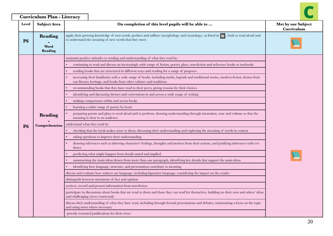

| <b>Curriculum Plan - Literacy</b> |                            |                                                                                                                                                                                                                |                                  |
|-----------------------------------|----------------------------|----------------------------------------------------------------------------------------------------------------------------------------------------------------------------------------------------------------|----------------------------------|
| Level                             | <b>Subject Area</b>        | On completion of this level pupils will be able to                                                                                                                                                             | Met by our Subject<br>Curriculum |
| <b>P6</b>                         | Reading<br>Word<br>Reading | apply their growing knowledge of root words, prefixes and suffixes (morphology and etymology), as listed in N, both to read aloud and<br>to understand the meaning of new words that they meet.                |                                  |
|                                   |                            | maintain positive attitudes to reading and understanding of what they read by:                                                                                                                                 |                                  |
|                                   |                            | continuing to read and discuss an increasingly wide range of fiction, poetry, plays, non-fiction and reference books or textbooks                                                                              |                                  |
|                                   |                            | reading books that are structured in different ways and reading for a range of purposes                                                                                                                        |                                  |
|                                   |                            | increasing their familiarity with a wide range of books, including myths, legends and traditional stories, modern fiction, fiction from<br>our literary heritage, and books from other cultures and traditions |                                  |
|                                   |                            | recommending books that they have read to their peers, giving reasons for their choices                                                                                                                        |                                  |
|                                   |                            | identifying and discussing themes and conventions in and across a wide range of writing                                                                                                                        |                                  |
|                                   |                            | making comparisons within and across books                                                                                                                                                                     |                                  |
|                                   |                            | learning a wider range of poetry by heart                                                                                                                                                                      |                                  |
|                                   | Reading                    | preparing poems and plays to read aloud and to perform, showing understanding through intonation, tone and volume so that the<br>meaning is clear to an audience                                               |                                  |
| <b>P6</b>                         | Comprehension              | understand what they read by:                                                                                                                                                                                  |                                  |
|                                   |                            | checking that the book makes sense to them, discussing their understanding and exploring the meaning of words in context                                                                                       |                                  |
|                                   |                            | asking questions to improve their understanding                                                                                                                                                                |                                  |
|                                   |                            | drawing inferences such as inferring characters' feelings, thoughts and motives from their actions, and justifying inferences with evi-<br>dence                                                               |                                  |
|                                   |                            | predicting what might happen from details stated and implied                                                                                                                                                   |                                  |
|                                   |                            | summarising the main ideas drawn from more than one paragraph, identifying key details that support the main ideas                                                                                             |                                  |
|                                   |                            | identifying how language, structure, and presentation contribute to meaning                                                                                                                                    |                                  |
|                                   |                            | discuss and evaluate how authors use language, including figurative language, considering the impact on the reader                                                                                             |                                  |
|                                   |                            | distinguish between statements of fact and opinion                                                                                                                                                             |                                  |
|                                   |                            | retrieve, record and present information from non-fiction                                                                                                                                                      |                                  |
|                                   |                            | participate in discussions about books that are read to them and those they can read for themselves, building on their own and others' ideas<br>and challenging views courteously                              |                                  |
|                                   |                            | discuss their understanding of what they have read, including through formal presentations and debates, maintaining a focus on the topic<br>and using notes where necessary                                    |                                  |
|                                   |                            | provide reasoned justifications for their views                                                                                                                                                                |                                  |
|                                   |                            |                                                                                                                                                                                                                |                                  |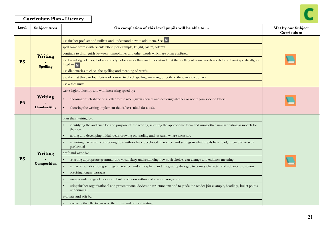

|           | <b>Curriculum Plan - Literacy</b> |                                                                                                                                                                                                                                                                                                                                                                                                                                                                                                                                                                                                                                                                                                                                                                                                                                                                                                                                                                                                                                                                      |                                  |
|-----------|-----------------------------------|----------------------------------------------------------------------------------------------------------------------------------------------------------------------------------------------------------------------------------------------------------------------------------------------------------------------------------------------------------------------------------------------------------------------------------------------------------------------------------------------------------------------------------------------------------------------------------------------------------------------------------------------------------------------------------------------------------------------------------------------------------------------------------------------------------------------------------------------------------------------------------------------------------------------------------------------------------------------------------------------------------------------------------------------------------------------|----------------------------------|
| Level     | <b>Subject Area</b>               | On completion of this level pupils will be able to                                                                                                                                                                                                                                                                                                                                                                                                                                                                                                                                                                                                                                                                                                                                                                                                                                                                                                                                                                                                                   | Met by our Subject<br>Curriculum |
| <b>P6</b> | <b>Writing</b><br><b>Spelling</b> | use further prefixes and suffixes and understand how to add them. See $\left\  \mathsf{N} \right\ $<br>spell some words with 'silent' letters [for example, knight, psalm, solemn]<br>continue to distinguish between homophones and other words which are often confused<br>use knowledge of morphology and etymology in spelling and understand that the spelling of some words needs to be learnt specifically, as<br>listed in<br>use dictionaries to check the spelling and meaning of words<br>use the first three or four letters of a word to check spelling, meaning or both of these in a dictionary<br>use a thesaurus.                                                                                                                                                                                                                                                                                                                                                                                                                                   |                                  |
| <b>P6</b> | Writing<br><b>Handwriting</b>     | write legibly, fluently and with increasing speed by:<br>choosing which shape of a letter to use when given choices and deciding whether or not to join specific letters<br>choosing the writing implement that is best suited for a task.                                                                                                                                                                                                                                                                                                                                                                                                                                                                                                                                                                                                                                                                                                                                                                                                                           |                                  |
| <b>P6</b> | Writing<br>Composition            | plan their writing by:<br>identifying the audience for and purpose of the writing, selecting the appropriate form and using other similar writing as models for<br>their own<br>noting and developing initial ideas, drawing on reading and research where necessary<br>in writing narratives, considering how authors have developed characters and settings in what pupils have read, listened to or seen<br>performed<br>draft and write by:<br>selecting appropriate grammar and vocabulary, understanding how such choices can change and enhance meaning<br>in narratives, describing settings, characters and atmosphere and integrating dialogue to convey character and advance the action<br>précising longer passages<br>using a wide range of devices to build cohesion within and across paragraphs<br>using further organisational and presentational devices to structure text and to guide the reader [for example, headings, bullet points,<br>underlining<br>evaluate and edit by:<br>assessing the effectiveness of their own and others' writing |                                  |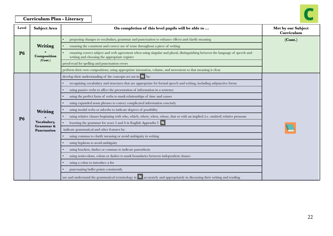

| Level     | <b>Subject Area</b>      | On completion of this level pupils will be able to                                                                                                                             | Met by our Subject<br>Curriculum |
|-----------|--------------------------|--------------------------------------------------------------------------------------------------------------------------------------------------------------------------------|----------------------------------|
|           |                          | proposing changes to vocabulary, grammar and punctuation to enhance effects and clarify meaning                                                                                | (Cont.)                          |
|           | Writing                  | ensuring the consistent and correct use of tense throughout a piece of writing                                                                                                 |                                  |
| <b>P6</b> | Composition<br>(Cont.)   | ensuring correct subject and verb agreement when using singular and plural, distinguishing between the language of speech and<br>writing and choosing the appropriate register |                                  |
|           |                          | proof-read for spelling and punctuation errors                                                                                                                                 |                                  |
|           |                          | perform their own compositions, using appropriate intonation, volume, and movement so that meaning is clear.                                                                   |                                  |
|           |                          | develop their understanding of the concepts set out in $\mathbb{N}$ by:                                                                                                        |                                  |
|           |                          | recognising vocabulary and structures that are appropriate for formal speech and writing, including subjunctive forms                                                          |                                  |
|           |                          | using passive verbs to affect the presentation of information in a sentence                                                                                                    |                                  |
|           |                          | using the perfect form of verbs to mark relationships of time and causes                                                                                                       |                                  |
|           | Writing                  | using expanded noun phrases to convey complicated information concisely                                                                                                        |                                  |
|           |                          | using modal verbs or adverbs to indicate degrees of possibility                                                                                                                |                                  |
| <b>P6</b> |                          | using relative clauses beginning with who, which, where, when, whose, that or with an implied (i.e. omitted) relative pronoun                                                  |                                  |
|           | Vocabulary,<br>Grammar & | learning the grammar for years 5 and 6 in English Appendix 2                                                                                                                   |                                  |
|           | Punctuation              | indicate grammatical and other features by:                                                                                                                                    |                                  |
|           |                          | using commas to clarify meaning or avoid ambiguity in writing                                                                                                                  |                                  |
|           |                          | using hyphens to avoid ambiguity                                                                                                                                               |                                  |
|           |                          | using brackets, dashes or commas to indicate parenthesis                                                                                                                       |                                  |
|           |                          | using semi-colons, colons or dashes to mark boundaries between independent clauses                                                                                             |                                  |
|           |                          | using a colon to introduce a list                                                                                                                                              |                                  |
|           |                          | punctuating bullet points consistently                                                                                                                                         |                                  |
|           |                          | use and understand the grammatical terminology in Nu accurately and appropriately in discussing their writing and reading.                                                     |                                  |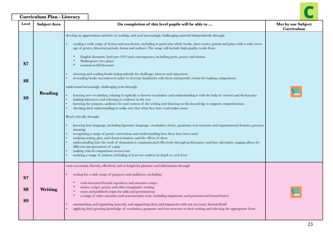

| Curriculum Plan - Literacy               |                     |                                                                                                                                                                                                                                                                                                                                                                                                                                                                                                                                                                                                                                                                                                                                                                                                                                                                                                                                                                                                                                                                                                                                                                                                                                                                                                                                                                                                                                                                                                                                                                                                                                                                                                                                                                                                                                                             |                                  |
|------------------------------------------|---------------------|-------------------------------------------------------------------------------------------------------------------------------------------------------------------------------------------------------------------------------------------------------------------------------------------------------------------------------------------------------------------------------------------------------------------------------------------------------------------------------------------------------------------------------------------------------------------------------------------------------------------------------------------------------------------------------------------------------------------------------------------------------------------------------------------------------------------------------------------------------------------------------------------------------------------------------------------------------------------------------------------------------------------------------------------------------------------------------------------------------------------------------------------------------------------------------------------------------------------------------------------------------------------------------------------------------------------------------------------------------------------------------------------------------------------------------------------------------------------------------------------------------------------------------------------------------------------------------------------------------------------------------------------------------------------------------------------------------------------------------------------------------------------------------------------------------------------------------------------------------------|----------------------------------|
| <b>Level</b>                             | <b>Subject Area</b> | On completion of this level pupils will be able to                                                                                                                                                                                                                                                                                                                                                                                                                                                                                                                                                                                                                                                                                                                                                                                                                                                                                                                                                                                                                                                                                                                                                                                                                                                                                                                                                                                                                                                                                                                                                                                                                                                                                                                                                                                                          | Met by our Subject<br>Curriculum |
| S <sub>7</sub><br><b>S8</b><br><b>S9</b> | Reading             | develop an appreciation and love of reading, and read increasingly challenging material independently through:<br>reading a wide range of fiction and non-fiction, including in particular whole books, short stories, poems and plays with a wide cover-<br>age of genres, historical periods, forms and authors. The range will include high-quality works from:<br>English literature, both pre-1914 and contemporary, including prose, poetry and drama<br>Shakespeare (two plays)<br>seminal world literature<br>choosing and reading books independently for challenge, interest and enjoyment.<br>re-reading books encountered earlier to increase familiarity with them and provide a basis for making comparisons.<br>understand increasingly challenging texts through:<br>learning new vocabulary, relating it explicitly to known vocabulary and understanding it with the help of context and dictionaries<br>making inferences and referring to evidence in the text<br>knowing the purpose, audience for and context of the writing and drawing on this knowledge to support comprehension<br>checking their understanding to make sure that what they have read makes sense.<br>Read critically through:<br>knowing how language, including figurative language, vocabulary choice, grammar, text structure and organisational features, presents<br>meaning<br>recognising a range of poetic conventions and understanding how these have been used<br>studying setting, plot, and characterisation, and the effects of these<br>understanding how the work of dramatists is communicated effectively through performance and how alternative staging allows for<br>different interpretations of a play<br>making critical comparisons across texts<br>studying a range of authors, including at least two authors in depth at each level. |                                  |
| S <sub>7</sub><br><b>S8</b><br><b>S9</b> | Writing             | write accurately, fluently, effectively and at length for pleasure and information through:<br>writing for a wide range of purposes and audiences, including:<br>well-structured formal expository and narrative essays<br>stories, scripts, poetry and other imaginative writing<br>notes and polished scripts for talks and presentations<br>$\ast$<br>a range of other narrative and non-narrative texts, including arguments, and personal and formal letters<br>$\ast$<br>summarising and organising material, and supporting ideas and arguments with any necessary factual detail<br>applying their growing knowledge of vocabulary, grammar and text structure to their writing and selecting the appropriate form                                                                                                                                                                                                                                                                                                                                                                                                                                                                                                                                                                                                                                                                                                                                                                                                                                                                                                                                                                                                                                                                                                                                  |                                  |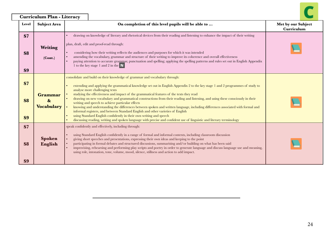

|                                     | Curriculum Plan - Literacy        |                                                                                                                                                                                                                                                                                                                                                                                                                                                                                                                                                                                                                                                                                                                                                                                                                                                                                                                                                        |                                  |  |
|-------------------------------------|-----------------------------------|--------------------------------------------------------------------------------------------------------------------------------------------------------------------------------------------------------------------------------------------------------------------------------------------------------------------------------------------------------------------------------------------------------------------------------------------------------------------------------------------------------------------------------------------------------------------------------------------------------------------------------------------------------------------------------------------------------------------------------------------------------------------------------------------------------------------------------------------------------------------------------------------------------------------------------------------------------|----------------------------------|--|
| Level                               | <b>Subject Area</b>               | On completion of this level pupils will be able to                                                                                                                                                                                                                                                                                                                                                                                                                                                                                                                                                                                                                                                                                                                                                                                                                                                                                                     | Met by our Subject<br>Curriculum |  |
| <b>S7</b><br><b>S8</b><br><b>S9</b> | Writing<br>(Cont.)                | drawing on knowledge of literary and rhetorical devices from their reading and listening to enhance the impact of their writing<br>plan, draft, edit and proof-read through:<br>considering how their writing reflects the audiences and purposes for which it was intended<br>amending the vocabulary, grammar and structure of their writing to improve its coherence and overall effectiveness<br>paying attention to accurate grammar, punctuation and spelling; applying the spelling patterns and rules set out in English Appendix<br>1 to the key stage 1 and 2 in the                                                                                                                                                                                                                                                                                                                                                                         |                                  |  |
| <b>S7</b><br><b>S8</b><br><b>S9</b> | Grammar<br>&<br><b>Vocabulary</b> | consolidate and build on their knowledge of grammar and vocabulary through:<br>extending and applying the grammatical knowledge set out in English Appendix 2 to the key stage 1 and 2 programmes of study to<br>analyse more challenging texts<br>studying the effectiveness and impact of the grammatical features of the texts they read<br>drawing on new vocabulary and grammatical constructions from their reading and listening, and using these consciously in their<br>writing and speech to achieve particular effects<br>knowing and understanding the differences between spoken and written language, including differences associated with formal and<br>informal registers, and between Standard English and other varieties of English<br>using Standard English confidently in their own writing and speech<br>discussing reading, writing and spoken language with precise and confident use of linguistic and literary terminology |                                  |  |
| <b>S7</b><br><b>S8</b><br><b>S9</b> | <b>Spoken</b><br>English          | speak confidently and effectively, including through:<br>using Standard English confidently in a range of formal and informal contexts, including classroom discussion<br>$\bullet$<br>giving short speeches and presentations, expressing their own ideas and keeping to the point<br>participating in formal debates and structured discussions, summarising and/or building on what has been said<br>improvising, rehearsing and performing play scripts and poetry in order to generate language and discuss language use and meaning,<br>$\bullet$<br>using role, intonation, tone, volume, mood, silence, stillness and action to add impact.                                                                                                                                                                                                                                                                                                    |                                  |  |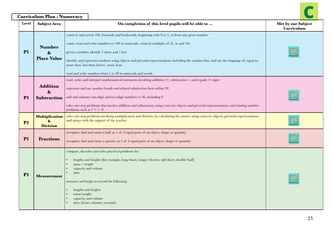

| <b>Curriculum Plan - Numeracy</b> |                                                          |                                                                                                                                                                                                                                                                                                                                                                                                                                                                                                 |                                  |
|-----------------------------------|----------------------------------------------------------|-------------------------------------------------------------------------------------------------------------------------------------------------------------------------------------------------------------------------------------------------------------------------------------------------------------------------------------------------------------------------------------------------------------------------------------------------------------------------------------------------|----------------------------------|
| Level                             | <b>Subject Area</b>                                      | On completion of this level pupils will be able to                                                                                                                                                                                                                                                                                                                                                                                                                                              | Met by our Subject<br>Curriculum |
| P1                                | <b>Number</b><br>$\&$<br><b>Place Value</b>              | count to and across 100, forwards and backwards, beginning with 0 or 1, or from any given number<br>count, read and write numbers to 100 in numerals; count in multiples of 2s, 5s and 10s<br>given a number, identify 1 more and 1 less<br>identify and represent numbers using objects and pictorial representations including the number line, and use the language of: equal to,<br>more than, less than (fewer), most, least<br>read and write numbers from 1 to 20 in numerals and words. |                                  |
| P1                                | <b>Addition</b><br>&<br>Subtraction                      | read, write and interpret mathematical statements involving addition $(+)$ , subtraction $(-)$ and equals $(=)$ signs<br>represent and use number bonds and related subtraction facts within 20<br>add and subtract one-digit and two-digit numbers to 20, including 0<br>solve one-step problems that involve addition and subtraction, using concrete objects and pictorial representations, and missing number<br>problems such as $7 = ? - 9$ .                                             |                                  |
| P1                                | <b>Multiplication</b><br><b>&amp;</b><br><b>Division</b> | solve one-step problems involving multiplication and division, by calculating the answer using concrete objects, pictorial representations<br>and arrays with the support of the teacher.                                                                                                                                                                                                                                                                                                       |                                  |
| P1                                | <b>Fractions</b>                                         | recognise, find and name a half as 1 of 2 equal parts of an object, shape or quantity<br>recognise, find and name a quarter as 1 of 4 equal parts of an object, shape or quantity.                                                                                                                                                                                                                                                                                                              |                                  |
| <b>P1</b>                         | <b>Measurement</b>                                       | compare, describe and solve practical problems for:<br>lengths and heights [for example, long/short, longer/shorter, tall/short, double/half]<br>mass / weight<br>capacity and volume<br>time<br>measure and begin to record the following:<br>lengths and heights<br>mass/weight<br>capacity and volume<br>time (hours, minutes, seconds)                                                                                                                                                      |                                  |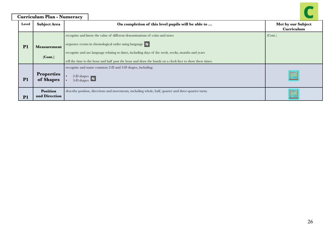

| <b>Curriculum Plan - Numeracy</b> |       |                                |                                                                                                                                                                                                                                                                                                                                                      |                                  |
|-----------------------------------|-------|--------------------------------|------------------------------------------------------------------------------------------------------------------------------------------------------------------------------------------------------------------------------------------------------------------------------------------------------------------------------------------------------|----------------------------------|
|                                   | Level | <b>Subject Area</b>            | On completion of this level pupils will be able to                                                                                                                                                                                                                                                                                                   | Met by our Subject<br>Curriculum |
|                                   | P1    | Measurement<br>(Cont.)         | recognise and know the value of different denominations of coins and notes<br>sequence events in chronological order using language<br>recognise and use language relating to dates, including days of the week, weeks, months and years<br>tell the time to the hour and half past the hour and draw the hands on a clock face to show these times. | (Cont.)                          |
|                                   | P1    | <b>Properties</b><br>of Shapes | recognise and name common 2-D and 3-D shapes, including:<br>2-D shapes $\overline{\mathbf{3}}$ -D shapes                                                                                                                                                                                                                                             | 膃<br>$\equiv$                    |
|                                   | P1    | Position<br>and Direction      | describe position, directions and movements, including whole, half, quarter and three-quarter turns.                                                                                                                                                                                                                                                 | E<br>E                           |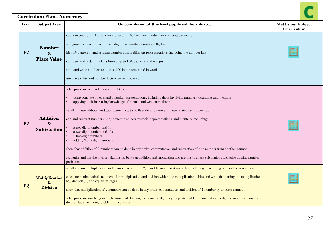|                | <b>Curriculum Plan - Numeracy</b>             |                                                                                                                                                                                                                                                                                                                                                                                                                                                                                                                                                                                                                                                                                                                                                                                                                                                                |                                  |  |  |  |
|----------------|-----------------------------------------------|----------------------------------------------------------------------------------------------------------------------------------------------------------------------------------------------------------------------------------------------------------------------------------------------------------------------------------------------------------------------------------------------------------------------------------------------------------------------------------------------------------------------------------------------------------------------------------------------------------------------------------------------------------------------------------------------------------------------------------------------------------------------------------------------------------------------------------------------------------------|----------------------------------|--|--|--|
| Level          | <b>Subject Area</b>                           | On completion of this level pupils will be able to                                                                                                                                                                                                                                                                                                                                                                                                                                                                                                                                                                                                                                                                                                                                                                                                             | Met by our Subject<br>Curriculum |  |  |  |
| P <sub>2</sub> | <b>Number</b><br>$\&$<br><b>Place Value</b>   | count in steps of 2, 3, and 5 from 0, and in 10s from any number, forward and backward<br>recognise the place value of each digit in a two-digit number (10s, 1s)<br>identify, represent and estimate numbers using different representations, including the number line<br>compare and order numbers from 0 up to 100; use $\lt$ , $>$ and $=$ signs<br>read and write numbers to at least 100 in numerals and in words<br>use place value and number facts to solve problems.                                                                                                                                                                                                                                                                                                                                                                                |                                  |  |  |  |
| P <sub>2</sub> | <b>Addition</b><br>$\&$<br>Subtraction        | solve problems with addition and subtraction:<br>using concrete objects and pictorial representations, including those involving numbers, quantities and measures<br>applying their increasing knowledge of mental and written methods<br>recall and use addition and subtraction facts to 20 fluently, and derive and use related facts up to 100<br>add and subtract numbers using concrete objects, pictorial representations, and mentally, including:<br>a two-digit number and 1s<br>a two-digit number and 10s<br>2 two-digit numbers<br>adding 3 one-digit numbers<br>show that addition of 2 numbers can be done in any order (commutative) and subtraction of one number from another cannot<br>recognise and use the inverse relationship between addition and subtraction and use this to check calculations and solve missing number<br>problems. |                                  |  |  |  |
| P <sub>2</sub> | <b>Multiplication</b><br>&<br><b>Division</b> | recall and use multiplication and division facts for the 2, 5 and 10 multiplication tables, including recognising odd and even numbers<br>calculate mathematical statements for multiplication and division within the multiplication tables and write them using the multiplication<br>$(\times)$ , division $(\div)$ and equals $(\equiv)$ signs<br>show that multiplication of 2 numbers can be done in any order (commutative) and division of 1 number by another cannot<br>solve problems involving multiplication and division, using materials, arrays, repeated addition, mental methods, and multiplication and<br>division facts, including problems in contexts.                                                                                                                                                                                   |                                  |  |  |  |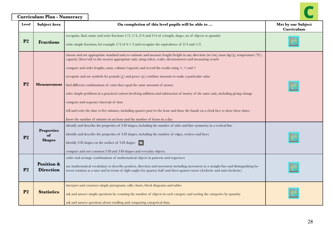

|                | <b>Curriculum Plan - Numeracy</b>         |                                                                                                                                                                                                                                                                                                                                                                                                                                                                                                                                                                                                                                                                                                                                                                                                                                                                                                                                                                  |                                  |
|----------------|-------------------------------------------|------------------------------------------------------------------------------------------------------------------------------------------------------------------------------------------------------------------------------------------------------------------------------------------------------------------------------------------------------------------------------------------------------------------------------------------------------------------------------------------------------------------------------------------------------------------------------------------------------------------------------------------------------------------------------------------------------------------------------------------------------------------------------------------------------------------------------------------------------------------------------------------------------------------------------------------------------------------|----------------------------------|
| <b>Level</b>   | <b>Subject Area</b>                       | On completion of this level pupils will be able to                                                                                                                                                                                                                                                                                                                                                                                                                                                                                                                                                                                                                                                                                                                                                                                                                                                                                                               | Met by our Subject<br>Curriculum |
| P <sub>2</sub> | <b>Fractions</b>                          | recognise, find, name and write fractions $1/3$ , $1/4$ , $2/4$ and $3/4$ of a length, shape, set of objects or quantity<br>write simple fractions, for example $1/2$ of $6 = 3$ and recognise the equivalence of $2/4$ and $1/2$ .                                                                                                                                                                                                                                                                                                                                                                                                                                                                                                                                                                                                                                                                                                                              |                                  |
| P <sub>2</sub> | <b>Measurement</b>                        | choose and use appropriate standard units to estimate and measure length/height in any direction (m/cm); mass (kg/g); temperature ( $^{\circ}$ C);<br>capacity (litres/ml) to the nearest appropriate unit, using rulers, scales, thermometers and measuring vessels<br>compare and order lengths, mass, volume/capacity and record the results using >, < and =<br>recognise and use symbols for pounds $(\mathcal{L})$ and pence (p); combine amounts to make a particular value<br>find different combinations of coins that equal the same amounts of money<br>solve simple problems in a practical context involving addition and subtraction of money of the same unit, including giving change<br>compare and sequence intervals of time<br>tell and write the time to five minutes, including quarter past/to the hour and draw the hands on a clock face to show these times.<br>know the number of minutes in an hour and the number of hours in a day |                                  |
| P <sub>2</sub> | <b>Properties</b><br>of<br><b>Shapes</b>  | identify and describe the properties of 2-D shapes, including the number of sides and line symmetry in a vertical line<br>identify and describe the properties of 3-D shapes, including the number of edges, vertices and faces<br>identify 2-D shapes on the surface of $3$ -D shapes $\ $ N<br>compare and sort common 2-D and 3-D shapes and everyday objects.                                                                                                                                                                                                                                                                                                                                                                                                                                                                                                                                                                                                |                                  |
| P <sub>2</sub> | <b>Position &amp;</b><br><b>Direction</b> | order and arrange combinations of mathematical objects in patterns and sequences<br>use mathematical vocabulary to describe position, direction and movement including movement in a straight line and distinguishing be-<br>tween rotation as a turn and in terms of right angles for quarter, half and three-quarter turns (clockwise and anti-clockwise).                                                                                                                                                                                                                                                                                                                                                                                                                                                                                                                                                                                                     |                                  |
| P <sub>2</sub> | <b>Statistics</b>                         | interpret and construct simple pictograms, tally charts, block diagrams and tables<br>ask and answer simple questions by counting the number of objects in each category and sorting the categories by quantity<br>ask and answer questions about totalling and comparing categorical data.                                                                                                                                                                                                                                                                                                                                                                                                                                                                                                                                                                                                                                                                      |                                  |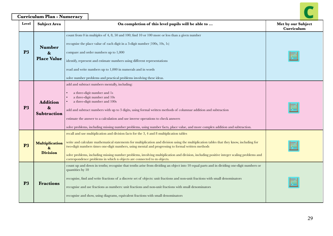

|           | <b>Curriculum Plan - Numeracy</b>                   |                                                                                                                                                                                                                                                                                                                                                                                                                                                                                                                                                                    |                                  |  |  |
|-----------|-----------------------------------------------------|--------------------------------------------------------------------------------------------------------------------------------------------------------------------------------------------------------------------------------------------------------------------------------------------------------------------------------------------------------------------------------------------------------------------------------------------------------------------------------------------------------------------------------------------------------------------|----------------------------------|--|--|
| Level     | <b>Subject Area</b>                                 | On completion of this level pupils will be able to                                                                                                                                                                                                                                                                                                                                                                                                                                                                                                                 | Met by our Subject<br>Curriculum |  |  |
| <b>P3</b> | <b>Number</b><br>$\&$<br><b>Place Value</b>         | count from 0 in multiples of 4, 8, 50 and 100; find 10 or 100 more or less than a given number<br>recognise the place value of each digit in a 3-digit number (100s, 10s, 1s)<br>compare and order numbers up to 1,000<br>identify, represent and estimate numbers using different representations<br>read and write numbers up to 1,000 in numerals and in words<br>solve number problems and practical problems involving these ideas.                                                                                                                           |                                  |  |  |
| <b>P3</b> | <b>Addition</b><br>$\boldsymbol{\&}$<br>Subtraction | add and subtract numbers mentally, including:<br>a three-digit number and 1s<br>a three-digit number and 10s<br>a three-digit number and 100s<br>add and subtract numbers with up to 3 digits, using formal written methods of columnar addition and subtraction<br>estimate the answer to a calculation and use inverse operations to check answers<br>solve problems, including missing number problems, using number facts, place value, and more complex addition and subtraction.                                                                             |                                  |  |  |
| <b>P3</b> | <b>Multiplication</b><br>$\&$<br><b>Division</b>    | recall and use multiplication and division facts for the 3, 4 and 8 multiplication tables<br>write and calculate mathematical statements for multiplication and division using the multiplication tables that they know, including for<br>two-digit numbers times one-digit numbers, using mental and progressing to formal written methods<br>solve problems, including missing number problems, involving multiplication and division, including positive integer scaling problems and<br>correspondence problems in which n objects are connected to m objects. |                                  |  |  |
| <b>P3</b> | <b>Fractions</b>                                    | count up and down in tenths; recognise that tenths arise from dividing an object into 10 equal parts and in dividing one-digit numbers or<br>quantities by 10<br>recognise, find and write fractions of a discrete set of objects: unit fractions and non-unit fractions with small denominators<br>recognise and use fractions as numbers: unit fractions and non-unit fractions with small denominators<br>recognise and show, using diagrams, equivalent fractions with small denominators                                                                      |                                  |  |  |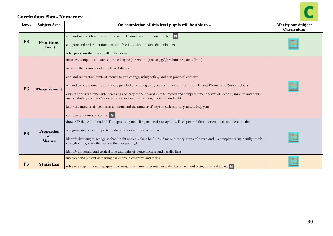

| <b>Curriculum Plan - Numeracy</b> |                                          |                                                                                                                                                                                                                                                                                                                                                                                                                                                                                                                                                                                                                                                                                                                                                 |                                  |  |
|-----------------------------------|------------------------------------------|-------------------------------------------------------------------------------------------------------------------------------------------------------------------------------------------------------------------------------------------------------------------------------------------------------------------------------------------------------------------------------------------------------------------------------------------------------------------------------------------------------------------------------------------------------------------------------------------------------------------------------------------------------------------------------------------------------------------------------------------------|----------------------------------|--|
| Level                             | <b>Subject Area</b>                      | On completion of this level pupils will be able to                                                                                                                                                                                                                                                                                                                                                                                                                                                                                                                                                                                                                                                                                              | Met by our Subject<br>Curriculum |  |
| P3                                | <b>Fractions</b><br>(Cont.)              | add and subtract fractions with the same denominator within one whole<br>N<br>compare and order unit fractions, and fractions with the same denominators<br>solve problems that involve all of the above.                                                                                                                                                                                                                                                                                                                                                                                                                                                                                                                                       |                                  |  |
| <b>P3</b>                         | <b>Measurement</b>                       | measure, compare, add and subtract: lengths $(m/cm/mm)$ ; mass $(kg/g)$ ; volume/capacity $(l/ml)$<br>measure the perimeter of simple 2-D shapes<br>add and subtract amounts of money to give change, using both $fs$ and p in practical contexts<br>tell and write the time from an analogue clock, including using Roman numerals from I to XII, and 12-hour and 24-hour clocks<br>estimate and read time with increasing accuracy to the nearest minute; record and compare time in terms of seconds, minutes and hours;<br>use vocabulary such as o'clock, am/pm, morning, afternoon, noon and midnight<br>know the number of seconds in a minute and the number of days in each month, year and leap year<br>compare durations of events N |                                  |  |
| P <sub>3</sub>                    | <b>Properties</b><br>of<br><b>Shapes</b> | draw 2-D shapes and make 3-D shapes using modelling materials; recognise 3-D shapes in different orientations and describe them<br>recognise angles as a property of shape or a description of a turn<br>identify right angles, recognise that 2 right angles make a half-turn, 3 make three quarters of a turn and 4 a complete turn; identify wheth-<br>er angles are greater than or less than a right angle<br>identify horizontal and vertical lines and pairs of perpendicular and parallel lines.                                                                                                                                                                                                                                        |                                  |  |
| <b>P3</b>                         | <b>Statistics</b>                        | interpret and present data using bar charts, pictograms and tables<br>solve one-step and two-step questions using information presented in scaled bar charts and pictograms and tables. $\blacksquare$                                                                                                                                                                                                                                                                                                                                                                                                                                                                                                                                          | m                                |  |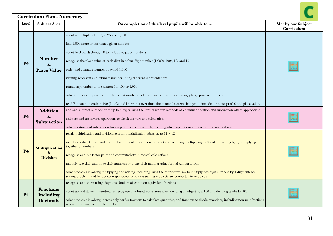| <b>Curriculum Plan - Numeracy</b> |                                                     |                                                                                                                                                                                                                                                                                                                                                                                                                                                                                                                                                                                                                                                                                               |                                  |  |  |
|-----------------------------------|-----------------------------------------------------|-----------------------------------------------------------------------------------------------------------------------------------------------------------------------------------------------------------------------------------------------------------------------------------------------------------------------------------------------------------------------------------------------------------------------------------------------------------------------------------------------------------------------------------------------------------------------------------------------------------------------------------------------------------------------------------------------|----------------------------------|--|--|
| Level                             | <b>Subject Area</b>                                 | On completion of this level pupils will be able to                                                                                                                                                                                                                                                                                                                                                                                                                                                                                                                                                                                                                                            | Met by our Subject<br>Curriculum |  |  |
| <b>P4</b>                         | <b>Number</b><br>$\&$<br><b>Place Value</b>         | count in multiples of $6, 7, 9, 25$ and $1,000$<br>find 1,000 more or less than a given number<br>count backwards through 0 to include negative numbers<br>recognise the place value of each digit in a four-digit number $(1,000s, 100s, 10s,$ and $1s)$<br>order and compare numbers beyond 1,000<br>identify, represent and estimate numbers using different representations<br>round any number to the nearest 10, 100 or 1,000<br>solve number and practical problems that involve all of the above and with increasingly large positive numbers<br>read Roman numerals to 100 (I to C) and know that over time, the numeral system changed to include the concept of 0 and place value. |                                  |  |  |
| <b>P4</b>                         | <b>Addition</b><br>$\boldsymbol{\&}$<br>Subtraction | add and subtract numbers with up to 4 digits using the formal written methods of columnar addition and subtraction where appropriate<br>estimate and use inverse operations to check answers to a calculation<br>solve addition and subtraction two-step problems in contexts, deciding which operations and methods to use and why.                                                                                                                                                                                                                                                                                                                                                          |                                  |  |  |
| <b>P4</b>                         | <b>Multiplication</b><br>&<br><b>Division</b>       | recall multiplication and division facts for multiplication tables up to $12 \times 12$<br>use place value, known and derived facts to multiply and divide mentally, including: multiplying by 0 and 1; dividing by 1; multiplying<br>together 3 numbers<br>recognise and use factor pairs and commutativity in mental calculations<br>multiply two-digit and three-digit numbers by a one-digit number using formal written layout<br>solve problems involving multiplying and adding, including using the distributive law to multiply two digit numbers by 1 digit, integer<br>scaling problems and harder correspondence problems such as n objects are connected to m objects.           |                                  |  |  |
| <b>P4</b>                         | <b>Fractions</b><br>Including<br><b>Decimals</b>    | recognise and show, using diagrams, families of common equivalent fractions<br>count up and down in hundredths; recognise that hundredths arise when dividing an object by a 100 and dividing tenths by 10.<br>solve problems involving increasingly harder fractions to calculate quantities, and fractions to divide quantities, including non-unit fractions<br>where the answer is a whole number                                                                                                                                                                                                                                                                                         |                                  |  |  |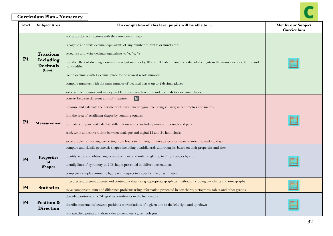

|  | <b>Curriculum Plan - Numeracy</b> |                                                             |                                                                                                                                                                                                                                                                                                                                                                                                                                                                                                                                                                                                                                                     |                                  |
|--|-----------------------------------|-------------------------------------------------------------|-----------------------------------------------------------------------------------------------------------------------------------------------------------------------------------------------------------------------------------------------------------------------------------------------------------------------------------------------------------------------------------------------------------------------------------------------------------------------------------------------------------------------------------------------------------------------------------------------------------------------------------------------------|----------------------------------|
|  | Level                             | <b>Subject Area</b>                                         | On completion of this level pupils will be able to                                                                                                                                                                                                                                                                                                                                                                                                                                                                                                                                                                                                  | Met by our Subject<br>Curriculum |
|  | <b>P4</b>                         | <b>Fractions</b><br>Including<br><b>Decimals</b><br>(Cont.) | add and subtract fractions with the same denominator<br>recognise and write decimal equivalents of any number of tenths or hundredths<br>recognise and write decimal equivalents to $\frac{1}{4}$ ; $\frac{1}{2}$ ; $\frac{3}{4}$<br>find the effect of dividing a one- or two-digit number by 10 and 100, identifying the value of the digits in the answer as ones, tenths and<br>hundredths<br>round decimals with 1 decimal place to the nearest whole number<br>compare numbers with the same number of decimal places up to 2 decimal places<br>solve simple measure and money problems involving fractions and decimals to 2 decimal places. |                                  |
|  | <b>P4</b>                         | <b>Measurement</b>                                          | N<br>convert between different units of measure<br>measure and calculate the perimeter of a rectilinear figure (including squares) in centimetres and metres<br>find the area of rectilinear shapes by counting squares<br>estimate, compare and calculate different measures, including money in pounds and pence<br>read, write and convert time between analogue and digital 12 and 24-hour clocks<br>solve problems involving converting from hours to minutes, minutes to seconds, years to months, weeks to days                                                                                                                              |                                  |
|  | <b>P4</b>                         | <b>Properties</b><br>of<br><b>Shapes</b>                    | compare and classify geometric shapes, including quadrilaterals and triangles, based on their properties and sizes<br>identify acute and obtuse angles and compare and order angles up to 2 right angles by size<br>identify lines of symmetry in 2-D shapes presented in different orientations<br>complete a simple symmetric figure with respect to a specific line of symmetry.                                                                                                                                                                                                                                                                 |                                  |
|  | <b>P4</b>                         | <b>Statistics</b>                                           | interpret and present discrete and continuous data using appropriate graphical methods, including bar charts and time graphs<br>solve comparison, sum and difference problems using information presented in bar charts, pictograms, tables and other graphs.                                                                                                                                                                                                                                                                                                                                                                                       |                                  |
|  | <b>P4</b>                         | Position &<br><b>Direction</b>                              | describe positions on a 2-D grid as coordinates in the first quadrant<br>describe movements between positions as translations of a given unit to the left/right and up/down<br>plot specified points and draw sides to complete a given polygon.                                                                                                                                                                                                                                                                                                                                                                                                    |                                  |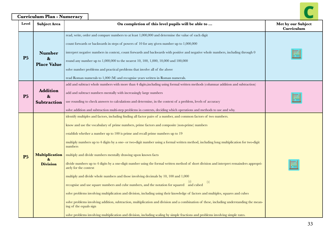

|           | <b>Curriculum Plan - Numeracy</b>                        |                                                                                                                                                                                                                                                                                                                                                                                                                                                                                                                                                                                                                                                                                                                                                                                                                                                                                                                                                                                                                                                                                                                                                                                                                                                                                                                                         |                                  |
|-----------|----------------------------------------------------------|-----------------------------------------------------------------------------------------------------------------------------------------------------------------------------------------------------------------------------------------------------------------------------------------------------------------------------------------------------------------------------------------------------------------------------------------------------------------------------------------------------------------------------------------------------------------------------------------------------------------------------------------------------------------------------------------------------------------------------------------------------------------------------------------------------------------------------------------------------------------------------------------------------------------------------------------------------------------------------------------------------------------------------------------------------------------------------------------------------------------------------------------------------------------------------------------------------------------------------------------------------------------------------------------------------------------------------------------|----------------------------------|
| Level     | <b>Subject Area</b>                                      | On completion of this level pupils will be able to                                                                                                                                                                                                                                                                                                                                                                                                                                                                                                                                                                                                                                                                                                                                                                                                                                                                                                                                                                                                                                                                                                                                                                                                                                                                                      | Met by our Subject<br>Curriculum |
| <b>P5</b> | <b>Number</b><br>$\boldsymbol{\&}$<br><b>Place Value</b> | read, write, order and compare numbers to at least 1,000,000 and determine the value of each digit<br>count forwards or backwards in steps of powers of 10 for any given number up to 1,000,000<br>interpret negative numbers in context, count forwards and backwards with positive and negative whole numbers, including through 0<br>round any number up to 1,000,000 to the nearest 10, 100, 1,000, 10,000 and 100,000<br>solve number problems and practical problems that involve all of the above<br>read Roman numerals to $1,000$ (M) and recognise years written in Roman numerals.                                                                                                                                                                                                                                                                                                                                                                                                                                                                                                                                                                                                                                                                                                                                           |                                  |
| <b>P5</b> | <b>Addition</b><br>$\boldsymbol{\alpha}$<br>Subtraction  | add and subtract whole numbers with more than 4 digits, including using formal written methods (columnar addition and subtraction)<br>add and subtract numbers mentally with increasingly large numbers<br>use rounding to check answers to calculations and determine, in the context of a problem, levels of accuracy<br>solve addition and subtraction multi-step problems in contexts, deciding which operations and methods to use and why.                                                                                                                                                                                                                                                                                                                                                                                                                                                                                                                                                                                                                                                                                                                                                                                                                                                                                        |                                  |
| <b>P5</b> | <b>Multiplication</b><br>$\mathbf{r}$<br><b>Division</b> | identify multiples and factors, including finding all factor pairs of a number, and common factors of two numbers.<br>know and use the vocabulary of prime numbers, prime factors and composite (non-prime) numbers<br>establish whether a number up to 100 is prime and recall prime numbers up to 19<br>multiply numbers up to 4 digits by a one- or two-digit number using a formal written method, including long multiplication for two-digit<br>numbers<br>multiply and divide numbers mentally drawing upon known facts<br>divide numbers up to 4 digits by a one-digit number using the formal written method of short division and interpret remainders appropri-<br>ately for the context<br>multiply and divide whole numbers and those involving decimals by 10, 100 and 1,000<br>recognise and use square numbers and cube numbers, and the notation for squared and cubed<br>solve problems involving multiplication and division, including using their knowledge of factors and multiples, squares and cubes<br>solve problems involving addition, subtraction, multiplication and division and a combination of these, including understanding the mean-<br>ing of the equals sign<br>solve problems involving multiplication and division, including scaling by simple fractions and problems involving simple rates. |                                  |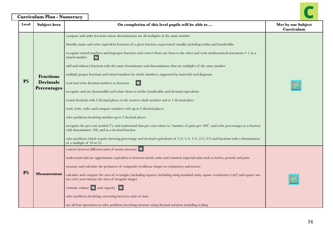

|           | <b>Curriculum Plan - Numeracy</b>                         |                                                                                                                                                                                                                                                                                                                                                                                                                                                                                                                                                                                                                                                                                                                                                                                                                                                                                                                                                                                                                                                                                                                                                                                                                                                                                                                                                              |                                  |  |
|-----------|-----------------------------------------------------------|--------------------------------------------------------------------------------------------------------------------------------------------------------------------------------------------------------------------------------------------------------------------------------------------------------------------------------------------------------------------------------------------------------------------------------------------------------------------------------------------------------------------------------------------------------------------------------------------------------------------------------------------------------------------------------------------------------------------------------------------------------------------------------------------------------------------------------------------------------------------------------------------------------------------------------------------------------------------------------------------------------------------------------------------------------------------------------------------------------------------------------------------------------------------------------------------------------------------------------------------------------------------------------------------------------------------------------------------------------------|----------------------------------|--|
| Level     | <b>Subject Area</b>                                       | On completion of this level pupils will be able to                                                                                                                                                                                                                                                                                                                                                                                                                                                                                                                                                                                                                                                                                                                                                                                                                                                                                                                                                                                                                                                                                                                                                                                                                                                                                                           | Met by our Subject<br>Curriculum |  |
| <b>P5</b> | <b>Fractions</b><br><b>Decimals</b><br><b>Percentages</b> | compare and order fractions whose denominators are all multiples of the same number<br>identify, name and write equivalent fractions of a given fraction, represented visually, including tenths and hundredths<br>recognise mixed numbers and improper fractions and convert from one form to the other and write mathematical statements > 1 as a<br>mixed number<br>N<br>add and subtract fractions with the same denominator and denominators that are multiples of the same number<br>multiply proper fractions and mixed numbers by whole numbers, supported by materials and diagrams<br>N<br>read and write decimal numbers as fractions<br>recognise and use thousandths and relate them to tenths, hundredths and decimal equivalents<br>round decimals with 2 decimal places to the nearest whole number and to 1 decimal place<br>read, write, order and compare numbers with up to 3 decimal places<br>solve problems involving number up to 3 decimal places<br>recognise the per cent symbol (%) and understand that per cent relates to "number of parts per 100", and write percentages as a fraction<br>with denominator 100, and as a decimal fraction<br>solve problems which require knowing percentage and decimal equivalents of $1/2$ , $1/4$ , $1/5$ , $2/5$ , $4/5$ and fractions with a denominator<br>of a multiple of 10 or 25. |                                  |  |
| <b>P5</b> | Measurement                                               | convert between different units of metric measure<br>understand and use approximate equivalences between metric units and common imperial units such as inches, pounds and pints<br>measure and calculate the perimeter of composite rectilinear shapes in centimetres and metres<br>calculate and compare the area of rectangles (including squares) including using standard units, square centimetres (cm2) and square me-<br>tres $(m2)$ and estimate the area of irregular shapes<br>estimate volume $\begin{array}{ c c c }\n\hline\nN\end{array}$ and capacity $\begin{array}{ c c }\n\hline\nN\end{array}$<br>solve problems involving converting between units of time<br>use all four operations to solve problems involving measure using decimal notation including scaling.                                                                                                                                                                                                                                                                                                                                                                                                                                                                                                                                                                     |                                  |  |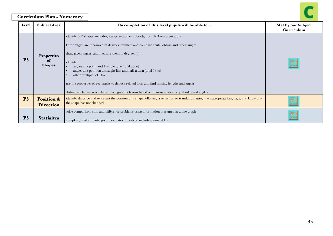

| <b>Curriculum Plan - Numeracy</b> |                                           |                                                                                                                                                                                                                                                                                                                                                                                                                                                                                                                                                                                                              |                                  |  |
|-----------------------------------|-------------------------------------------|--------------------------------------------------------------------------------------------------------------------------------------------------------------------------------------------------------------------------------------------------------------------------------------------------------------------------------------------------------------------------------------------------------------------------------------------------------------------------------------------------------------------------------------------------------------------------------------------------------------|----------------------------------|--|
| Level                             | <b>Subject Area</b>                       | On completion of this level pupils will be able to                                                                                                                                                                                                                                                                                                                                                                                                                                                                                                                                                           | Met by our Subject<br>Curriculum |  |
| <b>P5</b>                         | <b>Properties</b><br>of<br><b>Shapes</b>  | identify 3-D shapes, including cubes and other cuboids, from 2-D representations<br>know angles are measured in degrees: estimate and compare acute, obtuse and reflex angles<br>draw given angles, and measure them in degrees (o)<br>identify:<br>angles at a point and 1 whole turn (total $360o$ )<br>angles at a point on a straight line and half a turn (total 180o)<br>other multiples of 90o<br>use the properties of rectangles to deduce related facts and find missing lengths and angles<br>distinguish between regular and irregular polygons based on reasoning about equal sides and angles. | 匷                                |  |
| <b>P5</b>                         | <b>Position &amp;</b><br><b>Direction</b> | identify, describe and represent the position of a shape following a reflection or translation, using the appropriate language, and know that<br>the shape has not changed.                                                                                                                                                                                                                                                                                                                                                                                                                                  | 匷                                |  |
| <b>P5</b>                         | <b>Statisites</b>                         | solve comparison, sum and difference problems using information presented in a line graph<br>complete, read and interpret information in tables, including timetables.                                                                                                                                                                                                                                                                                                                                                                                                                                       | 疅                                |  |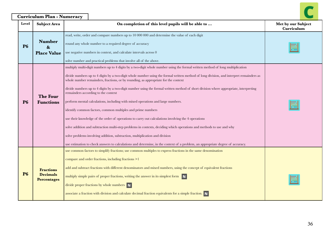

| <b>Curriculum Plan - Numeracy</b> |                                                           |                                                                                                                                                                                                                                                                                                                                                                                                                                                                                                                                                                                                                                                                                                                                                                                                                                                                                                                                                                                                                                                                                                                                                   |                                  |
|-----------------------------------|-----------------------------------------------------------|---------------------------------------------------------------------------------------------------------------------------------------------------------------------------------------------------------------------------------------------------------------------------------------------------------------------------------------------------------------------------------------------------------------------------------------------------------------------------------------------------------------------------------------------------------------------------------------------------------------------------------------------------------------------------------------------------------------------------------------------------------------------------------------------------------------------------------------------------------------------------------------------------------------------------------------------------------------------------------------------------------------------------------------------------------------------------------------------------------------------------------------------------|----------------------------------|
| Level                             | <b>Subject Area</b>                                       | On completion of this level pupils will be able to                                                                                                                                                                                                                                                                                                                                                                                                                                                                                                                                                                                                                                                                                                                                                                                                                                                                                                                                                                                                                                                                                                | Met by our Subject<br>Curriculum |
| <b>P6</b>                         | <b>Number</b><br>$\&$<br><b>Place Value</b>               | read, write, order and compare numbers up to 10 000 000 and determine the value of each digit<br>round any whole number to a required degree of accuracy<br>use negative numbers in context, and calculate intervals across 0<br>solve number and practical problems that involve all of the above.                                                                                                                                                                                                                                                                                                                                                                                                                                                                                                                                                                                                                                                                                                                                                                                                                                               |                                  |
| <b>P6</b>                         | <b>The Four</b><br><b>Functions</b>                       | multiply multi-digit numbers up to 4 digits by a two-digit whole number using the formal written method of long multiplication<br>divide numbers up to 4 digits by a two-digit whole number using the formal written method of long division, and interpret remainders as<br>whole number remainders, fractions, or by rounding, as appropriate for the context<br>divide numbers up to 4 digits by a two-digit number using the formal written method of short division where appropriate, interpreting<br>remainders according to the context<br>perform mental calculations, including with mixed operations and large numbers.<br>identify common factors, common multiples and prime numbers<br>use their knowledge of the order of operations to carry out calculations involving the 4 operations<br>solve addition and subtraction multi-step problems in contexts, deciding which operations and methods to use and why<br>solve problems involving addition, subtraction, multiplication and division<br>use estimation to check answers to calculations and determine, in the context of a problem, an appropriate degree of accuracy. |                                  |
| <b>P6</b>                         | <b>Fractions</b><br><b>Decimals</b><br><b>Percentages</b> | use common factors to simplify fractions; use common multiples to express fractions in the same denomination<br>compare and order fractions, including fractions >1<br>add and subtract fractions with different denominators and mixed numbers, using the concept of equivalent fractions<br>multiply simple pairs of proper fractions, writing the answer in its simplest form $\  \mathbf{N} \ $<br>divide proper fractions by whole numbers N<br>associate a fraction with division and calculate decimal fraction equivalents for a simple fraction. N                                                                                                                                                                                                                                                                                                                                                                                                                                                                                                                                                                                       |                                  |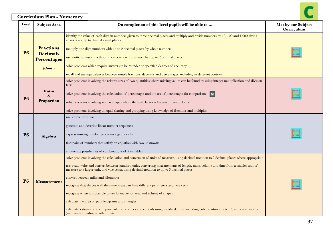

|           | <b>Curriculum Plan - Numeracy</b>                                    |                                                                                                                                                                                                                                                                                                                                                                                                                                                                                                                                                                                                                                                                                                                                                                                                                                      |                                  |  |  |
|-----------|----------------------------------------------------------------------|--------------------------------------------------------------------------------------------------------------------------------------------------------------------------------------------------------------------------------------------------------------------------------------------------------------------------------------------------------------------------------------------------------------------------------------------------------------------------------------------------------------------------------------------------------------------------------------------------------------------------------------------------------------------------------------------------------------------------------------------------------------------------------------------------------------------------------------|----------------------------------|--|--|
| Level     | <b>Subject Area</b>                                                  | On completion of this level pupils will be able to                                                                                                                                                                                                                                                                                                                                                                                                                                                                                                                                                                                                                                                                                                                                                                                   | Met by our Subject<br>Curriculum |  |  |
| <b>P6</b> | <b>Fractions</b><br><b>Decimals</b><br><b>Percentages</b><br>(Cont.) | identify the value of each digit in numbers given to three decimal places and multiply and divide numbers by 10, 100 and 1,000 giving<br>answers are up to three decimal places<br>multiply one-digit numbers with up to 2 decimal places by whole numbers<br>use written division methods in cases where the answer has up to 2 decimal places<br>solve problems which require answers to be rounded to specified degrees of accuracy<br>recall and use equivalences between simple fractions, decimals and percentages, including in different contexts.                                                                                                                                                                                                                                                                           |                                  |  |  |
| <b>P6</b> | Ratio<br>$\mathbf{k}$<br>Proportion                                  | solve problems involving the relative sizes of two quantities where missing values can be found by using integer multiplication and division<br>facts<br>solve problems involving the calculation of percentages and the use of percentages for comparison<br>N<br>solve problems involving similar shapes where the scale factor is known or can be found<br>solve problems involving unequal sharing and grouping using knowledge of fractions and multiples.                                                                                                                                                                                                                                                                                                                                                                      |                                  |  |  |
| <b>P6</b> | Algebra                                                              | use simple formulae<br>generate and describe linear number sequences<br>express missing number problems algebraically<br>find pairs of numbers that satisfy an equation with two unknowns<br>enumerate possibilities of combinations of 2 variables.                                                                                                                                                                                                                                                                                                                                                                                                                                                                                                                                                                                 |                                  |  |  |
| <b>P6</b> | <b>Measurement</b>                                                   | solve problems involving the calculation and conversion of units of measure, using decimal notation to 2 decimal places where appropriate<br>use, read, write and convert between standard units, converting measurements of length, mass, volume and time from a smaller unit of<br>measure to a larger unit, and vice versa, using decimal notation to up to 3 decimal places<br>convert between miles and kilometres<br>recognise that shapes with the same areas can have different perimeters and vice versa<br>recognise when it is possible to use formulae for area and volume of shapes<br>calculate the area of parallelograms and triangles<br>calculate, estimate and compare volume of cubes and cuboids using standard units, including cubic centimetres (cm3) and cubic metres<br>(m3), and extending to other units |                                  |  |  |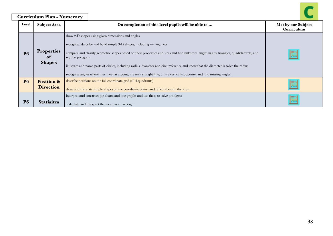

| <b>Curriculum Plan - Numeracy</b> |                                           |                                                                                                                                                                                                                                                                                                                                                                                                                                                                                                                                                              |                                  |
|-----------------------------------|-------------------------------------------|--------------------------------------------------------------------------------------------------------------------------------------------------------------------------------------------------------------------------------------------------------------------------------------------------------------------------------------------------------------------------------------------------------------------------------------------------------------------------------------------------------------------------------------------------------------|----------------------------------|
| Level                             | <b>Subject Area</b>                       | On completion of this level pupils will be able to                                                                                                                                                                                                                                                                                                                                                                                                                                                                                                           | Met by our Subject<br>Curriculum |
| <b>P6</b>                         | <b>Properties</b><br>of<br><b>Shapes</b>  | draw 2-D shapes using given dimensions and angles<br>recognise, describe and build simple 3-D shapes, including making nets<br>compare and classify geometric shapes based on their properties and sizes and find unknown angles in any triangles, quadrilaterals, and<br>regular polygons<br>illustrate and name parts of circles, including radius, diameter and circumference and know that the diameter is twice the radius<br>recognise angles where they meet at a point, are on a straight line, or are vertically opposite, and find missing angles. | 壨                                |
| <b>P6</b>                         | <b>Position &amp;</b><br><b>Direction</b> | describe positions on the full coordinate grid (all 4 quadrants)<br>draw and translate simple shapes on the coordinate plane, and reflect them in the axes.                                                                                                                                                                                                                                                                                                                                                                                                  | 壨                                |
| <b>P6</b>                         | <b>Statisites</b>                         | interpret and construct pie charts and line graphs and use these to solve problems<br>calculate and interpret the mean as an average.                                                                                                                                                                                                                                                                                                                                                                                                                        | 噩                                |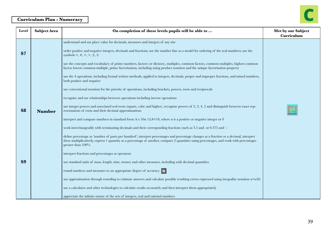# C.

| Level          | <b>Subject Area</b> | On completion of these levels pupils will be able to                                                                                                                                                                                                                                                    | Met by our Subject<br>Curriculum |
|----------------|---------------------|---------------------------------------------------------------------------------------------------------------------------------------------------------------------------------------------------------------------------------------------------------------------------------------------------------|----------------------------------|
|                |                     | understand and use place value for decimals, measures and integers of any size                                                                                                                                                                                                                          |                                  |
| S <sub>7</sub> |                     | order positive and negative integers, decimals and fractions; use the number line as a model for ordering of the real numbers; use the<br>symbols =, $\neq, \leq, \geq, \leq, \geq$                                                                                                                     |                                  |
|                |                     | use the concepts and vocabulary of prime numbers, factors (or divisors), multiples, common factors, common multiples, highest common<br>factor, lowest common multiple, prime factorisation, including using product notation and the unique factorisation property                                     |                                  |
|                |                     | use the 4 operations, including formal written methods, applied to integers, decimals, proper and improper fractions, and mixed numbers,<br>both positive and negative                                                                                                                                  |                                  |
|                |                     | use conventional notation for the priority of operations, including brackets, powers, roots and reciprocals                                                                                                                                                                                             |                                  |
|                |                     | recognise and use relationships between operations including inverse operations                                                                                                                                                                                                                         |                                  |
| <b>S8</b>      | <b>Number</b>       | use integer powers and associated real roots (square, cube and higher), recognise powers of 2, 3, 4, 5 and distinguish between exact rep-<br>resentations of roots and their decimal approximations                                                                                                     |                                  |
|                |                     | interpret and compare numbers in standard form A x 10n $1 \leq A < 10$ , where n is a positive or negative integer or 0                                                                                                                                                                                 |                                  |
|                |                     | work interchangeably with terminating decimals and their corresponding fractions (such as 3.5 and or 0.375 and)                                                                                                                                                                                         |                                  |
|                |                     | define percentage as 'number of parts per hundred', interpret percentages and percentage changes as a fraction or a decimal, interpret<br>these multiplicatively, express 1 quantity as a percentage of another, compare 2 quantities using percentages, and work with percentages<br>greater than 100% |                                  |
|                |                     | interpret fractions and percentages as operators                                                                                                                                                                                                                                                        |                                  |
| <b>S9</b>      |                     | use standard units of mass, length, time, money and other measures, including with decimal quantities                                                                                                                                                                                                   |                                  |
|                |                     | round numbers and measures to an appropriate degree of accuracy N                                                                                                                                                                                                                                       |                                  |
|                |                     | use approximation through rounding to estimate answers and calculate possible resulting errors expressed using inequality notation a <x≤b< th=""><th></th></x≤b<>                                                                                                                                       |                                  |
|                |                     | use a calculator and other technologies to calculate results accurately and then interpret them appropriately                                                                                                                                                                                           |                                  |
|                |                     | appreciate the infinite nature of the sets of integers, real and rational numbers                                                                                                                                                                                                                       |                                  |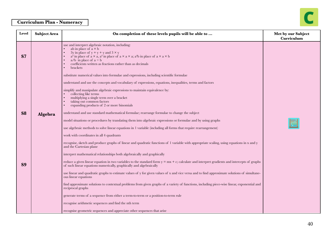# $\overline{c}$

| Level          | <b>Subject Area</b> | On completion of these levels pupils will be able to                                                                                                                                                                                                                                                                                                           | Met by our Subject<br>Curriculum |
|----------------|---------------------|----------------------------------------------------------------------------------------------------------------------------------------------------------------------------------------------------------------------------------------------------------------------------------------------------------------------------------------------------------------|----------------------------------|
| S <sub>7</sub> |                     | use and interpret algebraic notation, including:<br>ab in place of $a \times b$<br>3y in place of $y + y + y$ and $3 \times y$<br>$a^2$ in place of $a \times a$ , $a^3$ in place of $a \times a \times a$ ; $a^2b$ in place of $a \times a \times b$<br>$a/b$ in place of $a \div b$<br>coefficients written as fractions rather than as decimals<br>brackets |                                  |
|                |                     | substitute numerical values into formulae and expressions, including scientific formulae                                                                                                                                                                                                                                                                       |                                  |
|                |                     | understand and use the concepts and vocabulary of expressions, equations, inequalities, terms and factors                                                                                                                                                                                                                                                      |                                  |
|                |                     | simplify and manipulate algebraic expressions to maintain equivalence by:<br>collecting like terms                                                                                                                                                                                                                                                             |                                  |
|                |                     | multiplying a single term over a bracket<br>taking out common factors                                                                                                                                                                                                                                                                                          |                                  |
|                |                     | expanding products of 2 or more binomials                                                                                                                                                                                                                                                                                                                      |                                  |
| <b>S8</b>      | Algebra             | understand and use standard mathematical formulae; rearrange formulae to change the subject                                                                                                                                                                                                                                                                    |                                  |
|                |                     | model situations or procedures by translating them into algebraic expressions or formulae and by using graphs                                                                                                                                                                                                                                                  |                                  |
|                |                     | use algebraic methods to solve linear equations in 1 variable (including all forms that require rearrangement)                                                                                                                                                                                                                                                 |                                  |
|                |                     | work with coordinates in all 4 quadrants                                                                                                                                                                                                                                                                                                                       |                                  |
|                |                     | recognise, sketch and produce graphs of linear and quadratic functions of 1 variable with appropriate scaling, using equations in x and y<br>and the Cartesian plane                                                                                                                                                                                           |                                  |
|                |                     | interpret mathematical relationships both algebraically and graphically                                                                                                                                                                                                                                                                                        |                                  |
| <b>S9</b>      |                     | reduce a given linear equation in two variables to the standard form $y = mx + c$ ; calculate and interpret gradients and intercepts of graphs<br>of such linear equations numerically, graphically and algebraically                                                                                                                                          |                                  |
|                |                     | use linear and quadratic graphs to estimate values of y for given values of x and vice versa and to find approximate solutions of simultane-<br>ous linear equations                                                                                                                                                                                           |                                  |
|                |                     | find approximate solutions to contextual problems from given graphs of a variety of functions, including piece-wise linear, exponential and<br>reciprocal graphs                                                                                                                                                                                               |                                  |
|                |                     | generate terms of a sequence from either a term-to-term or a position-to-term rule                                                                                                                                                                                                                                                                             |                                  |
|                |                     | recognise arithmetic sequences and find the nth term                                                                                                                                                                                                                                                                                                           |                                  |
|                |                     | recognise geometric sequences and appreciate other sequences that arise                                                                                                                                                                                                                                                                                        |                                  |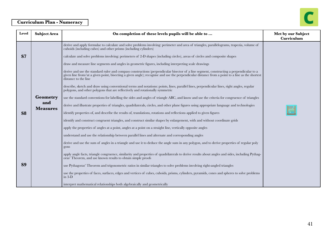# $\mathbf C$

| <b>Level</b>   | <b>Subject Area</b>    | On completion of these levels pupils will be able to                                                                                                                                                                                                                                                                | Met by our Subject<br>Curriculum |
|----------------|------------------------|---------------------------------------------------------------------------------------------------------------------------------------------------------------------------------------------------------------------------------------------------------------------------------------------------------------------|----------------------------------|
|                |                        | derive and apply formulae to calculate and solve problems involving: perimeter and area of triangles, parallelograms, trapezia, volume of<br>cuboids (including cubes) and other prisms (including cylinders)                                                                                                       |                                  |
| S <sub>7</sub> |                        | calculate and solve problems involving: perimeters of 2-D shapes (including circles), areas of circles and composite shapes                                                                                                                                                                                         |                                  |
|                |                        | draw and measure line segments and angles in geometric figures, including interpreting scale drawings                                                                                                                                                                                                               |                                  |
|                |                        | derive and use the standard ruler and compass constructions (perpendicular bisector of a line segment, constructing a perpendicular to a<br>given line from/at a given point, bisecting a given angle); recognise and use the perpendicular distance from a point to a line as the shortest<br>distance to the line |                                  |
|                |                        | describe, sketch and draw using conventional terms and notations: points, lines, parallel lines, perpendicular lines, right angles, regular<br>polygons, and other polygons that are reflectively and rotationally symmetric                                                                                        |                                  |
|                | <b>Geometry</b>        | use the standard conventions for labelling the sides and angles of triangle ABC, and know and use the criteria for congruence of triangles                                                                                                                                                                          |                                  |
|                | and<br><b>Measures</b> | derive and illustrate properties of triangles, quadrilaterals, circles, and other plane figures using appropriate language and technologies                                                                                                                                                                         |                                  |
| <b>S8</b>      |                        | identify properties of, and describe the results of, translations, rotations and reflections applied to given figures                                                                                                                                                                                               |                                  |
|                |                        | identify and construct congruent triangles, and construct similar shapes by enlargement, with and without coordinate grids                                                                                                                                                                                          |                                  |
|                |                        | apply the properties of angles at a point, angles at a point on a straight line, vertically opposite angles                                                                                                                                                                                                         |                                  |
|                |                        | understand and use the relationship between parallel lines and alternate and corresponding angles                                                                                                                                                                                                                   |                                  |
|                |                        | derive and use the sum of angles in a triangle and use it to deduce the angle sum in any polygon, and to derive properties of regular poly<br>gons                                                                                                                                                                  |                                  |
|                |                        | apply angle facts, triangle congruence, similarity and properties of quadrilaterals to derive results about angles and sides, including Pythag-<br>oras' Theorem, and use known results to obtain simple proofs                                                                                                     |                                  |
| <b>S9</b>      |                        | use Pythagoras' Theorem and trigonometric ratios in similar triangles to solve problems involving right-angled triangles                                                                                                                                                                                            |                                  |
|                |                        | use the properties of faces, surfaces, edges and vertices of cubes, cuboids, prisms, cylinders, pyramids, cones and spheres to solve problems<br>in $3-D$                                                                                                                                                           |                                  |
|                |                        | interpret mathematical relationships both algebraically and geometrically                                                                                                                                                                                                                                           |                                  |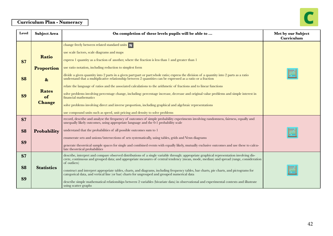

| Level          | <b>Subject Area</b> | On completion of these levels pupils will be able to                                                                                                                                                                                                                               | Met by our Subject<br>Curriculum |
|----------------|---------------------|------------------------------------------------------------------------------------------------------------------------------------------------------------------------------------------------------------------------------------------------------------------------------------|----------------------------------|
|                |                     | change freely between related standard units N                                                                                                                                                                                                                                     |                                  |
|                |                     | use scale factors, scale diagrams and maps                                                                                                                                                                                                                                         |                                  |
| <b>S7</b>      | Ratio               | express 1 quantity as a fraction of another, where the fraction is less than 1 and greater than 1                                                                                                                                                                                  |                                  |
|                | Proportion          | use ratio notation, including reduction to simplest form                                                                                                                                                                                                                           |                                  |
| <b>S8</b>      | $\boldsymbol{\&}$   | divide a given quantity into 2 parts in a given part:part or part:whole ratio; express the division of a quantity into 2 parts as a ratio<br>understand that a multiplicative relationship between 2 quantities can be expressed as a ratio or a fraction                          |                                  |
|                |                     | relate the language of ratios and the associated calculations to the arithmetic of fractions and to linear functions                                                                                                                                                               |                                  |
| <b>S9</b>      | <b>Rates</b><br>of  | solve problems involving percentage change, including: percentage increase, decrease and original value problems and simple interest in<br>financial mathematics                                                                                                                   |                                  |
|                | <b>Change</b>       | solve problems involving direct and inverse proportion, including graphical and algebraic representations                                                                                                                                                                          |                                  |
|                |                     | use compound units such as speed, unit pricing and density to solve problems                                                                                                                                                                                                       |                                  |
| <b>S7</b>      |                     | record, describe and analyse the frequency of outcomes of simple probability experiments involving randomness, fairness, equally and<br>unequally likely outcomes, using appropriate language and the 0-1 probability scale                                                        |                                  |
| <b>S8</b>      | Probability         | understand that the probabilities of all possible outcomes sum to 1                                                                                                                                                                                                                |                                  |
| <b>S9</b>      |                     | enumerate sets and unions/intersections of sets systematically, using tables, grids and Venn diagrams                                                                                                                                                                              |                                  |
|                |                     | generate theoretical sample spaces for single and combined events with equally likely, mutually exclusive outcomes and use these to calcu-<br>late theoretical probabilities                                                                                                       |                                  |
| S <sub>7</sub> |                     | describe, interpret and compare observed distributions of a single variable through: appropriate graphical representation involving dis-<br>crete, continuous and grouped data; and appropriate measures of central tendency (mean, mode, median) and spread (range, consideration |                                  |
| <b>S8</b>      | <b>Statistics</b>   | of outliers)                                                                                                                                                                                                                                                                       |                                  |
|                |                     | construct and interpret appropriate tables, charts, and diagrams, including frequency tables, bar charts, pie charts, and pictograms for<br>categorical data, and vertical line (or bar) charts for ungrouped and grouped numerical data                                           |                                  |
| <b>S9</b>      |                     | describe simple mathematical relationships between 2 variables (bivariate data) in observational and experimental contexts and illustrate<br>using scatter graphs                                                                                                                  |                                  |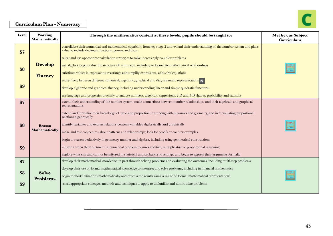

| Level          | Working<br>Mathematically | Through the mathematics content at these levels, pupils should be taught to:                                                                                                                     | Met by our Subject<br>Curriculum |
|----------------|---------------------------|--------------------------------------------------------------------------------------------------------------------------------------------------------------------------------------------------|----------------------------------|
| <b>S7</b>      |                           | consolidate their numerical and mathematical capability from key stage 2 and extend their understanding of the number system and place<br>value to include decimals, fractions, powers and roots |                                  |
|                |                           | select and use appropriate calculation strategies to solve increasingly complex problems                                                                                                         |                                  |
| <b>S8</b>      | <b>Develop</b>            | use algebra to generalise the structure of arithmetic, including to formulate mathematical relationships                                                                                         |                                  |
|                | <b>Fluency</b>            | substitute values in expressions, rearrange and simplify expressions, and solve equations                                                                                                        |                                  |
|                |                           | move freely between different numerical, algebraic, graphical and diagrammatic representations N                                                                                                 |                                  |
| <b>S9</b>      |                           | develop algebraic and graphical fluency, including understanding linear and simple quadratic functions                                                                                           |                                  |
|                |                           | use language and properties precisely to analyse numbers, algebraic expressions, 2-D and 3-D shapes, probability and statistics                                                                  |                                  |
| <b>S7</b>      |                           | extend their understanding of the number system; make connections between number relationships, and their algebraic and graphical<br>representations                                             |                                  |
|                |                           | extend and formalise their knowledge of ratio and proportion in working with measures and geometry, and in formulating proportional<br>relations algebraically                                   |                                  |
| <b>S8</b>      | Reason                    | identify variables and express relations between variables algebraically and graphically                                                                                                         |                                  |
|                | Mathematically            | make and test conjectures about patterns and relationships; look for proofs or counter-examples                                                                                                  |                                  |
|                |                           | begin to reason deductively in geometry, number and algebra, including using geometrical constructions                                                                                           |                                  |
| <b>S9</b>      |                           | interpret when the structure of a numerical problem requires additive, multiplicative or proportional reasoning                                                                                  |                                  |
|                |                           | explore what can and cannot be inferred in statistical and probabilistic settings, and begin to express their arguments formally                                                                 |                                  |
| S <sub>7</sub> |                           | develop their mathematical knowledge, in part through solving problems and evaluating the outcomes, including multi-step problems                                                                |                                  |
| <b>S8</b>      | <b>Solve</b>              | develop their use of formal mathematical knowledge to interpret and solve problems, including in financial mathematics                                                                           |                                  |
|                | Problems                  | begin to model situations mathematically and express the results using a range of formal mathematical representations                                                                            |                                  |
| <b>S9</b>      |                           | select appropriate concepts, methods and techniques to apply to unfamiliar and non-routine problems                                                                                              |                                  |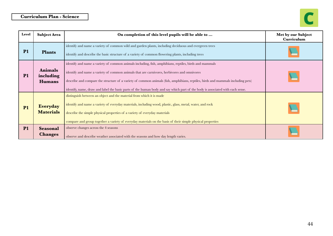#### **Curriculum Plan - Science**



| Level     | <b>Subject Area</b>                          | On completion of this level pupils will be able to                                                                                                                                                                                                                                                                                                                                                                                                                          | Met by our Subject<br>Curriculum |
|-----------|----------------------------------------------|-----------------------------------------------------------------------------------------------------------------------------------------------------------------------------------------------------------------------------------------------------------------------------------------------------------------------------------------------------------------------------------------------------------------------------------------------------------------------------|----------------------------------|
| <b>P1</b> | <b>Plants</b>                                | identify and name a variety of common wild and garden plants, including deciduous and evergreen trees<br>identify and describe the basic structure of a variety of common flowering plants, including trees                                                                                                                                                                                                                                                                 |                                  |
| P1        | <b>Animals</b><br>including<br><b>Humans</b> | identify and name a variety of common animals including, fish, amphibians, reptiles, birds and mammals<br>identify and name a variety of common animals that are carnivores, herbivores and omnivores<br>describe and compare the structure of a variety of common animals (fish, amphibians, reptiles, birds and mammals including pets)<br>identify, name, draw and label the basic parts of the human body and say which part of the body is associated with each sense. |                                  |
| <b>P1</b> | Everyday<br><b>Materials</b>                 | distinguish between an object and the material from which it is made<br>identify and name a variety of everyday materials, including wood, plastic, glass, metal, water, and rock<br>describe the simple physical properties of a variety of everyday materials<br>compare and group together a variety of everyday materials on the basis of their simple physical properties                                                                                              |                                  |
| <b>P1</b> | <b>Seasonal</b><br><b>Changes</b>            | observe changes across the 4 seasons<br>observe and describe weather associated with the seasons and how day length varies.                                                                                                                                                                                                                                                                                                                                                 |                                  |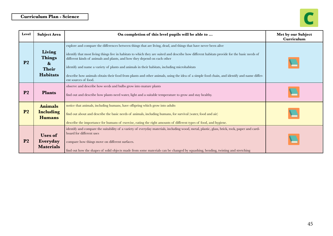

| Level          | <b>Subject Area</b>                                                             | On completion of this level pupils will be able to                                                                                                                                                                                                                                                                                                                                                                                                                                                                                                                                                                 | Met by our Subject<br>Curriculum |
|----------------|---------------------------------------------------------------------------------|--------------------------------------------------------------------------------------------------------------------------------------------------------------------------------------------------------------------------------------------------------------------------------------------------------------------------------------------------------------------------------------------------------------------------------------------------------------------------------------------------------------------------------------------------------------------------------------------------------------------|----------------------------------|
| P <sub>2</sub> | Living<br><b>Things</b><br>$\boldsymbol{\&}$<br><b>Their</b><br><b>Habitats</b> | explore and compare the differences between things that are living, dead, and things that have never been alive<br>identify that most living things live in habitats to which they are suited and describe how different habitats provide for the basic needs of<br>different kinds of animals and plants, and how they depend on each other<br>identify and name a variety of plants and animals in their habitats, including microhabitats<br>describe how animals obtain their food from plants and other animals, using the idea of a simple food chain, and identify and name differ-<br>ent sources of food. |                                  |
| P <sub>2</sub> | <b>Plants</b>                                                                   | observe and describe how seeds and bulbs grow into mature plants<br>find out and describe how plants need water, light and a suitable temperature to grow and stay healthy.                                                                                                                                                                                                                                                                                                                                                                                                                                        |                                  |
| P <sub>2</sub> | <b>Animals</b><br><b>Including</b><br><b>Humans</b>                             | notice that animals, including humans, have offspring which grow into adults<br>find out about and describe the basic needs of animals, including humans, for survival (water, food and air)<br>describe the importance for humans of exercise, eating the right amounts of different types of food, and hygiene.                                                                                                                                                                                                                                                                                                  |                                  |
| P <sub>2</sub> | <b>Uses of</b><br>Everyday<br><b>Materials</b>                                  | identify and compare the suitability of a variety of everyday materials, including wood, metal, plastic, glass, brick, rock, paper and card-<br>board for different uses<br>compare how things move on different surfaces.<br>find out how the shapes of solid objects made from some materials can be changed by squashing, bending, twisting and stretching                                                                                                                                                                                                                                                      |                                  |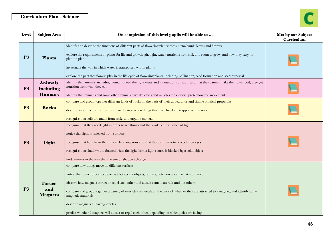

| Level     | <b>Subject Area</b>                          | On completion of this level pupils will be able to                                                                                                                                                                                                                                                                                                                                                                                                                                                                                                      | Met by our Subject<br>Curriculum |
|-----------|----------------------------------------------|---------------------------------------------------------------------------------------------------------------------------------------------------------------------------------------------------------------------------------------------------------------------------------------------------------------------------------------------------------------------------------------------------------------------------------------------------------------------------------------------------------------------------------------------------------|----------------------------------|
| <b>P3</b> | <b>Plants</b>                                | identify and describe the functions of different parts of flowering plants: roots, stem/trunk, leaves and flowers<br>explore the requirements of plants for life and growth (air, light, water, nutrients from soil, and room to grow) and how they vary from<br>plant to plant<br>investigate the way in which water is transported within plants<br>explore the part that flowers play in the life cycle of flowering plants, including pollination, seed formation and seed dispersal.                                                               |                                  |
| <b>P3</b> | <b>Animals</b><br>Including<br><b>Humans</b> | identify that animals, including humans, need the right types and amount of nutrition, and that they cannot make their own food; they get<br>nutrition from what they eat<br>identify that humans and some other animals have skeletons and muscles for support, protection and movement.                                                                                                                                                                                                                                                               |                                  |
| <b>P3</b> | <b>Rocks</b>                                 | compare and group together different kinds of rocks on the basis of their appearance and simple physical properties<br>describe in simple terms how fossils are formed when things that have lived are trapped within rock<br>recognise that soils are made from rocks and organic matter                                                                                                                                                                                                                                                               |                                  |
| <b>P3</b> | Light                                        | recognise that they need light in order to see things and that dark is the absence of light<br>notice that light is reflected from surfaces<br>recognise that light from the sun can be dangerous and that there are ways to protect their eyes<br>recognise that shadows are formed when the light from a light source is blocked by a solid object<br>find patterns in the way that the size of shadows change.                                                                                                                                       |                                  |
| <b>P3</b> | <b>Forces</b><br>and<br><b>Magnets</b>       | compare how things move on different surfaces<br>notice that some forces need contact between 2 objects, but magnetic forces can act at a distance<br>observe how magnets attract or repel each other and attract some materials and not others<br>compare and group together a variety of everyday materials on the basis of whether they are attracted to a magnet, and identify some<br>magnetic materials<br>describe magnets as having 2 poles<br>predict whether 2 magnets will attract or repel each other, depending on which poles are facing. |                                  |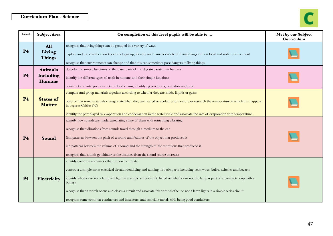

| Level     | <b>Subject Area</b>                          | On completion of this level pupils will be able to                                                                                                                                                                                                                                                                                                                                                                                                                                                                                                                                                | Met by our Subject<br>Curriculum |
|-----------|----------------------------------------------|---------------------------------------------------------------------------------------------------------------------------------------------------------------------------------------------------------------------------------------------------------------------------------------------------------------------------------------------------------------------------------------------------------------------------------------------------------------------------------------------------------------------------------------------------------------------------------------------------|----------------------------------|
| <b>P4</b> | <b>All</b><br>Living<br><b>Things</b>        | recognise that living things can be grouped in a variety of ways<br>explore and use classification keys to help group, identify and name a variety of living things in their local and wider environment<br>recognise that environments can change and that this can sometimes pose dangers to living things.                                                                                                                                                                                                                                                                                     |                                  |
| <b>P4</b> | <b>Animals</b><br>Including<br><b>Humans</b> | describe the simple functions of the basic parts of the digestive system in humans<br>identify the different types of teeth in humans and their simple functions<br>construct and interpret a variety of food chains, identifying producers, predators and prey.                                                                                                                                                                                                                                                                                                                                  |                                  |
| <b>P4</b> | <b>States of</b><br><b>Matter</b>            | compare and group materials together, according to whether they are solids, liquids or gases<br>observe that some materials change state when they are heated or cooled, and measure or research the temperature at which this happens<br>in degrees Celsius (°C)<br>identify the part played by evaporation and condensation in the water cycle and associate the rate of evaporation with temperature.                                                                                                                                                                                          |                                  |
| <b>P4</b> | Sound                                        | identify how sounds are made, associating some of them with something vibrating<br>recognise that vibrations from sounds travel through a medium to the ear<br>find patterns between the pitch of a sound and features of the object that produced it<br>ind patterns between the volume of a sound and the strength of the vibrations that produced it.<br>recognise that sounds get fainter as the distance from the sound source increases                                                                                                                                                     |                                  |
| <b>P4</b> | Electricity                                  | identify common appliances that run on electricity<br>construct a simple series electrical circuit, identifying and naming its basic parts, including cells, wires, bulbs, switches and buzzers<br>identify whether or not a lamp will light in a simple series circuit, based on whether or not the lamp is part of a complete loop with a<br>battery<br>recognise that a switch opens and closes a circuit and associate this with whether or not a lamp lights in a simple series circuit<br>recognise some common conductors and insulators, and associate metals with being good conductors. |                                  |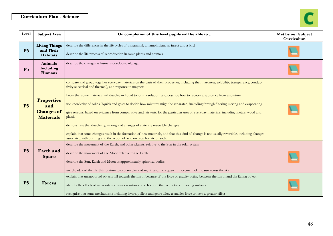#### **Curriculum Plan - Science**



| Level     | <b>Subject Area</b>                                               | On completion of this level pupils will be able to                                                                                                                                                                                                                                                                                                                                                                                                                                                                                                                                                                                                                                                                                                                                                                                                                                                                                                           | Met by our Subject<br>Curriculum |
|-----------|-------------------------------------------------------------------|--------------------------------------------------------------------------------------------------------------------------------------------------------------------------------------------------------------------------------------------------------------------------------------------------------------------------------------------------------------------------------------------------------------------------------------------------------------------------------------------------------------------------------------------------------------------------------------------------------------------------------------------------------------------------------------------------------------------------------------------------------------------------------------------------------------------------------------------------------------------------------------------------------------------------------------------------------------|----------------------------------|
| <b>P5</b> | <b>Living Things</b><br>and Their<br><b>Habitats</b>              | describe the differences in the life cycles of a mammal, an amphibian, an insect and a bird<br>describe the life process of reproduction in some plants and animals.                                                                                                                                                                                                                                                                                                                                                                                                                                                                                                                                                                                                                                                                                                                                                                                         |                                  |
| <b>P5</b> | Animals<br>Including<br><b>Humans</b>                             | describe the changes as humans develop to old age.                                                                                                                                                                                                                                                                                                                                                                                                                                                                                                                                                                                                                                                                                                                                                                                                                                                                                                           |                                  |
| <b>P5</b> | <b>Properties</b><br>and<br><b>Changes of</b><br><b>Materials</b> | compare and group together everyday materials on the basis of their properties, including their hardness, solubility, transparency, conduc-<br>tivity (electrical and thermal), and response to magnets<br>know that some materials will dissolve in liquid to form a solution, and describe how to recover a substance from a solution<br>use knowledge of solids, liquids and gases to decide how mixtures might be separated, including through filtering, sieving and evaporating<br>give reasons, based on evidence from comparative and fair tests, for the particular uses of everyday materials, including metals, wood and<br>plastic<br>demonstrate that dissolving, mixing and changes of state are reversible changes<br>explain that some changes result in the formation of new materials, and that this kind of change is not usually reversible, including changes<br>associated with burning and the action of acid on bicarbonate of soda. |                                  |
| <b>P5</b> | <b>Earth</b> and<br><b>Space</b>                                  | describe the movement of the Earth, and other planets, relative to the Sun in the solar system<br>describe the movement of the Moon relative to the Earth<br>describe the Sun, Earth and Moon as approximately spherical bodies<br>use the idea of the Earth's rotation to explain day and night, and the apparent movement of the sun across the sky.                                                                                                                                                                                                                                                                                                                                                                                                                                                                                                                                                                                                       |                                  |
| <b>P5</b> | <b>Forces</b>                                                     | explain that unsupported objects fall towards the Earth because of the force of gravity acting between the Earth and the falling object<br>identify the effects of air resistance, water resistance and friction, that act between moving surfaces<br>recognise that some mechanisms including levers, pulleys and gears allow a smaller force to have a greater effect                                                                                                                                                                                                                                                                                                                                                                                                                                                                                                                                                                                      |                                  |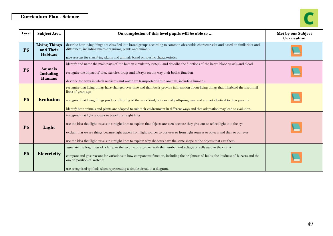#### **Curriculum Plan - Science**



| Level     | <b>Subject Area</b>                                  | On completion of this level pupils will be able to                                                                                                                                                                                                                                                                                                                                                                                                                        | Met by our Subject<br>Curriculum |
|-----------|------------------------------------------------------|---------------------------------------------------------------------------------------------------------------------------------------------------------------------------------------------------------------------------------------------------------------------------------------------------------------------------------------------------------------------------------------------------------------------------------------------------------------------------|----------------------------------|
| <b>P6</b> | <b>Living Things</b><br>and Their<br><b>Habitats</b> | describe how living things are classified into broad groups according to common observable characteristics and based on similarities and<br>differences, including micro-organisms, plants and animals<br>give reasons for classifying plants and animals based on specific characteristics.                                                                                                                                                                              |                                  |
| <b>P6</b> | <b>Animals</b><br>Including<br><b>Humans</b>         | identify and name the main parts of the human circulatory system, and describe the functions of the heart, blood vessels and blood<br>recognise the impact of diet, exercise, drugs and lifestyle on the way their bodies function<br>describe the ways in which nutrients and water are transported within animals, including humans.                                                                                                                                    |                                  |
| <b>P6</b> | <b>Evolution</b>                                     | recognise that living things have changed over time and that fossils provide information about living things that inhabited the Earth mil-<br>lions of years ago<br>recognise that living things produce offspring of the same kind, but normally offspring vary and are not identical to their parents<br>identify how animals and plants are adapted to suit their environment in different ways and that adaptation may lead to evolution.                             |                                  |
| <b>P6</b> | Light                                                | recognise that light appears to travel in straight lines<br>use the idea that light travels in straight lines to explain that objects are seen because they give out or reflect light into the eye<br>explain that we see things because light travels from light sources to our eyes or from light sources to objects and then to our eyes<br>use the idea that light travels in straight lines to explain why shadows have the same shape as the objects that cast them |                                  |
| <b>P6</b> | Electricity                                          | associate the brightness of a lamp or the volume of a buzzer with the number and voltage of cells used in the circuit<br>compare and give reasons for variations in how components function, including the brightness of bulbs, the loudness of buzzers and the<br>on/off position of switches<br>use recognised symbols when representing a simple circuit in a diagram.                                                                                                 |                                  |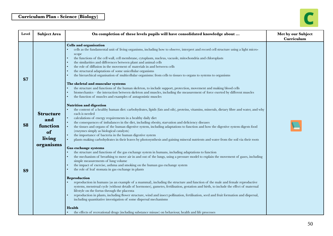| Level                  | <b>Subject Area</b>                                              | On completion of these levels pupils will have consolidated knowledge about                                                                                                                                                                                                                                                                                                                                                                                                                                                                                                                                                                                                                                                                                                                                                                                                                                                                                                                                                                                                                                                                                                                                                                                   | Met by our Subject<br>Curriculum |
|------------------------|------------------------------------------------------------------|---------------------------------------------------------------------------------------------------------------------------------------------------------------------------------------------------------------------------------------------------------------------------------------------------------------------------------------------------------------------------------------------------------------------------------------------------------------------------------------------------------------------------------------------------------------------------------------------------------------------------------------------------------------------------------------------------------------------------------------------------------------------------------------------------------------------------------------------------------------------------------------------------------------------------------------------------------------------------------------------------------------------------------------------------------------------------------------------------------------------------------------------------------------------------------------------------------------------------------------------------------------|----------------------------------|
| S <sub>7</sub>         |                                                                  | <b>Cells and organisation</b><br>cells as the fundamental unit of living organisms, including how to observe, interpret and record cell structure using a light micro-<br>scope<br>the functions of the cell wall, cell membrane, cytoplasm, nucleus, vacuole, mitochondria and chloroplasts<br>$\bullet$<br>the similarities and differences between plant and animal cells<br>the role of diffusion in the movement of materials in and between cells<br>the structural adaptations of some unicellular organisms<br>the hierarchical organisation of multicellular organisms: from cells to tissues to organs to systems to organisms<br>The skeletal and muscular systems<br>the structure and functions of the human skeleton, to include support, protection, movement and making blood cells<br>biomechanics – the interaction between skeleton and muscles, including the measurement of force exerted by different muscles<br>the function of muscles and examples of antagonistic muscles                                                                                                                                                                                                                                                           |                                  |
| <b>S8</b><br><b>S9</b> | <b>Structure</b><br>and<br>function<br>of<br>living<br>organisms | <b>Nutrition and digestion</b><br>the content of a healthy human diet: carbohydrates, lipids (fats and oils), proteins, vitamins, minerals, dietary fibre and water, and why<br>each is needed<br>calculations of energy requirements in a healthy daily diet<br>$\bullet$<br>the consequences of imbalances in the diet, including obesity, starvation and deficiency diseases<br>$\bullet$<br>the tissues and organs of the human digestive system, including adaptations to function and how the digestive system digests food<br>(enzymes simply as biological catalysts)<br>the importance of bacteria in the human digestive system<br>$\bullet$<br>plants making carbohydrates in their leaves by photosynthesis and gaining mineral nutrients and water from the soil via their roots<br>Gas exchange systems<br>the structure and functions of the gas exchange system in humans, including adaptations to function<br>the mechanism of breathing to move air in and out of the lungs, using a pressure model to explain the movement of gases, including<br>simple measurements of lung volume<br>the impact of exercise, asthma and smoking on the human gas exchange system<br>the role of leaf stomata in gas exchange in plants<br>Reproduction |                                  |
|                        |                                                                  | reproduction in humans (as an example of a mammal), including the structure and function of the male and female reproductive<br>systems, menstrual cycle (without details of hormones), gametes, fertilisation, gestation and birth, to include the effect of maternal<br>lifestyle on the foetus through the placenta<br>reproduction in plants, including flower structure, wind and insect pollination, fertilisation, seed and fruit formation and dispersal,<br>including quantitative investigation of some dispersal mechanisms<br>Health<br>the effects of recreational drugs (including substance misuse) on behaviour, health and life processes                                                                                                                                                                                                                                                                                                                                                                                                                                                                                                                                                                                                    |                                  |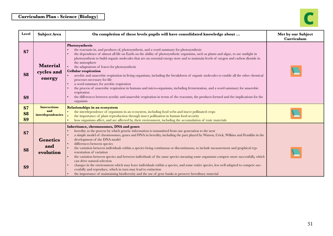| Level                                    | <b>Subject Area</b>                             | On completion of these levels pupils will have consolidated knowledge about                                                                                                                                                                                                                                                                                                                                                                                                                                                                                                                                                                                                                                                                                                                                                                                                                                                                                                                                     | Met by our Subject<br>Curriculum |
|------------------------------------------|-------------------------------------------------|-----------------------------------------------------------------------------------------------------------------------------------------------------------------------------------------------------------------------------------------------------------------------------------------------------------------------------------------------------------------------------------------------------------------------------------------------------------------------------------------------------------------------------------------------------------------------------------------------------------------------------------------------------------------------------------------------------------------------------------------------------------------------------------------------------------------------------------------------------------------------------------------------------------------------------------------------------------------------------------------------------------------|----------------------------------|
| S <sub>7</sub><br><b>S8</b><br><b>S9</b> | <b>Material</b><br>cycles and<br>energy         | Photosynthesis<br>the reactants in, and products of, photosynthesis, and a word summary for photosynthesis<br>the dependence of almost all life on Earth on the ability of photosynthetic organisms, such as plants and algae, to use sunlight in<br>photosynthesis to build organic molecules that are an essential energy store and to maintain levels of oxygen and carbon dioxide in<br>the atmosphere<br>the adaptations of leaves for photosynthesis<br><b>Cellular respiration</b><br>aerobic and anaerobic respiration in living organisms, including the breakdown of organic molecules to enable all the other chemical<br>processes necessary for life<br>a word summary for aerobic respiration<br>the process of anaerobic respiration in humans and micro-organisms, including fermentation, and a word summary for anaerobic<br>respiration<br>the differences between aerobic and anaerobic respiration in terms of the reactants, the products formed and the implications for the<br>organism |                                  |
| <b>S7</b><br><b>S8</b><br><b>S9</b>      | <b>Interactions</b><br>and<br>interdependencies | Relationships in an ecosystem<br>the interdependence of organisms in an ecosystem, including food webs and insect pollinated crops<br>the importance of plant reproduction through insect pollination in human food security<br>how organisms affect, and are affected by, their environment, including the accumulation of toxic materials                                                                                                                                                                                                                                                                                                                                                                                                                                                                                                                                                                                                                                                                     |                                  |
| S <sub>7</sub><br><b>S8</b><br><b>S9</b> | <b>Genetics</b><br>and<br>evolution             | Inheritance, chromosomes, DNA and genes<br>heredity as the process by which genetic information is transmitted from one generation to the next<br>a simple model of chromosomes, genes and DNA in heredity, including the part played by Watson, Crick, Wilkins and Franklin in the<br>development of the DNA model<br>differences between species<br>the variation between individuals within a species being continuous or discontinuous, to include measurement and graphical rep-<br>resentation of variation<br>the variation between species and between individuals of the same species meaning some organisms compete more successfully, which<br>can drive natural selection<br>changes in the environment which may leave individuals within a species, and some entire species, less well adapted to compete suc-<br>cessfully and reproduce, which in turn may lead to extinction<br>the importance of maintaining biodiversity and the use of gene banks to preserve hereditary material           |                                  |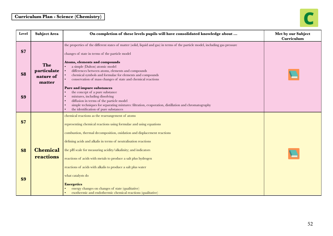# **Curriculum Plan - Science (Chemistry)**



| Level                                    | <b>Subject Area</b>                       | On completion of these levels pupils will have consolidated knowledge about                                                                                                                                                                                                                                                                                                                                                                                                                                                                                                                                                                                                                  | Met by our Subject<br>Curriculum |
|------------------------------------------|-------------------------------------------|----------------------------------------------------------------------------------------------------------------------------------------------------------------------------------------------------------------------------------------------------------------------------------------------------------------------------------------------------------------------------------------------------------------------------------------------------------------------------------------------------------------------------------------------------------------------------------------------------------------------------------------------------------------------------------------------|----------------------------------|
| S <sub>7</sub><br><b>S8</b><br><b>S9</b> | The<br>particulate<br>nature of<br>matter | the properties of the different states of matter (solid, liquid and gas) in terms of the particle model, including gas pressure<br>changes of state in terms of the particle model<br>Atoms, elements and compounds<br>a simple (Dalton) atomic model<br>differences between atoms, elements and compounds<br>chemical symbols and formulae for elements and compounds<br>conservation of mass changes of state and chemical reactions<br>Pure and impure substances<br>the concept of a pure substance<br>mixtures, including dissolving<br>diffusion in terms of the particle model<br>simple techniques for separating mixtures: filtration, evaporation, distillation and chromatography |                                  |
| <b>S7</b><br><b>S8</b><br><b>S9</b>      | <b>Chemical</b><br>reactions              | the identification of pure substances<br>chemical reactions as the rearrangement of atoms<br>representing chemical reactions using formulae and using equations<br>combustion, thermal decomposition, oxidation and displacement reactions<br>defining acids and alkalis in terms of neutralisation reactions<br>the pH scale for measuring acidity/alkalinity; and indicators<br>reactions of acids with metals to produce a salt plus hydrogen<br>reactions of acids with alkalis to produce a salt plus water<br>what catalysts do<br><b>Energetics</b><br>energy changes on changes of state (qualitative)<br>exothermic and endothermic chemical reactions (qualitative)                |                                  |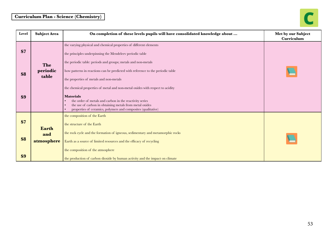# **Curriculum Plan - Science (Chemistry)**



| Level                                    | <b>Subject Area</b>               | On completion of these levels pupils will have consolidated knowledge about                                                                                                                                                                                                                                                                                                                                                                                                                                                                                                                                               | Met by our Subject<br>Curriculum |
|------------------------------------------|-----------------------------------|---------------------------------------------------------------------------------------------------------------------------------------------------------------------------------------------------------------------------------------------------------------------------------------------------------------------------------------------------------------------------------------------------------------------------------------------------------------------------------------------------------------------------------------------------------------------------------------------------------------------------|----------------------------------|
| S <sub>7</sub><br><b>S8</b><br><b>S9</b> | <b>The</b><br>periodic<br>table   | the varying physical and chemical properties of different elements<br>the principles underpinning the Mendeleev periodic table<br>the periodic table: periods and groups; metals and non-metals<br>how patterns in reactions can be predicted with reference to the periodic table<br>the properties of metals and non-metals<br>the chemical properties of metal and non-metal oxides with respect to acidity<br><b>Materials</b><br>the order of metals and carbon in the reactivity series<br>the use of carbon in obtaining metals from metal oxides<br>properties of ceramics, polymers and composites (qualitative) |                                  |
| <b>S7</b><br><b>S8</b><br><b>S9</b>      | <b>Earth</b><br>and<br>atmosphere | the composition of the Earth<br>the structure of the Earth<br>the rock cycle and the formation of igneous, sedimentary and metamorphic rocks<br>Earth as a source of limited resources and the efficacy of recycling<br>the composition of the atmosphere<br>the production of carbon dioxide by human activity and the impact on climate                                                                                                                                                                                                                                                                                 |                                  |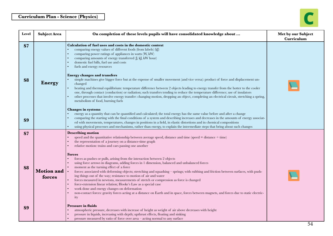

| <b>Level</b>           | <b>Subject Area</b>         | On completion of these levels pupils will have consolidated knowledge about                                                                                                                                                                                                                                                                                                                                                                                                                                                                                                                                                                                                                                                                                                                                                                                                                                                                                                                                                                                                                                                                                                                               | Met by our Subject<br>Curriculum |
|------------------------|-----------------------------|-----------------------------------------------------------------------------------------------------------------------------------------------------------------------------------------------------------------------------------------------------------------------------------------------------------------------------------------------------------------------------------------------------------------------------------------------------------------------------------------------------------------------------------------------------------------------------------------------------------------------------------------------------------------------------------------------------------------------------------------------------------------------------------------------------------------------------------------------------------------------------------------------------------------------------------------------------------------------------------------------------------------------------------------------------------------------------------------------------------------------------------------------------------------------------------------------------------|----------------------------------|
| S <sub>7</sub>         |                             | Calculation of fuel uses and costs in the domestic context<br>comparing energy values of different foods (from labels) (kJ)<br>comparing power ratings of appliances in watts (W, kW)<br>comparing amounts of energy transferred (J, kJ, kW hour)<br>domestic fuel bills, fuel use and costs<br>fuels and energy resources                                                                                                                                                                                                                                                                                                                                                                                                                                                                                                                                                                                                                                                                                                                                                                                                                                                                                |                                  |
| <b>S8</b><br><b>S9</b> | <b>Energy</b>               | <b>Energy changes and transfers</b><br>simple machines give bigger force but at the expense of smaller movement (and vice versa): product of force and displacement un-<br>changed<br>heating and thermal equilibrium: temperature difference between 2 objects leading to energy transfer from the hotter to the cooler<br>one, through contact (conduction) or radiation; such transfers tending to reduce the temperature difference; use of insulators<br>other processes that involve energy transfer: changing motion, dropping an object, completing an electrical circuit, stretching a spring,<br>metabolism of food, burning fuels<br><b>Changes in systems</b><br>energy as a quantity that can be quantified and calculated; the total energy has the same value before and after a change<br>comparing the starting with the final conditions of a system and describing increases and decreases in the amounts of energy associat-<br>ed with movements, temperatures, changes in positions in a field, in elastic distortions and in chemical compositions<br>using physical processes and mechanisms, rather than energy, to explain the intermediate steps that bring about such changes |                                  |
| S <sub>7</sub>         |                             | <b>Describing motion</b>                                                                                                                                                                                                                                                                                                                                                                                                                                                                                                                                                                                                                                                                                                                                                                                                                                                                                                                                                                                                                                                                                                                                                                                  |                                  |
| <b>S8</b>              | <b>Motion and</b><br>forces | speed and the quantitative relationship between average speed, distance and time (speed = distance $\div$ time)<br>the representation of a journey on a distance-time graph<br>relative motion: trains and cars passing one another<br><b>Forces</b><br>forces as pushes or pulls, arising from the interaction between 2 objects<br>using force arrows in diagrams, adding forces in 1 dimension, balanced and unbalanced forces<br>moment as the turning effect of a force<br>forces: associated with deforming objects; stretching and squashing - springs; with rubbing and friction between surfaces, with push-<br>ing things out of the way; resistance to motion of air and water<br>forces measured in newtons, measurements of stretch or compression as force is changed<br>force-extension linear relation; Hooke's Law as a special case<br>work done and energy changes on deformation<br>non-contact forces: gravity forces acting at a distance on Earth and in space, forces between magnets, and forces due to static electric-<br>ity<br><b>Pressure in fluids</b>                                                                                                                     |                                  |
| <b>S9</b>              |                             | atmospheric pressure, decreases with increase of height as weight of air above decreases with height<br>pressure in liquids, increasing with depth; upthrust effects, floating and sinking<br>pressure measured by ratio of force over area - acting normal to any surface                                                                                                                                                                                                                                                                                                                                                                                                                                                                                                                                                                                                                                                                                                                                                                                                                                                                                                                                |                                  |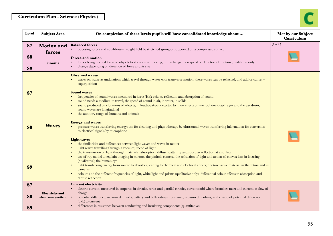

| Level                                    | <b>Subject Area</b>                        | On completion of these levels pupils will have consolidated knowledge about                                                                                                                                                                                                                                                                                                                                                                                                                                                                                                                                                                                                                                                                                                                                                                                                                                                                                                                                                                                                                                                                                                                                                                                                                                                                                                                                                                                                                                                                                                                    | Met by our Subject<br>Curriculum |
|------------------------------------------|--------------------------------------------|------------------------------------------------------------------------------------------------------------------------------------------------------------------------------------------------------------------------------------------------------------------------------------------------------------------------------------------------------------------------------------------------------------------------------------------------------------------------------------------------------------------------------------------------------------------------------------------------------------------------------------------------------------------------------------------------------------------------------------------------------------------------------------------------------------------------------------------------------------------------------------------------------------------------------------------------------------------------------------------------------------------------------------------------------------------------------------------------------------------------------------------------------------------------------------------------------------------------------------------------------------------------------------------------------------------------------------------------------------------------------------------------------------------------------------------------------------------------------------------------------------------------------------------------------------------------------------------------|----------------------------------|
| S <sub>7</sub><br><b>S8</b><br><b>S9</b> | <b>Motion</b> and<br>forces<br>(Cont.)     | <b>Balanced forces</b><br>opposing forces and equilibrium: weight held by stretched spring or supported on a compressed surface<br><b>Forces and motion</b><br>forces being needed to cause objects to stop or start moving, or to change their speed or direction of motion (qualitative only)<br>change depending on direction of force and its size                                                                                                                                                                                                                                                                                                                                                                                                                                                                                                                                                                                                                                                                                                                                                                                                                                                                                                                                                                                                                                                                                                                                                                                                                                         | (Cont.)                          |
| <b>S7</b><br><b>S8</b><br><b>S9</b>      | <b>Waves</b>                               | <b>Observed waves</b><br>waves on water as undulations which travel through water with transverse motion; these waves can be reflected, and add or cancel -<br>superposition<br><b>Sound waves</b><br>frequencies of sound waves, measured in hertz (Hz); echoes, reflection and absorption of sound<br>sound needs a medium to travel, the speed of sound in air, in water, in solids<br>sound produced by vibrations of objects, in loudspeakers, detected by their effects on microphone diaphragm and the ear drum;<br>sound waves are longitudinal<br>the auditory range of humans and animals<br><b>Energy and waves</b><br>pressure waves transferring energy; use for cleaning and physiotherapy by ultrasound; waves transferring information for conversion<br>to electrical signals by microphone<br><b>Light waves</b><br>the similarities and differences between light waves and waves in matter<br>light waves travelling through a vacuum; speed of light<br>the transmission of light through materials: absorption, diffuse scattering and specular reflection at a surface<br>use of ray model to explain imaging in mirrors, the pinhole camera, the refraction of light and action of convex lens in focusing<br>(qualitative); the human eye<br>light transferring energy from source to absorber, leading to chemical and electrical effects; photosensitive material in the retina and in<br>cameras<br>colours and the different frequencies of light, white light and prisms (qualitative only); differential colour effects in absorption and<br>diffuse reflection |                                  |
| <b>S7</b><br><b>S8</b><br><b>S9</b>      | <b>Electricity</b> and<br>electromagnetism | <b>Current electricity</b><br>electric current, measured in amperes, in circuits, series and parallel circuits, currents add where branches meet and current as flow of<br>charge<br>potential difference, measured in volts, battery and bulb ratings; resistance, measured in ohms, as the ratio of potential difference<br>$(p.d.)$ to current<br>differences in resistance between conducting and insulating components (quantitative)                                                                                                                                                                                                                                                                                                                                                                                                                                                                                                                                                                                                                                                                                                                                                                                                                                                                                                                                                                                                                                                                                                                                                     |                                  |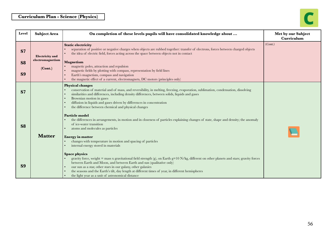| Level                                    | <b>Subject Area</b>                                   | On completion of these levels pupils will have consolidated knowledge about                                                                                                                                                                                                                                                                                                                                                                                                                                                                                                                                                                                                                                                                                                                                                                                                                                                                                  | Met by our Subject<br>Curriculum |
|------------------------------------------|-------------------------------------------------------|--------------------------------------------------------------------------------------------------------------------------------------------------------------------------------------------------------------------------------------------------------------------------------------------------------------------------------------------------------------------------------------------------------------------------------------------------------------------------------------------------------------------------------------------------------------------------------------------------------------------------------------------------------------------------------------------------------------------------------------------------------------------------------------------------------------------------------------------------------------------------------------------------------------------------------------------------------------|----------------------------------|
| S <sub>7</sub><br><b>S8</b><br><b>S9</b> | <b>Electricity</b> and<br>electromagnetism<br>(Cont.) | <b>Static electricity</b><br>separation of positive or negative charges when objects are rubbed together: transfer of electrons, forces between charged objects<br>the idea of electric field, forces acting across the space between objects not in contact<br><b>Magnetism</b><br>magnetic poles, attraction and repulsion<br>magnetic fields by plotting with compass, representation by field lines<br>Earth's magnetism, compass and navigation<br>the magnetic effect of a current, electromagnets, DC motors (principles only)                                                                                                                                                                                                                                                                                                                                                                                                                        | (Cont.)                          |
| S <sub>7</sub><br><b>S8</b>              | <b>Matter</b>                                         | <b>Physical changes</b><br>conservation of material and of mass, and reversibility, in melting, freezing, evaporation, sublimation, condensation, dissolving<br>similarities and differences, including density differences, between solids, liquids and gases<br>Brownian motion in gases<br>diffusion in liquids and gases driven by differences in concentration<br>the difference between chemical and physical changes<br>Particle model<br>the differences in arrangements, in motion and in closeness of particles explaining changes of state, shape and density; the anomaly<br>of ice-water transition<br>atoms and molecules as particles<br><b>Energy</b> in matter<br>changes with temperature in motion and spacing of particles<br>internal energy stored in materials<br><b>Space physics</b><br>gravity force, weight = mass x gravitational field strength (g), on Earth $g=10$ N/kg, different on other planets and stars; gravity forces |                                  |
| <b>S9</b>                                |                                                       | between Earth and Moon, and between Earth and sun (qualitative only)<br>our sun as a star, other stars in our galaxy, other galaxies<br>the seasons and the Earth's tilt, day length at different times of year, in different hemispheres<br>the light year as a unit of astronomical distance                                                                                                                                                                                                                                                                                                                                                                                                                                                                                                                                                                                                                                                               |                                  |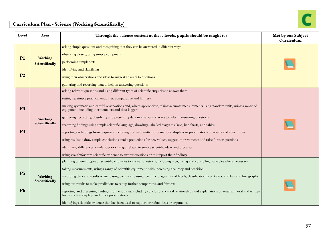

# **Curriculum Plan - Science (Working Scientifically)**

| Level                       | Area                                    | Through the science content at these levels, pupils should be taught to:                                                                                                                                                                                                                                                                                                                                                                                                                                                                                                                                                                                                                                                                                                                                                                                                                                                                                                                                                                                                 | Met by our Subject<br>Curriculum |
|-----------------------------|-----------------------------------------|--------------------------------------------------------------------------------------------------------------------------------------------------------------------------------------------------------------------------------------------------------------------------------------------------------------------------------------------------------------------------------------------------------------------------------------------------------------------------------------------------------------------------------------------------------------------------------------------------------------------------------------------------------------------------------------------------------------------------------------------------------------------------------------------------------------------------------------------------------------------------------------------------------------------------------------------------------------------------------------------------------------------------------------------------------------------------|----------------------------------|
| P1<br>P <sub>2</sub>        | <b>Working</b><br><b>Scientifically</b> | asking simple questions and recognising that they can be answered in different ways<br>observing closely, using simple equipment<br>performing simple tests<br>identifying and classifying<br>using their observations and ideas to suggest answers to questions<br>gathering and recording data to help in answering questions.                                                                                                                                                                                                                                                                                                                                                                                                                                                                                                                                                                                                                                                                                                                                         |                                  |
| P <sub>3</sub><br><b>P4</b> | Working<br>Scientifically               | asking relevant questions and using different types of scientific enquiries to answer them<br>setting up simple practical enquiries, comparative and fair tests<br>making systematic and careful observations and, where appropriate, taking accurate measurements using standard units, using a range of<br>equipment, including thermometers and data loggers<br>gathering, recording, classifying and presenting data in a variety of ways to help in answering questions<br>recording findings using simple scientific language, drawings, labelled diagrams, keys, bar charts, and tables<br>reporting on findings from enquiries, including oral and written explanations, displays or presentations of results and conclusions<br>using results to draw simple conclusions, make predictions for new values, suggest improvements and raise further questions<br>identifying differences, similarities or changes related to simple scientific ideas and processes<br>using straightforward scientific evidence to answer questions or to support their findings. |                                  |
| <b>P5</b><br><b>P6</b>      | Working<br>Scientifically               | planning different types of scientific enquiries to answer questions, including recognising and controlling variables where necessary<br>taking measurements, using a range of scientific equipment, with increasing accuracy and precision<br>recording data and results of increasing complexity using scientific diagrams and labels, classification keys, tables, and bar and line graphs<br>using test results to make predictions to set up further comparative and fair tests<br>reporting and presenting findings from enquiries, including conclusions, causal relationships and explanations of results, in oral and written<br>forms such as displays and other presentations<br>identifying scientific evidence that has been used to support or refute ideas or arguments.                                                                                                                                                                                                                                                                                  |                                  |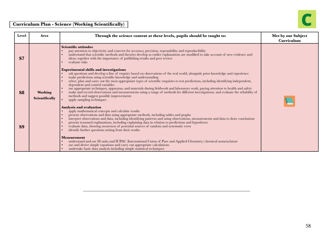# **Curriculum Plan - Science (Working Scientifically)**



| Level          | Area                      | Through the science content at these levels, pupils should be taught to:                                                                                                                                                                                                                                                                                                                                                                                                                                                                                                                                                                                                                                                                                                                                                                                     | Met by our Subject<br>Curriculum |
|----------------|---------------------------|--------------------------------------------------------------------------------------------------------------------------------------------------------------------------------------------------------------------------------------------------------------------------------------------------------------------------------------------------------------------------------------------------------------------------------------------------------------------------------------------------------------------------------------------------------------------------------------------------------------------------------------------------------------------------------------------------------------------------------------------------------------------------------------------------------------------------------------------------------------|----------------------------------|
| S <sub>7</sub> |                           | <b>Scientific attitudes</b><br>pay attention to objectivity and concern for accuracy, precision, repeatability and reproducibility<br>understand that scientific methods and theories develop as earlier explanations are modified to take account of new evidence and<br>ideas, together with the importance of publishing results and peer review<br>evaluate risks                                                                                                                                                                                                                                                                                                                                                                                                                                                                                        |                                  |
| <b>S8</b>      | Working<br>Scientifically | <b>Experimental skills and investigations</b><br>ask questions and develop a line of enquiry based on observations of the real world, alongside prior knowledge and experience<br>make predictions using scientific knowledge and understanding<br>select, plan and carry out the most appropriate types of scientific enquiries to test predictions, including identifying independent,<br>dependent and control variables<br>use appropriate techniques, apparatus, and materials during fieldwork and laboratory work, paying attention to health and safety<br>make and record observations and measurements using a range of methods for different investigations; and evaluate the reliability of<br>methods and suggest possible improvements<br>apply sampling techniques                                                                            |                                  |
| <b>S9</b>      |                           | Analysis and evaluation<br>apply mathematical concepts and calculate results<br>present observations and data using appropriate methods, including tables and graphs<br>interpret observations and data, including identifying patterns and using observations, measurements and data to draw conclusions<br>present reasoned explanations, including explaining data in relation to predictions and hypotheses<br>evaluate data, showing awareness of potential sources of random and systematic error<br>identify further questions arising from their results<br><b>Measurement</b><br>understand and use SI units and IUPAC (International Union of Pure and Applied Chemistry) chemical nomenclature<br>use and derive simple equations and carry out appropriate calculations<br>undertake basic data analysis including simple statistical techniques |                                  |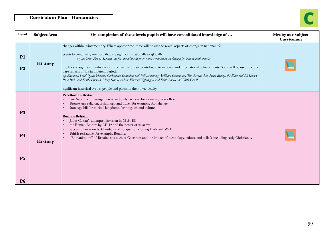#### **Curriculum Plan - Humanities**



| Level                                            | <b>Subject Area</b> | On completion of these levels pupils will have consolidated knowledge of                                                                                                                                                                                                                                                                                                                                                                                                                                                                                                                                                                                                                                                                                                                                                                                          | Met by our Subject<br>Curriculum |
|--------------------------------------------------|---------------------|-------------------------------------------------------------------------------------------------------------------------------------------------------------------------------------------------------------------------------------------------------------------------------------------------------------------------------------------------------------------------------------------------------------------------------------------------------------------------------------------------------------------------------------------------------------------------------------------------------------------------------------------------------------------------------------------------------------------------------------------------------------------------------------------------------------------------------------------------------------------|----------------------------------|
| P1<br>P <sub>2</sub>                             | <b>History</b>      | changes within living memory. Where appropriate, these will be used to reveal aspects of change in national life<br>events beyond living memory that are significant nationally or globally<br>e.g. the Great Fire of London, the first aeroplane flight or events commemorated through festivals or anniversaries<br>the lives of significant individuals in the past who have contributed to national and international achievements. Some will be used to com-<br>pare aspects of life in different periods<br>e.g. Elizabeth I and Queen Victoria, Christopher Columbus and Neil Armstrong, William Caxton and Tim Berners-Lee, Pieter Bruegel the Elder and LS Lowry,<br>Rosa Parks and Emily Davison, Mary Seacole and/or Florence Nightingale and Edith Cavell and Edith Cavell<br>significant historical events, people and places in their own locality. |                                  |
| <b>P3</b><br><b>P4</b><br><b>P5</b><br><b>P6</b> | <b>History</b>      | <b>Pre-Roman Britain</b><br>late Neolithic hunter-gatherers and early farmers, for example, Skara Brae<br>Bronze Age religion, technology and travel, for example, Stonehenge<br>Iron Age hill forts: tribal kingdoms, farming, art and culture<br><b>Roman Britain</b><br>Julius Caesar's attempted invasion in 55-54 BC<br>the Roman Empire by AD 42 and the power of its army<br>successful invasion by Claudius and conquest, including Hadrian's Wall<br>British resistance, for example, Boudica<br>"Romanisation" of Britain: sites such as Caerwent and the impact of technology, culture and beliefs, including early Christianity                                                                                                                                                                                                                       |                                  |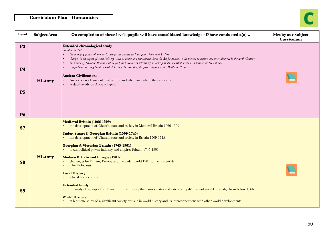#### **Curriculum Plan - Humanities**



| Level                                                      | <b>Subject Area</b> | On completion of these levels pupils will have consolidated knowledge of/have conducted $a(n)$                                                                                                                                                                                                                                                                                                                                                                                                                                                                                                                                                                                                                                                                                                                                                                   | Met by our Subject<br>Curriculum |
|------------------------------------------------------------|---------------------|------------------------------------------------------------------------------------------------------------------------------------------------------------------------------------------------------------------------------------------------------------------------------------------------------------------------------------------------------------------------------------------------------------------------------------------------------------------------------------------------------------------------------------------------------------------------------------------------------------------------------------------------------------------------------------------------------------------------------------------------------------------------------------------------------------------------------------------------------------------|----------------------------------|
| P <sub>3</sub><br><b>P4</b><br>P <sub>5</sub><br><b>P6</b> | <b>History</b>      | <b>Extended chronological study</b><br>examples include:<br>the changing power of monarchs using case studies such as John, Anne and Victoria<br>changes in an aspect of social history, such as crime and punishment from the Anglo-Saxons to the present or leisure and entertainment in the 20th Century<br>the legacy of Greek or Roman culture (art, architecture or literature) on later periods in British history, including the present day<br>a significant turning point in British history, for example, the first railways or the Battle of Britain<br><b>Ancient Civilizations</b><br>An overview of ancient civilizations and when and where they appeared<br>A depth study on Ancient Egypt                                                                                                                                                      |                                  |
| S <sub>7</sub><br><b>S8</b><br><b>S9</b>                   | <b>History</b>      | Medieval Britain (1066-1509)<br>the development of Church, state and society in Medieval Britain 1066-1509<br>Tudor, Stuart & Georgian Britain (1509-1745)<br>the development of Church, state and society in Britain 1509-1745<br>Georgian & Victorian Britain (1745-1901)<br>ideas, political power, industry and empire: Britain, 1745-1901<br><b>Modern Britain and Europe (1901-)</b><br>challenges for Britain, Europe and the wider world 1901 to the present day<br>The Holocaust<br><b>Local History</b><br>a local history study<br><b>Extended Study</b><br>the study of an aspect or theme in British history that consolidates and extends pupils' chronological knowledge from before 1066<br><b>World History</b><br>at least one study of a significant society or issue in world history and its interconnections with other world developments |                                  |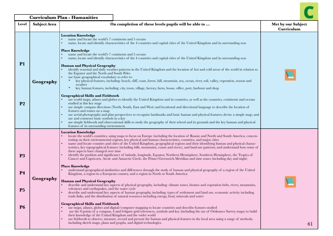|                                                       | <b>Curriculum Plan - Humanities</b> |                                                                                                                                                                                                                                                                                                                                                                                                                                                                                                                                                                                                                                                                                                                                                                                                                                                                                                                                                                                                                                                                                                                                                                                                                                                                                                                                                                                                                                                                                                                                                                                                                                                                                                                                                                                                                                                                                                                                                                                                                                                                                                                                                                           |                                  |  |  |
|-------------------------------------------------------|-------------------------------------|---------------------------------------------------------------------------------------------------------------------------------------------------------------------------------------------------------------------------------------------------------------------------------------------------------------------------------------------------------------------------------------------------------------------------------------------------------------------------------------------------------------------------------------------------------------------------------------------------------------------------------------------------------------------------------------------------------------------------------------------------------------------------------------------------------------------------------------------------------------------------------------------------------------------------------------------------------------------------------------------------------------------------------------------------------------------------------------------------------------------------------------------------------------------------------------------------------------------------------------------------------------------------------------------------------------------------------------------------------------------------------------------------------------------------------------------------------------------------------------------------------------------------------------------------------------------------------------------------------------------------------------------------------------------------------------------------------------------------------------------------------------------------------------------------------------------------------------------------------------------------------------------------------------------------------------------------------------------------------------------------------------------------------------------------------------------------------------------------------------------------------------------------------------------------|----------------------------------|--|--|
| Level                                                 | <b>Subject Area</b>                 | On completion of these levels pupils will be able to                                                                                                                                                                                                                                                                                                                                                                                                                                                                                                                                                                                                                                                                                                                                                                                                                                                                                                                                                                                                                                                                                                                                                                                                                                                                                                                                                                                                                                                                                                                                                                                                                                                                                                                                                                                                                                                                                                                                                                                                                                                                                                                      | Met by our Subject<br>Curriculum |  |  |
| P1<br>P <sub>2</sub>                                  | Geography                           | <b>Location Knowledge</b><br>name and locate the world's 7 continents and 5 oceans<br>name, locate and identify characteristics of the 4 countries and capital cities of the United Kingdom and its surrounding seas<br><b>Place Knowledge</b><br>name and locate the world's 7 continents and 5 oceans<br>name, locate and identify characteristics of the 4 countries and capital cities of the United Kingdom and its surrounding seas<br><b>Human and Physical Geography</b><br>identify seasonal and daily weather patterns in the United Kingdom and the location of hot and cold areas of the world in relation to<br>the Equator and the North and South Poles<br>use basic geographical vocabulary to refer to:<br>key physical features, including: beach, cliff, coast, forest, hill, mountain, sea, ocean, river, soil, valley, vegetation, season and<br>weather<br>key human features, including: city, town, village, factory, farm, house, office, port, harbour and shop<br>$\ast$<br><b>Geographical Skills and Fieldwork</b><br>use world maps, atlases and globes to identify the United Kingdom and its countries, as well as the countries, continents and oceans<br>studied at this key stage<br>use simple compass directions (North, South, East and West) and locational and directional language to describe the location of<br>features and routes on a map<br>use aerial photographs and plan perspectives to recognise landmarks and basic human and physical features; devise a simple map; and<br>use and construct basic symbols in a key<br>use simple fieldwork and observational skills to study the geography of their school and its grounds and the key human and physical<br>features of its surrounding environment.                                                                                                                                                                                                                                                                                                                                                                                                             |                                  |  |  |
| P <sub>3</sub><br><b>P4</b><br><b>P5</b><br><b>P6</b> | Geography                           | <b>Location Knowledge</b><br>locate the world's countries, using maps to focus on Europe (including the location of Russia) and North and South America, concen-<br>trating on their environmental regions, key physical and human characteristics, countries, and major cities<br>name and locate counties and cities of the United Kingdom, geographical regions and their identifying human and physical charac-<br>teristics, key topographical features (including hills, mountains, coasts and rivers), and land-use patterns; and understand how some of<br>these aspects have changed over time<br>identify the position and significance of latitude, longitude, Equator, Northern Hemisphere, Southern Hemisphere, the Tropics of<br>Cancer and Capricorn, Arctic and Antarctic Circle, the Prime/Greenwich Meridian and time zones (including day and night)<br><b>Place Knowledge</b><br>understand geographical similarities and differences through the study of human and physical geography of a region of the United<br>Kingdom, a region in a European country, and a region in North or South America<br><b>Human and Physical Geography</b><br>describe and understand key aspects of physical geography, including: climate zones, biomes and vegetation belts, rivers, mountains,<br>volcanoes and earthquakes, and the water cycle<br>describe and understand key aspects of human geography, including: types of settlement and land use, economic activity including<br>trade links, and the distribution of natural resources including energy, food, minerals and water<br><b>Geographical Skills and Fieldwork</b><br>use maps, atlases, globes and digital/computer mapping to locate countries and describe features studied<br>use the 8 points of a compass, 4 and 6-figure grid references, symbols and key (including the use of Ordnance Survey maps) to build<br>their knowledge of the United Kingdom and the wider world<br>use fieldwork to observe, measure, record and present the human and physical features in the local area using a range of methods,<br>including sketch maps, plans and graphs, and digital technologies. | 61                               |  |  |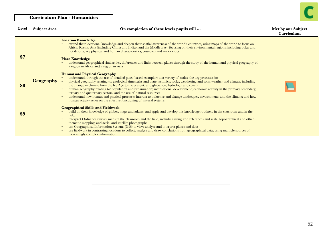

#### **Curriculum Plan - Humanities**

| Level                  | <b>Subject Area</b> | On completion of these levels pupils will                                                                                                                                                                                                                                                                                                                                                                                                                                                                                                                                                                                                                                                                                                                                                                                                                                                                                                                                                                                                                                                                                                                                                                                                                                                                                                                                                                                 | Met by our Subject<br>Curriculum |
|------------------------|---------------------|---------------------------------------------------------------------------------------------------------------------------------------------------------------------------------------------------------------------------------------------------------------------------------------------------------------------------------------------------------------------------------------------------------------------------------------------------------------------------------------------------------------------------------------------------------------------------------------------------------------------------------------------------------------------------------------------------------------------------------------------------------------------------------------------------------------------------------------------------------------------------------------------------------------------------------------------------------------------------------------------------------------------------------------------------------------------------------------------------------------------------------------------------------------------------------------------------------------------------------------------------------------------------------------------------------------------------------------------------------------------------------------------------------------------------|----------------------------------|
| <b>S7</b><br><b>S8</b> | Geography           | <b>Location Knowledge</b><br>extend their locational knowledge and deepen their spatial awareness of the world's countries, using maps of the world to focus on<br>Africa, Russia, Asia (including China and India), and the Middle East, focusing on their environmental regions, including polar and<br>hot deserts, key physical and human characteristics, countries and major cities<br><b>Place Knowledge</b><br>understand geographical similarities, differences and links between places through the study of the human and physical geography of<br>a region in Africa and a region in Asia<br><b>Human and Physical Geography</b><br>understand, through the use of detailed place-based exemplars at a variety of scales, the key processes in:<br>physical geography relating to: geological timescales and plate tectonics; rocks, weathering and soils; weather and climate, including<br>the change in climate from the Ice Age to the present; and glaciation, hydrology and coasts<br>human geography relating to: population and urbanisation; international development; economic activity in the primary, secondary,<br>tertiary and quaternary sectors; and the use of natural resources<br>understand how human and physical processes interact to influence and change landscapes, environments and the climate; and how<br>human activity relies on the effective functioning of natural systems |                                  |
| <b>S9</b>              |                     | <b>Geographical Skills and Fieldwork</b><br>build on their knowledge of globes, maps and atlases, and apply and develop this knowledge routinely in the classroom and in the<br>field<br>interpret Ordnance Survey maps in the classroom and the field, including using grid references and scale, topographical and other<br>thematic mapping, and aerial and satellite photographs<br>use Geographical Information Systems (GIS) to view, analyse and interpret places and data<br>use fieldwork in contrasting locations to collect, analyse and draw conclusions from geographical data, using multiple sources of<br>increasingly complex information                                                                                                                                                                                                                                                                                                                                                                                                                                                                                                                                                                                                                                                                                                                                                                |                                  |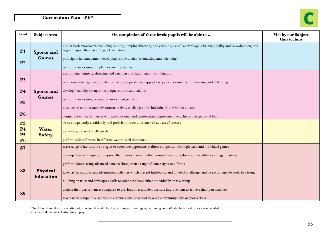

| Level                                                 | <b>Subject Area</b>               | On completion of these levels pupils will be able to                                                                                                                                                                                                                                                                                                                                                                                                                                                                                                                                                                                                                                                                                                                                                           | Met by our Subject<br>Curriculum |
|-------------------------------------------------------|-----------------------------------|----------------------------------------------------------------------------------------------------------------------------------------------------------------------------------------------------------------------------------------------------------------------------------------------------------------------------------------------------------------------------------------------------------------------------------------------------------------------------------------------------------------------------------------------------------------------------------------------------------------------------------------------------------------------------------------------------------------------------------------------------------------------------------------------------------------|----------------------------------|
| P1<br>P <sub>2</sub>                                  | <b>Sports and</b><br><b>Games</b> | master basic movements including running, jumping, throwing and catching, as well as developing balance, agility and co-ordination, and<br>begin to apply these in a range of activities<br>participate in team games, developing simple tactics for attacking and defending<br>perform dances using simple movement patterns.                                                                                                                                                                                                                                                                                                                                                                                                                                                                                 |                                  |
| <b>P3</b><br><b>P4</b><br><b>P5</b><br><b>P6</b>      | <b>Sports and</b><br><b>Games</b> | use running, jumping, throwing and catching in isolation and in combination<br>play competitive games, modified where appropriate, and apply basic principles suitable for attacking and defending<br>develop flexibility, strength, technique, control and balance<br>perform dances using a range of movement patterns<br>take part in outdoor and adventurous activity challenges both individually and within a team<br>compare their performances with previous ones and demonstrate improvement to achieve their personal best.<br>swim competently, confidently and proficiently over a distance of at least 25 metres                                                                                                                                                                                  |                                  |
| <b>P3</b><br><b>P4</b><br>P <sub>5</sub><br><b>P6</b> | <b>Water</b><br><b>Safety</b>     | use a range of strokes effectively<br>perform safe self-rescue in different water-based situations.                                                                                                                                                                                                                                                                                                                                                                                                                                                                                                                                                                                                                                                                                                            |                                  |
| <b>S7</b><br><b>S8</b><br><b>S9</b>                   | Physical<br><b>Education</b>      | use a range of tactics and strategies to overcome opponents in direct competition through team and individual games<br>develop their technique and improve their performance in other competitive sports [for example, athletics and gymnastics]<br>perform dances using advanced dance techniques in a range of dance styles and forms<br>take part in outdoor and adventurous activities which present intellectual and physical challenges and be encouraged to work in a team,<br>building on trust and developing skills to solve problems, either individually or as a group<br>analyse their performances compared to previous ones and demonstrate improvement to achieve their personal best<br>take part in competitive sports and activities outside school through community links or sports clubs |                                  |

\*Our PE sessions take place on site and in conjunction with local provisions, eg. fitness gym, swimming pool. We also have local park visits scheduled which include elemnts of adventurous play.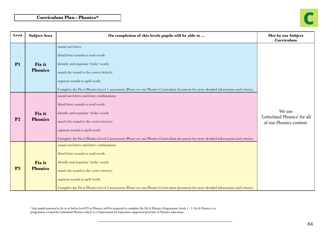#### **Curriculum Plan - Phonics\***



| <b>Level</b>   | <b>Subject Area</b>      | On completion of this levels pupils will be able to                                                                                                                                                                                                                                                                                             | Met by our Subject<br>Curriculum                                  |
|----------------|--------------------------|-------------------------------------------------------------------------------------------------------------------------------------------------------------------------------------------------------------------------------------------------------------------------------------------------------------------------------------------------|-------------------------------------------------------------------|
| <b>P1</b>      | Fix it<br><b>Phonics</b> | sound out letters<br>blend letter sounds to read words<br>identify and negotiate 'tricky' words<br>match the sound to the correct letter(s)<br>segment sounds to spell words<br>Complete the Fix it Phonics Level 1 assessment (Please see our Phonics Curriculum document for more detailed information and criteria).                         |                                                                   |
| P <sub>2</sub> | Fix it<br><b>Phonics</b> | sound out letters and letter combinations<br>blend letter sounds to read words<br>identify and negotiate 'tricky' words<br>match the sound to the correct letter(s)<br>segment sounds to spell words<br>Complete the Fix it Phonics Level 2 assessment (Please see our Phonics Curriculum document for more detailed information and criteria). | We use<br>'Letterland Phonics' for all<br>of our Phonics content. |
| <b>P3</b>      | Fix it<br><b>Phonics</b> | sound out letters and letter combinations<br>blend letter sounds to read words<br>identify and negotiate 'tricky' words<br>match the sound to the correct letter(s)<br>segment sounds to spell words<br>Complete the Fix it Phonics Level 3 assessment (Please see our Phonics Curriculum document for more detailed information and criteria). |                                                                   |

\*Any pupils assessed to be at or below level P3 in Phonics will be required to complete the Fix It Phonics Programme, levels 1 - 3. Fix It Phonics is a programme created by Letterland Phonics which is a Department for Education supported provider of Phonics education.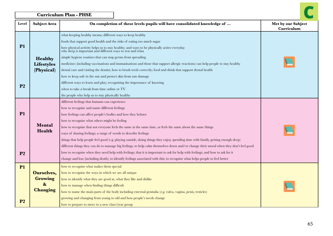|                             |                                                                             | <b>Curriculum Plan - PHSE</b>                                                                                                                                                                                                                                                                                                                                                                                                                                                                                                                                                                                                                                                                                                                                                                                                                                                                                                                 |                                  |
|-----------------------------|-----------------------------------------------------------------------------|-----------------------------------------------------------------------------------------------------------------------------------------------------------------------------------------------------------------------------------------------------------------------------------------------------------------------------------------------------------------------------------------------------------------------------------------------------------------------------------------------------------------------------------------------------------------------------------------------------------------------------------------------------------------------------------------------------------------------------------------------------------------------------------------------------------------------------------------------------------------------------------------------------------------------------------------------|----------------------------------|
| Level                       | <b>Subject Area</b>                                                         | On completion of these levels pupils will have consolidated knowledge of                                                                                                                                                                                                                                                                                                                                                                                                                                                                                                                                                                                                                                                                                                                                                                                                                                                                      | Met by our Subject<br>Curriculum |
| P1<br>P <sub>2</sub>        | <b>Healthy</b><br><b>Lifestyles</b><br>(Physical)                           | what keeping healthy means; different ways to keep healthy<br>foods that support good health and the risks of eating too much sugar<br>how physical activity helps us to stay healthy; and ways to be physically active everyday why sleep is important and different ways to rest and relax<br>simple hygiene routines that can stop germs from spreading<br>medicines (including vaccinations and immunisations and those that support allergic reactions) can help people to stay healthy<br>dental care and visiting the dentist; how to brush teeth correctly; food and drink that support dental health<br>how to keep safe in the sun and protect skin from sun damage<br>different ways to learn and play; recognising the importance of knowing<br>when to take a break from time online or TV<br>the people who help us to stay physically healthy                                                                                  |                                  |
| P1<br>P <sub>2</sub>        | <b>Mental</b><br>Health                                                     | different feelings that humans can experience<br>how to recognise and name different feelings<br>how feelings can affect people's bodies and how they behave<br>how to recognise what others might be feeling<br>how to recognise that not everyone feels the same at the same time, or feels the same about the same things<br>ways of sharing feelings; a range of words to describe feelings<br>things that help people feel good (e.g. playing outside, doing things they enjoy, spending time with family, getting enough sleep)<br>different things they can do to manage big feelings, to help calm themselves down and/or change their mood when they don't feel good<br>how to recognise when they need help with feelings; that it is important to ask for help with feelings; and how to ask for it<br>change and loss (including death); to identify feelings associated with this; to recognise what helps people to feel better |                                  |
| <b>P1</b><br>P <sub>2</sub> | <b>Ourselves,</b><br><b>Growing</b><br>$\boldsymbol{\&}$<br><b>Changing</b> | how to recognise what makes them special<br>how to recognise the ways in which we are all unique<br>how to identify what they are good at, what they like and dislike<br>how to manage when finding things difficult<br>how to name the main parts of the body including external genitalia (e.g. vulva, vagina, penis, testicles)<br>growing and changing from young to old and how people's needs change<br>how to prepare to move to a new class/year group                                                                                                                                                                                                                                                                                                                                                                                                                                                                                |                                  |

 $\overline{\phantom{0}}$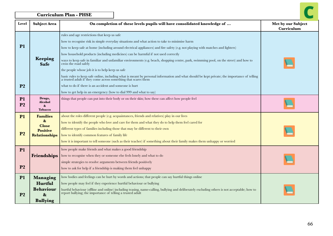|                             |                                                                                          | <b>Curriculum Plan - PHSE</b>                                                                                                                                                                                                                                                                                                                                                                                                                                                                                                                                                                                                                                                                                                                                                                                                                                                                                                             |                                  |
|-----------------------------|------------------------------------------------------------------------------------------|-------------------------------------------------------------------------------------------------------------------------------------------------------------------------------------------------------------------------------------------------------------------------------------------------------------------------------------------------------------------------------------------------------------------------------------------------------------------------------------------------------------------------------------------------------------------------------------------------------------------------------------------------------------------------------------------------------------------------------------------------------------------------------------------------------------------------------------------------------------------------------------------------------------------------------------------|----------------------------------|
| Level                       | <b>Subject Area</b>                                                                      | On completion of these levels pupils will have consolidated knowledge of                                                                                                                                                                                                                                                                                                                                                                                                                                                                                                                                                                                                                                                                                                                                                                                                                                                                  | Met by our Subject<br>Curriculum |
| P1<br>P <sub>2</sub>        | Keeping<br><b>Safe</b>                                                                   | rules and age restrictions that keep us safe<br>how to recognise risk in simple everyday situations and what action to take to minimise harm<br>how to keep safe at home (including around electrical appliances) and fire safety (e.g. not playing with matches and lighters)<br>how household products (including medicines) can be harmful if not used correctly<br>ways to keep safe in familiar and unfamiliar environments (e.g. beach, shopping centre, park, swimming pool, on the street) and how to<br>cross the road safely<br>the people whose job it is to help keep us safe<br>basic rules to keep safe online, including what is meant by personal information and what should be kept private; the importance of telling<br>a trusted adult if they come across something that scares them<br>what to do if there is an accident and someone is hurt<br>how to get help in an emergency (how to dial 999 and what to say) |                                  |
| P1<br>P <sub>2</sub>        | Drugs,<br><b>Alcohol</b><br>$\&$<br><b>Tobacco</b>                                       | things that people can put into their body or on their skin; how these can affect how people feel                                                                                                                                                                                                                                                                                                                                                                                                                                                                                                                                                                                                                                                                                                                                                                                                                                         |                                  |
| <b>P1</b><br>P <sub>2</sub> | <b>Families</b><br>$\pmb{\&}$<br><b>Close</b><br><b>Positive</b><br><b>Relationships</b> | about the roles different people (e.g. acquaintances, friends and relatives) play in our lives<br>how to identify the people who love and care for them and what they do to help them feel cared for<br>different types of families including those that may be different to their own<br>how to identify common features of family life<br>how it is important to tell someone (such as their teacher) if something about their family makes them unhappy or worried                                                                                                                                                                                                                                                                                                                                                                                                                                                                     |                                  |
| P1<br>P <sub>2</sub>        | Friendships                                                                              | how people make friends and what makes a good friendship<br>how to recognise when they or someone else feels lonely and what to do<br>simple strategies to resolve arguments between friends positively<br>how to ask for help if a friendship is making them feel unhappy                                                                                                                                                                                                                                                                                                                                                                                                                                                                                                                                                                                                                                                                |                                  |
| P1<br>P <sub>2</sub>        | Managing<br>Hurtful<br><b>Behaviour</b><br>$\&$<br><b>Bullying</b>                       | how bodies and feelings can be hurt by words and actions; that people can say hurtful things online<br>how people may feel if they experience hurtful behaviour or bullying<br>hurtful behaviour (offline and online) including teasing, name-calling, bullying and deliberately excluding others is not acceptable; how to<br>report bullying; the importance of telling a trusted adult                                                                                                                                                                                                                                                                                                                                                                                                                                                                                                                                                 |                                  |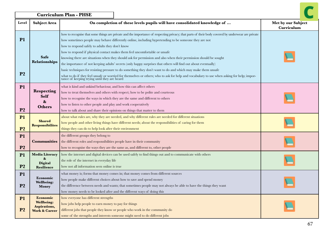|                             | <b>Curriculum Plan - PHSE</b>                                              |                                                                                                                                                                                                                |                                                                                                                                                                                                                                                                                                                                                                                                                                                                                                                                                                                                                                                                                                                                                                                                                                                                                          |                                  |
|-----------------------------|----------------------------------------------------------------------------|----------------------------------------------------------------------------------------------------------------------------------------------------------------------------------------------------------------|------------------------------------------------------------------------------------------------------------------------------------------------------------------------------------------------------------------------------------------------------------------------------------------------------------------------------------------------------------------------------------------------------------------------------------------------------------------------------------------------------------------------------------------------------------------------------------------------------------------------------------------------------------------------------------------------------------------------------------------------------------------------------------------------------------------------------------------------------------------------------------------|----------------------------------|
| Level                       | <b>Subject Area</b>                                                        |                                                                                                                                                                                                                | On completion of these levels pupils will have consolidated knowledge of                                                                                                                                                                                                                                                                                                                                                                                                                                                                                                                                                                                                                                                                                                                                                                                                                 | Met by our Subject<br>Curriculum |
| <b>P1</b><br>P <sub>2</sub> | <b>Safe</b><br>Relationships                                               | how to respond safely to adults they don't know                                                                                                                                                                | how to recognise that some things are private and the importance of respecting privacy; that parts of their body covered by underwear are private<br>how sometimes people may behave differently online, including bypretending to be someone they are not<br>how to respond if physical contact makes them feel uncomfortable or unsafe<br>knowing there are situations when they should ask for permission and also when their permission should be sought<br>the importance of not keeping adults' secrets (only happy surprises that others will find out about eventually)<br>basic techniques for resisting pressure to do something they don't want to do and which may make them unsafe<br>what to do if they feel unsafe or worried for themselves or others; who to ask for help and vocabulary to use when asking for help; importance of keeping trying until they are heard |                                  |
| P1<br>P <sub>2</sub>        | <b>Respecting</b><br><b>Self</b><br>$\&$<br>Others                         | what is kind and unkind behaviour, and how this can affect others<br>how to listen to other people and play and work cooperatively<br>how to talk about and share their opinions on things that matter to them | how to treat themselves and others with respect; how to be polite and courteous<br>how to recognise the ways in which they are the same and different to others                                                                                                                                                                                                                                                                                                                                                                                                                                                                                                                                                                                                                                                                                                                          |                                  |
| <b>P1</b><br>P <sub>2</sub> | <b>Shared</b><br><b>Responsibilites</b>                                    | things they can do to help look after their environment                                                                                                                                                        | about what rules are, why they are needed, and why different rules are needed for different situations<br>how people and other living things have different needs; about the responsibilities of caring for them                                                                                                                                                                                                                                                                                                                                                                                                                                                                                                                                                                                                                                                                         |                                  |
| P1<br>P <sub>2</sub>        | <b>Communities</b>                                                         | the different groups they belong to<br>the different roles and responsibilities people have in their community                                                                                                 | how to recognise the ways they are the same as, and different to, other people                                                                                                                                                                                                                                                                                                                                                                                                                                                                                                                                                                                                                                                                                                                                                                                                           |                                  |
| P1<br>P <sub>2</sub>        | <b>Media Literacy</b><br>$\boldsymbol{\&}$<br><b>Digital</b><br>Resilience | the role of the internet in everyday life<br>how not all information seen online is true                                                                                                                       | how the internet and digital devices can be used safely to find things out and to communicate with others                                                                                                                                                                                                                                                                                                                                                                                                                                                                                                                                                                                                                                                                                                                                                                                |                                  |
| <b>P1</b><br>P <sub>2</sub> | Economic<br><b>Wellbeing:</b><br>Money                                     | how people make different choices about how to save and spend money<br>how money needs to be looked after and the different ways of doing this                                                                 | what money is; forms that money comes in; that money comes from different sources<br>the difference between needs and wants; that sometimes people may not always be able to have the things they want                                                                                                                                                                                                                                                                                                                                                                                                                                                                                                                                                                                                                                                                                   |                                  |
| <b>P1</b><br>P <sub>2</sub> | Economic<br><b>Wellbeing:</b><br>Aspirations,<br><b>Work &amp; Career</b>  | how everyone has different strengths<br>how jobs help people to earn money to pay for things                                                                                                                   | different jobs that people they know or people who work in the community do<br>some of the strengths and interests someone might need to do different jobs                                                                                                                                                                                                                                                                                                                                                                                                                                                                                                                                                                                                                                                                                                                               |                                  |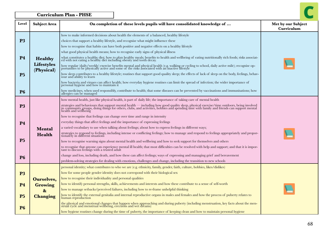| <b>Curriculum Plan - PHSE</b> |                                 |                                                                                                                                                                                                                                   |                                  |
|-------------------------------|---------------------------------|-----------------------------------------------------------------------------------------------------------------------------------------------------------------------------------------------------------------------------------|----------------------------------|
| Level                         | <b>Subject Area</b>             | On completion of these levels pupils will have consolidated knowledge of                                                                                                                                                          | Met by our Subject<br>Curriculum |
|                               |                                 | how to make informed decisions about health the elements of a balanced, healthy lifestyle                                                                                                                                         |                                  |
| P <sub>3</sub>                |                                 | choices that support a healthy lifestyle, and recognise what might influence these                                                                                                                                                |                                  |
|                               |                                 | how to recognise that habits can have both positive and negative effects on a healthy lifestyle                                                                                                                                   |                                  |
|                               |                                 | what good physical health means; how to recognise early signs of physical illness                                                                                                                                                 |                                  |
| <b>P4</b>                     | <b>Healthy</b>                  | what constitutes a healthy diet; how to plan healthy meals; benefits to health and wellbeing of eating nutritionally rich foods; risks associated with not eating a healthy diet including obesity and tooth decay.               |                                  |
|                               | <b>Lifestyles</b><br>(Physical) | how regular (daily/weekly) exercise benefits mental and physical health (e.g. walking or cycling to school, daily active mile); recognise opportunities to be physically active and some of the risks associated with an inact    |                                  |
| <b>P5</b>                     |                                 | how sleep contributes to a healthy lifestyle; routines that support good quality sleep; the effects of lack of sleep on the body, feelings, behav-<br>iour and ability to learn                                                   |                                  |
|                               |                                 | how bacteria and viruses can affect health; how everyday hygiene routines can limit the spread of infection; the wider importance of personal hygiene and how to maintain it                                                      |                                  |
| <b>P6</b>                     |                                 | how medicines, when used responsibly, contribute to health; that some diseases can be prevented by vaccinations and immunisations; how<br>allergies can be managed                                                                |                                  |
|                               |                                 | how mental health, just like physical health, is part of daily life; the importance of taking care of mental health                                                                                                               |                                  |
| P <sub>3</sub>                |                                 | strategies and behaviours that support mental health — including how good quality sleep, physical exercise/time outdoors, being involved<br>in community groups, doing things for others, clubs, and activities, hobbies and spen |                                  |
|                               |                                 | how to recognise that feelings can change over time and range in intensity                                                                                                                                                        |                                  |
| <b>P4</b>                     |                                 | everyday things that affect feelings and the importance of expressing feelings                                                                                                                                                    |                                  |
|                               | <b>Mental</b>                   | a varied vocabulary to use when talking about feelings; about how to express feelings in different ways;                                                                                                                          |                                  |
|                               | Health                          | strategies to respond to feelings, including intense or conflicting feelings; how to manage and respond to feelings appropriately and proportionately in different situations                                                     |                                  |
| P <sub>5</sub>                |                                 | how to recognise warning signs about mental health and wellbeing and how to seek support for themselves and others                                                                                                                |                                  |
|                               |                                 | to recognise that anyone can experience mental ill health; that most difficulties can be resolved with help and support; and that it is important to discuss feelings with a trusted adult                                        |                                  |
| <b>P6</b>                     |                                 | change and loss, including death, and how these can affect feelings; ways of expressing and managing grief and bereavement                                                                                                        |                                  |
|                               |                                 | problem-solving strategies for dealing with emotions, challenges and change, including the transition to new schools                                                                                                              |                                  |
|                               |                                 | personal identity; what contributes to who we are (e.g. ethnicity, family, gender, faith, culture, hobbies, likes/dislikes)                                                                                                       |                                  |
| <b>P3</b>                     |                                 | how for some people gender identity does not correspond with their biological sex                                                                                                                                                 |                                  |
|                               | <b>Ourselves,</b>               | how to recognise their individuality and personal qualities                                                                                                                                                                       |                                  |
| <b>P4</b>                     | Growing                         | how to identify personal strengths, skills, achievements and interests and how these contribute to a sense of self-worth                                                                                                          |                                  |
|                               | $\&$                            | how to manage setbacks/perceived failures, including how to re-frame unhelpful thinking                                                                                                                                           |                                  |
| <b>P5</b>                     | Changing                        | how to identify the external genitalia and internal reproductive organs in males and females and how the process of puberty relates to<br>human reproduction                                                                      |                                  |
| <b>P6</b>                     |                                 | the physical and emotional changes that happen when approaching and during puberty (including menstruation, key facts about the menstrual cycle and menstrual wellbeing, erections and wet dreams)                                |                                  |
|                               |                                 | how hygiene routines change during the time of puberty, the importance of keeping clean and how to maintain personal hygiene                                                                                                      |                                  |

 $\overline{ }$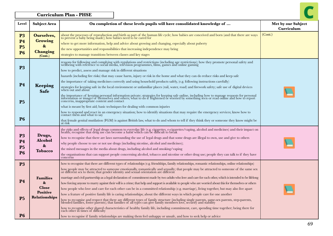|                                                            | <b>Curriculum Plan - PHSE</b>                                                                   |                                                                                                                                                                                                                                                                                                                                                                                                                                                                                                                                                                                                                                                                                                                                                                                                                                                                                                                                                                                                                                                                                                                                                                                                                                                                                                                                                                                                                                                                                                                                         |                                  |
|------------------------------------------------------------|-------------------------------------------------------------------------------------------------|-----------------------------------------------------------------------------------------------------------------------------------------------------------------------------------------------------------------------------------------------------------------------------------------------------------------------------------------------------------------------------------------------------------------------------------------------------------------------------------------------------------------------------------------------------------------------------------------------------------------------------------------------------------------------------------------------------------------------------------------------------------------------------------------------------------------------------------------------------------------------------------------------------------------------------------------------------------------------------------------------------------------------------------------------------------------------------------------------------------------------------------------------------------------------------------------------------------------------------------------------------------------------------------------------------------------------------------------------------------------------------------------------------------------------------------------------------------------------------------------------------------------------------------------|----------------------------------|
| Level                                                      | <b>Subject Area</b>                                                                             | On completion of these levels pupils will have consolidated knowledge of                                                                                                                                                                                                                                                                                                                                                                                                                                                                                                                                                                                                                                                                                                                                                                                                                                                                                                                                                                                                                                                                                                                                                                                                                                                                                                                                                                                                                                                                | Met by our Subject<br>Curriculum |
| <b>P3</b><br><b>P4</b><br><b>P5</b><br><b>P6</b>           | <b>Ourselves,</b><br><b>Growing</b><br>&<br>Changing<br>(Cont.)                                 | about the processes of reproduction and birth as part of the human life cycle; how babies are conceived and born (and that there are ways<br>to prevent a baby being made); how babies need to be cared for<br>where to get more information, help and advice about growing and changing, especially about puberty<br>the new opportunities and responsibilities that increasing independence may bring<br>strategies to manage transitions between classes and key stages                                                                                                                                                                                                                                                                                                                                                                                                                                                                                                                                                                                                                                                                                                                                                                                                                                                                                                                                                                                                                                                              | (Cont.)                          |
| P3<br><b>P4</b><br><b>P</b> 5<br><b>P6</b>                 | Keeping<br><b>Safe</b>                                                                          | reasons for following and complying with regulations and restrictions (including age restrictions); how they promote personal safety and wellbeing with reference to social media, television programmes, films, games and onl<br>how to predict, assess and manage risk in different situations<br>hazards (including fire risks) that may cause harm, injury or risk in the home and what they can do reduce risks and keep safe<br>the importance of taking medicines correctly and using household products safely, (e.g. following instructions carefully)<br>strategies for keeping safe in the local environment or unfamiliar places (rail, water, road) and firework safety; safe use of digital devices<br>when out and about<br>the importance of keeping personal information private; strategies for keeping safe online, including how to manage requests for personal information or images of themselves and others; what to do if frightened or worried<br>what is meant by first aid; basic techniques for dealing with common injuries<br>how to respond and react in an emergency situation; how to identify situations that may require the emergency services; know how to<br>contact them and what to say<br>that female genital mutilation (FGM) is against British law, what to do and whom to tell if they think they or someone they know might be<br>at risk                                                                                                                                                |                                  |
| P <sub>3</sub><br><b>P4</b><br>P <sub>5</sub><br><b>P6</b> | Drugs,<br>Alcohol<br>$\boldsymbol{\&}$<br>Tobacco                                               | the risks and effects of legal drugs common to everyday life (e.g. cigarettes, e-cigarettes/vaping, alcohol and medicines) and their impact on<br>health; recognise that drug use can become a habit which can be difficult to br<br>how to recognise that there are laws surrounding the use of legal drugs and that some drugs are illegal to own, use and give to others<br>why people choose to use or not use drugs (including nicotine, alcohol and medicines);<br>the mixed messages in the media about drugs, including alcohol and smoking/vaping<br>the organisations that can support people concerning alcohol, tobacco and nicotine or other drug use; people they can talk to if they have<br>concerns                                                                                                                                                                                                                                                                                                                                                                                                                                                                                                                                                                                                                                                                                                                                                                                                                    |                                  |
| P <sub>3</sub><br><b>P4</b><br><b>P5</b><br><b>P6</b>      | <b>Families</b><br>$\boldsymbol{\&}$<br><b>Close</b><br><b>Positive</b><br><b>Relationships</b> | how to recognise that there are different types of relationships (e.g. friendships, family relationships, romantic relationships, online relationships)<br>how people may be attracted to someone emotionally, romantically and sexually; that people may be attracted to someone of the same sex<br>or different sex to them; that gender identity and sexual orientation are different<br>marriage and civil partnership as a legal declaration of commitment made by two adults who love and care for each other, which is intended to be lifelong<br>how forcing anyone to marry against their will is a crime; that help and support is available to people who are worried about this for themselves or others<br>how people who love and care for each other can be in a committed relationship (e.g. marriage), living together, but may also live apart<br>how a feature of positive family life is caring relationships; about the different ways in which people care for one another<br>how to recognise and respect that there are different types of family structure (including single parents, same-sex parents, step-parents, blended families, foster parents); that families of all types can give family membe<br>how to recognise other shared characteristics of healthy family life, including commitment, care, spending time together; being there for<br>each other in times of difficulty<br>how to recognise if family relationships are making them feel unhappy or unsafe, and how to seek help or advice |                                  |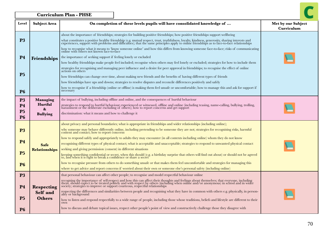| <b>Curriculum Plan - PHSE</b> |                      |                                                                                                                                                                                                                                |                                  |
|-------------------------------|----------------------|--------------------------------------------------------------------------------------------------------------------------------------------------------------------------------------------------------------------------------|----------------------------------|
| <b>Level</b>                  | <b>Subject Area</b>  | On completion of these levels pupils will have consolidated knowledge of                                                                                                                                                       | Met by our Subject<br>Curriculum |
|                               |                      | about the importance of friendships; strategies for building positive friendships; how positive friendships support wellbeing                                                                                                  |                                  |
| P <sub>3</sub>                |                      | what constitutes a positive healthy friendship (e.g. mutual respect, trust, truthfulness, loyalty, kindness, generosity, sharing interests and experiences, support with problems and difficulties); that the same principles  |                                  |
|                               |                      | how to recognise what it means to 'know someone online' and how this differs from knowing someone face-to-face; risks of communicating online with others not known face-to-face                                               |                                  |
| <b>P4</b>                     | Friendships          | the importance of seeking support if feeling lonely or excluded                                                                                                                                                                |                                  |
|                               |                      | how healthy friendships make people feel included; recognise when others may feel lonely or excluded; strategies for how to include them                                                                                       |                                  |
| P <sub>5</sub>                |                      | strategies for recognising and managing peer influence and a desire for peer approval in friendships; to recognise the effect of online<br>actions on others                                                                   |                                  |
|                               |                      | how friendships can change over time, about making new friends and the benefits of having different types of friends                                                                                                           |                                  |
|                               |                      | how friendships have ups and downs; strategies to resolve disputes and reconcile differences positively and safely                                                                                                             |                                  |
| <b>P6</b>                     |                      | how to recognise if a friendship (online or offline) is making them feel unsafe or uncomfortable; how to manage this and ask for support if<br>necessary                                                                       |                                  |
| <b>P3</b>                     | Managing             | the impact of bullying, including offline and online, and the consequences of hurtful behaviour                                                                                                                                |                                  |
| <b>P4</b>                     | Hurtful              | strategies to respond to hurtful behaviour experienced or witnessed, offline and online (including teasing, name-calling, bullying, trolling, harassment or the deliberate excluding of others); how to report concerns and ge |                                  |
| P <sub>5</sub>                | $\boldsymbol{\&}$    |                                                                                                                                                                                                                                |                                  |
| <b>P6</b>                     | <b>Bullying</b>      | discrimination: what it means and how to challenge it                                                                                                                                                                          |                                  |
|                               |                      | about privacy and personal boundaries; what is appropriate in friendships and wider relationships (including online);                                                                                                          |                                  |
| P <sub>3</sub>                |                      | why someone may behave differently online, including pretending to be someone they are not; strategies for recognising risks, harmful content and contact; how to report concerns                                              |                                  |
|                               |                      | how to respond safely and appropriately to adults they may encounter (in all contexts including online) whom they do not know                                                                                                  |                                  |
| <b>P4</b>                     | <b>Safe</b>          | recognising different types of physical contact; what is acceptable and unacceptable; strategies to respond to unwanted physical contact                                                                                       |                                  |
|                               | <b>Relationships</b> | seeking and giving permission (consent) in different situations                                                                                                                                                                |                                  |
| <b>P5</b>                     |                      | keeping something confidential or secret, when this should (e.g. a birthday surprise that others will find out about) or should not be agreed to, and when it is right to break a confidence or share a secret                 |                                  |
| P <sub>6</sub>                |                      | how to recognise pressure from others to do something unsafe or that makes them feel uncomfortable and strategies for managing this                                                                                            |                                  |
|                               |                      | where to get advice and report concerns if worried about their own or someone else's personal safety (including online)                                                                                                        |                                  |
| <b>P3</b>                     |                      | that personal behaviour can affect other people; to recognise and model respectful behaviour online                                                                                                                            |                                  |
| P4                            | <b>Respecting</b>    | recogning the importance of self-respect and how this can affect their thoughts and feelings about themselves; that everyone, including them, should expect to be treated politely and with respect by others (including when  |                                  |
|                               | <b>Self</b> and      | respecting the differences and similarities between people and recognising what they have in common with others e.g. physically, in personality or background                                                                  |                                  |
| <b>P</b> <sub>5</sub>         | <b>Others</b>        | how to listen and respond respectfully to a wide range of people, including those whose traditions, beliefs and lifestyle are different to their                                                                               |                                  |
| P <sub>6</sub>                |                      | how to discuss and debate topical issues, respect other people's point of view and constructively challenge those they disagree with                                                                                           |                                  |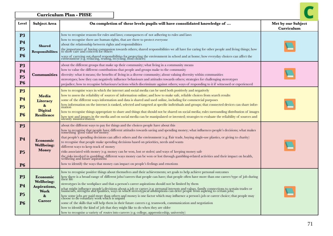| <b>Curriculum Plan - PHSE</b>                              |                                                                           |                                                                                                                                                                                                                                                                                                                                                                                                                                                                                                                                                                                                                                                                                                                                                                                                                                                                                                                                                                                                                                                                                                              |                                  |  |  |
|------------------------------------------------------------|---------------------------------------------------------------------------|--------------------------------------------------------------------------------------------------------------------------------------------------------------------------------------------------------------------------------------------------------------------------------------------------------------------------------------------------------------------------------------------------------------------------------------------------------------------------------------------------------------------------------------------------------------------------------------------------------------------------------------------------------------------------------------------------------------------------------------------------------------------------------------------------------------------------------------------------------------------------------------------------------------------------------------------------------------------------------------------------------------------------------------------------------------------------------------------------------------|----------------------------------|--|--|
| Level                                                      | <b>Subject Area</b>                                                       | On completion of these levels pupils will have consolidated knowledge of                                                                                                                                                                                                                                                                                                                                                                                                                                                                                                                                                                                                                                                                                                                                                                                                                                                                                                                                                                                                                                     | Met by our Subject<br>Curriculum |  |  |
| P <sub>3</sub><br>P <sub>4</sub><br><b>P5</b><br><b>P6</b> | <b>Shared</b><br><b>Responsibilites</b>                                   | how to recognise reasons for rules and laws; consequences of not adhering to rules and laws<br>how to recognise there are human rights, that are there to protect everyone<br>about the relationship between rights and responsibilities<br>the importance of having compassion towards others; shared responsibilities we all have for caring for other people and living things; how to show care and concern for others<br>ways of carrying out shared responsibilities for protecting the environment in school and at home; how everyday choices can affect the environment (e.g. reducing, reusing, recycling; food choices)                                                                                                                                                                                                                                                                                                                                                                                                                                                                           |                                  |  |  |
| <b>P3</b><br><b>P4</b><br><b>P5</b><br><b>P6</b>           | Communities                                                               | about the different groups that make up their community; what living in a community means<br>how to value the different contributions that people and groups make to the community<br>diversity: what it means; the benefits of living in a diverse community; about valuing diversity within communities<br>stereotypes; how they can negatively influence behaviours and attitudes towards others; strategies for challenging stereotypes<br>prejudice; how to recognise behaviours/actions which discriminate against others; ways of responding to it if witnessed or experienced                                                                                                                                                                                                                                                                                                                                                                                                                                                                                                                        |                                  |  |  |
| <b>P3</b><br>P <sub>4</sub><br>P <sub>5</sub><br><b>P6</b> | Media<br>Literacy<br>$\mathbf{\&}$<br><b>Digital</b><br><b>Resilience</b> | how to recognise ways in which the internet and social media can be used both positively and negatively<br>how to assess the reliability of sources of information online; and how to make safe, reliable choices from search results<br>some of the different ways information and data is shared and used online, including for commercial purposes<br>how information on the internet is ranked, selected and targeted at specific individuals and groups; that connected devices can share infor-<br>mation<br>how to recognise things appropriate to share and things that should not be shared on social media; rules surrounding distribution of images<br>how text and images in the media and on social media can be manipulated or invented; strategies to evaluate the reliability of sources and identify misinformation                                                                                                                                                                                                                                                                         |                                  |  |  |
| P <sub>3</sub><br><b>P4</b><br><b>P5</b><br><b>P6</b>      | Economic<br><b>Wellbeing:</b><br><b>Money</b>                             | about the different ways to pay for things and the choices people have about this<br>how to recognise that people have different attitudes towards saving and spending money; what influences people's decisions; what makes something 'good value for money'<br>that people's spending decisions can affect others and the environment (e.g. Fair trade, buying single-use plastics, or giving to charity)<br>to recognise that people make spending decisions based on priorities, needs and wants<br>different ways to keep track of money<br>risks associated with money (e.g. money can be won, lost or stolen) and ways of keeping money safe<br>the risks involved in gambling; different ways money can be won or lost through gambling-related activities and their impact on health, wellbeing and future aspirations<br>how to identify the ways that money can impact on people's feelings and emotions                                                                                                                                                                                          |                                  |  |  |
| <b>P3</b><br><b>P4</b><br>P <sub>5</sub><br>P <sub>6</sub> | Economic<br>Wellbeing:<br>Aspirations,<br>Work<br>&<br><b>Career</b>      | how to recognise positive things about themselves and their achievements; set goals to help achieve personal outcomes<br>how there is a broad range of different jobs/careers that people can have; that people often have more than one career/type of job during<br>their life<br>stereotypes in the workplace and that a person's career aspirations should not be limited by them<br>what might influence people's decisions about a job or career (e.g. personal interests and values, family connections to certain trades or businesses, strengths and qualities, ways in which stereotypical assumptions can de<br>how some jobs are paid more than others and money is one factor which may influence a person's job or career choice; that people may choose to do voluntary work which is unpaid<br>some of the skills that will help them in their future careers e.g. teamwork, communication and negotiation<br>how to identify the kind of job that they might like to do when they are older<br>how to recognise a variety of routes into careers (e.g. college, apprenticeship, university) |                                  |  |  |

 $\overline{\phantom{a}}$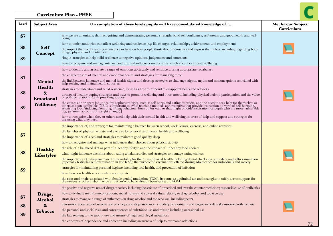|                                     |                        | <b>Curriculum Plan - PHSE</b>                                                                                                                                                                                                                                                                                                                                                                                                                                                                                                                                                                                                                                          |                                  |
|-------------------------------------|------------------------|------------------------------------------------------------------------------------------------------------------------------------------------------------------------------------------------------------------------------------------------------------------------------------------------------------------------------------------------------------------------------------------------------------------------------------------------------------------------------------------------------------------------------------------------------------------------------------------------------------------------------------------------------------------------|----------------------------------|
| <b>Level</b>                        | <b>Subject Area</b>    | On completion of these levels pupils will have consolidated knowledge of                                                                                                                                                                                                                                                                                                                                                                                                                                                                                                                                                                                               | Met by our Subject<br>Curriculum |
| <b>S7</b><br><b>S8</b><br><b>S9</b> | <b>Self</b><br>Concept | how we are all unique; that recognising and demonstrating personal strengths build self-confidence, self-esteem and good health and well-<br>being<br>how to understand what can affect wellbeing and resilience (e.g. life changes, relationships, achievements and employment)<br>the impact that media and social media can have on how people think about themselves and express themselves, including regarding body image, physical and mental health<br>simple strategies to help build resilience to negative opinions, judgements and comments<br>how to recognise and manage internal and external influences on decisions which affect health and wellbeing |                                  |
|                                     |                        | how to identify and articulate a range of emotions accurately and sensitively, using appropriate vocabulary                                                                                                                                                                                                                                                                                                                                                                                                                                                                                                                                                            |                                  |

| S <sub>8</sub><br><b>S9</b>                   | <b>Self</b><br>Concept                                                 | the impact that media and social media can have on how people think about themselves and express themselves, including regarding body image, physical and mental health<br>simple strategies to help build resilience to negative opinions, judgements and comments<br>how to recognise and manage internal and external influences on decisions which affect health and wellbeing                                                                                                                                                                                                                                                                                                                                                                                                                                                                                                                                                                                                                                                                                                                                                                                                                                             |    |
|-----------------------------------------------|------------------------------------------------------------------------|--------------------------------------------------------------------------------------------------------------------------------------------------------------------------------------------------------------------------------------------------------------------------------------------------------------------------------------------------------------------------------------------------------------------------------------------------------------------------------------------------------------------------------------------------------------------------------------------------------------------------------------------------------------------------------------------------------------------------------------------------------------------------------------------------------------------------------------------------------------------------------------------------------------------------------------------------------------------------------------------------------------------------------------------------------------------------------------------------------------------------------------------------------------------------------------------------------------------------------|----|
| S <sub>7</sub><br><b>S8</b><br><b>S9</b>      | <b>Mental</b><br>Health<br>$\boldsymbol{\&}$<br>Emotional<br>Wellbeing | how to identify and articulate a range of emotions accurately and sensitively, using appropriate vocabulary<br>the characteristics of mental and emotional health and strategies for managing these<br>the link between language and mental health stigma and develop strategies to challenge stigma, myths and misconceptions associated with<br>help-seeking and mental health concerns<br>strategies to understand and build resilience, as well as how to respond to disappointments and setbacks<br>a range of healthy coping strategies and ways to promote wellbeing and boost mood, including physical activity, participation and the value<br>of positive relationships in providing support<br>the causes and triggers for unhealthy coping strategies, such as self-harm and eating disorders, and the need to seek help for themselves or others as soon as possible [NB It is important to avoid teaching methods and reso<br>how to recognise when they or others need help with their mental health and wellbeing; sources of help and support and strategies for<br>accessing what they need                                                                                                                  |    |
| <b>S7</b><br><b>S8</b><br><b>S9</b>           | <b>Healthy</b><br><b>Lifestyles</b>                                    | the importance of, and strategies for, maintaining a balance between school, work, leisure, exercise, and online activities<br>the benefits of physical activity and exercise for physical and mental health and wellbeing<br>the importance of sleep and strategies to maintain good quality sleep<br>how to recognise and manage what influences their choices about physical activity<br>the role of a balanced diet as part of a healthy lifestyle and the impact of unhealthy food choices<br>what might influence decisions about eating a balanced diet and strategies to manage eating choices<br>the importance of taking increased responsibility for their own physical health including dental check-ups, sun safety and self-examination (especially testicular self-examination in late KS3); the purpose of vaccinations<br>strategies for maintaining personal hygiene, including oral health, and prevention of infection<br>how to access health services when appropriate<br>the risks and myths associated with female genital mutilation (FGM), its status as a criminal act and strategies to safely access support for themselves or others who may be at risk, or who have already been subject to FGM |    |
| S <sub>7</sub><br>S <sub>8</sub><br><b>S9</b> | Drugs,<br>Alcohol<br>$\boldsymbol{\&}$<br><b>Tobacco</b>               | the positive and negative uses of drugs in society including the safe use of prescribed and over the counter medicines; responsible use of antibiotics<br>how to evaluate myths, misconceptions, social norms and cultural values relating to drug, alcohol and tobacco use<br>strategies to manage a range of influences on drug, alcohol and tobacco use, including peers<br>information about alcohol, nicotine and other legal and illegal substances, including the short-term and long-term health risks associated with their use<br>the personal and social risks and consequences of substance use and misuse including occasional use<br>the law relating to the supply, use and misuse of legal and illegal substances<br>the concepts of dependence and addiction including awareness of help to overcome addictions                                                                                                                                                                                                                                                                                                                                                                                               | 72 |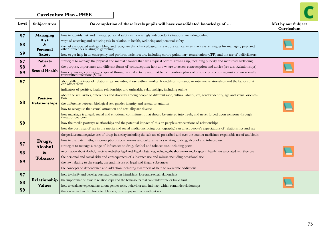| <b>Curriculum Plan - PHSE</b>                                                        |                                                                                                                          |                                                                                                                                                                                                                                                                                                                                                                                                                                                                                                                                                                                                                                                                                                                                                                                                                                                                                                                                                                                                               |                                  |  |
|--------------------------------------------------------------------------------------|--------------------------------------------------------------------------------------------------------------------------|---------------------------------------------------------------------------------------------------------------------------------------------------------------------------------------------------------------------------------------------------------------------------------------------------------------------------------------------------------------------------------------------------------------------------------------------------------------------------------------------------------------------------------------------------------------------------------------------------------------------------------------------------------------------------------------------------------------------------------------------------------------------------------------------------------------------------------------------------------------------------------------------------------------------------------------------------------------------------------------------------------------|----------------------------------|--|
| <b>Level</b>                                                                         | <b>Subject Area</b>                                                                                                      | On completion of these levels pupils will have consolidated knowledge of                                                                                                                                                                                                                                                                                                                                                                                                                                                                                                                                                                                                                                                                                                                                                                                                                                                                                                                                      | Met by our Subject<br>Curriculum |  |
| S <sub>7</sub><br><b>S8</b><br><b>S9</b><br>S <sub>7</sub><br><b>S8</b><br><b>S9</b> | Managing<br><b>Risk</b><br>$\boldsymbol{\&}$<br>Personal<br><b>Safety</b><br><b>Puberty</b><br>&<br><b>Sexual Health</b> | how to identify risk and manage personal safety in increasingly independent situations, including online<br>ways of assessing and reducing risk in relation to health, wellbeing and personal safety<br>the risks associated with gambling and recognise that chance-based transactions can carry similar risks; strategies for managing peer and other influences relating to gambling<br>how to get help in an emergency and perform basic first aid, including cardio-pulmonary resuscitation (CPR) and the use of defibrillators<br>strategies to manage the physical and mental changes that are a typical part of growing up, including puberty and menstrual wellbeing<br>the purpose, importance and different forms of contraception; how and where to access contraception and advice (see also Relationships)<br>how certain infections can be spread through sexual activity and that barrier contraceptives offer some protection against certain sexually transmitted infections (STIs)         |                                  |  |
| <b>S7</b><br><b>S8</b><br><b>S9</b>                                                  | <b>Positive</b><br><b>Relationships</b>                                                                                  | about different types of relationships, including those within families, friendships, romantic or intimate relationships and the factors that<br>can affect them<br>indicators of positive, healthy relationships and unhealthy relationships, including online<br>about the similarities, differences and diversity among people of different race, culture, ability, sex, gender identity, age and sexual orienta-<br>tion<br>the difference between biological sex, gender identity and sexual orientation<br>how to recognise that sexual attraction and sexuality are diverse<br>how marriage is a legal, social and emotional commitment that should be entered into freely, and never forced upon someone through<br>threat or coercion<br>how the media portrays relationships and the potential impact of this on people's expectations of relationships<br>how the portrayal of sex in the media and social media (including pornography) can affect people's expectations of relationships and sex |                                  |  |
| S <sub>7</sub><br><b>S8</b><br><b>S9</b>                                             | Drugs,<br><b>Alcohol</b><br>$\boldsymbol{\alpha}$<br><b>Tobacco</b>                                                      | the positive and negative uses of drugs in society including the safe use of prescribed and over the counter medicines; responsible use of antibiotics<br>how to evaluate myths, misconceptions, social norms and cultural values relating to drug, alcohol and tobacco use<br>strategies to manage a range of influences on drug, alcohol and tobacco use, including peers<br>information about alcohol, nicotine and other legal and illegal substances, including the short-term and long-term health risks associated with their use<br>the personal and social risks and consequences of substance use and misuse including occasional use<br>the law relating to the supply, use and misuse of legal and illegal substances<br>the concepts of dependence and addiction including awareness of help to overcome addictions                                                                                                                                                                              |                                  |  |
| S <sub>7</sub><br><b>S8</b><br><b>S9</b>                                             | Relationship<br><b>Values</b>                                                                                            | how to clarify and develop personal values in friendships, love and sexual relationships<br>the importance of trust in relationships and the behaviours that can undermine or build trust<br>how to evaluate expectations about gender roles, behaviour and intimacy within romantic relationships<br>that everyone has the choice to delay sex, or to enjoy intimacy without sex                                                                                                                                                                                                                                                                                                                                                                                                                                                                                                                                                                                                                             |                                  |  |

 $\blacksquare$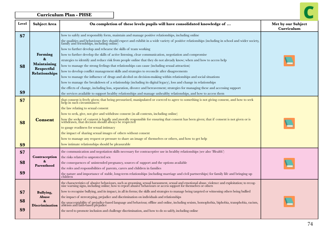|                                                 |                                                                   | <b>Curriculum Plan - PHSE</b>                                                                                                                                                                                                                                                                                                                                                                                                                                                                                                                                                                                                                                                                                                                                                                                                                                                                                                                                                                                                                                                                                                                                           |                                  |
|-------------------------------------------------|-------------------------------------------------------------------|-------------------------------------------------------------------------------------------------------------------------------------------------------------------------------------------------------------------------------------------------------------------------------------------------------------------------------------------------------------------------------------------------------------------------------------------------------------------------------------------------------------------------------------------------------------------------------------------------------------------------------------------------------------------------------------------------------------------------------------------------------------------------------------------------------------------------------------------------------------------------------------------------------------------------------------------------------------------------------------------------------------------------------------------------------------------------------------------------------------------------------------------------------------------------|----------------------------------|
| Level                                           | <b>Subject Area</b>                                               | On completion of these levels pupils will have consolidated knowledge of                                                                                                                                                                                                                                                                                                                                                                                                                                                                                                                                                                                                                                                                                                                                                                                                                                                                                                                                                                                                                                                                                                | Met by our Subject<br>Curriculum |
| S <sub>7</sub><br><b>S8</b>                     | Forming<br>&<br>Maintaining<br><b>Respectful</b><br>Relationships | how to safely and responsibly form, maintain and manage positive relationships, including online<br>the qualities and behaviours they should expect and exhibit in a wide variety of positive relationships (including in school and wider society,<br>family and friendships, including online<br>how to further develop and rehearse the skills of team working<br>how to further develop the skills of active listening, clear communication, negotiation and compromise<br>strategies to identify and reduce risk from people online that they do not already know; when and how to access help<br>how to manage the strong feelings that relationships can cause (including sexual attraction)<br>how to develop conflict management skills and strategies to reconcile after disagreements<br>how to manage the influence of drugs and alcohol on decision-making within relationships and social situations<br>how to manage the breakdown of a relationship (including its digital legacy), loss and change in relationships<br>the effects of change, including loss, separation, divorce and bereavement; strategies for managing these and accessing support |                                  |
| $\bf S9$<br><b>S7</b><br><b>S8</b><br><b>S9</b> | <b>Consent</b>                                                    | the services available to support healthy relationships and manage unhealthy relationships, and how to access them<br>that consent is freely given; that being pressurised, manipulated or coerced to agree to something is not giving consent, and how to seek<br>help in such circumstances<br>the law relating to sexual consent<br>how to seek, give, not give and withdraw consent (in all contexts, including online)<br>how the seeker of consent is legally and morally responsible for ensuring that consent has been given; that if consent is not given or is withdrawn, that decision should always be respected<br>to gauge readiness for sexual intimacy<br>the impact of sharing sexual images of others without consent<br>how to manage any request or pressure to share an image of themselves or others, and how to get help<br>how intimate relationships should be pleasurable                                                                                                                                                                                                                                                                     |                                  |
| S <sub>7</sub><br><b>S8</b><br>S9               | Contraception<br>&<br>Parenthood                                  | the communication and negotiation skills necessary for contraceptive use in healthy relationships (see also 'Health')<br>the risks related to unprotected sex<br>the consequences of unintended pregnancy, sources of support and the options available<br>the roles and responsibilities of parents, carers and children in families<br>the nature and importance of stable, long-term relationships (including marriage and civil partnerships) for family life and bringing up children                                                                                                                                                                                                                                                                                                                                                                                                                                                                                                                                                                                                                                                                              |                                  |
| S <sub>7</sub><br>S8<br><b>S9</b>               | <b>Bullying,</b><br><b>Abuse</b><br>&<br>Discrimination           | the characteristics of abusive behaviours, such as grooming, sexual harassment, sexual and emotional abuse, violence and exploitation; to recognise warning signs, including online; how to report abusive behaviours or acces<br>how to recognise bullying, and its impact, in all its forms; the skills and strategies to manage being targeted or witnessing others being bullied<br>the impact of stereotyping, prejudice and discrimination on individuals and relationships<br>the unacceptability of prejudice-based language and behaviour, offline and online, including sexism, homophobia, biphobia, transphobia, racism, ableism and faith-based prejudice<br>the need to promote inclusion and challenge discrimination, and how to do so safely, including online                                                                                                                                                                                                                                                                                                                                                                                         |                                  |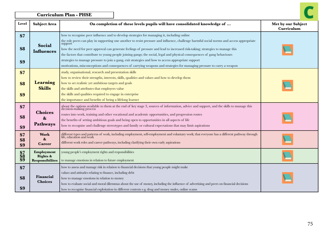| <b>Curriculum Plan - PHSE</b>            |                                                             |                                                                                                                                                                                                                                                                                                                                                                                                                                                                                                                                                                                                                                                                                                                                                     |                                  |  |  |
|------------------------------------------|-------------------------------------------------------------|-----------------------------------------------------------------------------------------------------------------------------------------------------------------------------------------------------------------------------------------------------------------------------------------------------------------------------------------------------------------------------------------------------------------------------------------------------------------------------------------------------------------------------------------------------------------------------------------------------------------------------------------------------------------------------------------------------------------------------------------------------|----------------------------------|--|--|
| Level                                    | <b>Subject Area</b>                                         | On completion of these levels pupils will have consolidated knowledge of                                                                                                                                                                                                                                                                                                                                                                                                                                                                                                                                                                                                                                                                            | Met by our Subject<br>Curriculum |  |  |
| S <sub>7</sub><br><b>S8</b><br><b>S9</b> | Social<br><b>Influences</b>                                 | how to recognise peer influence and to develop strategies for managing it, including online<br>the role peers can play in supporting one another to resist pressure and influence, challenge harmful social norms and access appropriate<br>support<br>how the need for peer approval can generate feelings of pressure and lead to increased risk-taking; strategies to manage this<br>the factors that contribute to young people joining gangs; the social, legal and physical consequences of gang behaviours<br>strategies to manage pressure to join a gang, exit strategies and how to access appropriate support<br>motivations, misconceptions and consequences of carrying weapons and strategies for managing pressure to carry a weapon |                                  |  |  |
| <b>S7</b><br><b>S8</b><br><b>S9</b>      | Learning<br><b>Skills</b>                                   | study, organisational, research and presentation skills<br>how to review their strengths, interests, skills, qualities and values and how to develop them<br>how to set realistic yet ambitious targets and goals<br>the skills and attributes that employers value<br>the skills and qualities required to engage in enterprise<br>the importance and benefits of being a lifelong learner                                                                                                                                                                                                                                                                                                                                                         |                                  |  |  |
| S <sub>7</sub><br><b>S8</b><br><b>S9</b> | <b>Choices</b><br>$\boldsymbol{\&}$<br>Pathways             | about the options available to them at the end of key stage 3, sources of information, advice and support, and the skills to manage this decision-making process<br>routes into work, training and other vocational and academic opportunities, and progression routes<br>the benefits of setting ambitious goals and being open to opportunities in all aspects of life<br>how to recognise and challenge stereotypes and family or cultural expectations that may limit aspirations                                                                                                                                                                                                                                                               |                                  |  |  |
| <b>S7</b><br><b>S8</b><br><b>S9</b>      | Work<br>$\boldsymbol{\&}$<br><b>Career</b>                  | different types and patterns of work, including employment, self-employment and voluntary work; that everyone has a different pathway through life, education and work<br>different work roles and career pathways, including clarifying their own early aspirations                                                                                                                                                                                                                                                                                                                                                                                                                                                                                |                                  |  |  |
| $\frac{87}{88}$                          | Employment<br><b>Rights &amp;</b><br><b>Responsibilites</b> | young people's employment rights and responsibilities<br>to manage emotions in relation to future employment                                                                                                                                                                                                                                                                                                                                                                                                                                                                                                                                                                                                                                        |                                  |  |  |
| S <sub>7</sub><br><b>S8</b><br><b>S9</b> | <b>Financial</b><br><b>Choices</b>                          | how to assess and manage risk in relation to financial decisions that young people might make<br>values and attitudes relating to finance, including debt<br>how to manage emotions in relation to money<br>how to evaluate social and moral dilemmas about the use of money, including the influence of advertising and peers on financial decisions<br>how to recognise financial exploitation in different contexts e.g. drug and money mules, online scams                                                                                                                                                                                                                                                                                      |                                  |  |  |

 $\overline{ }$